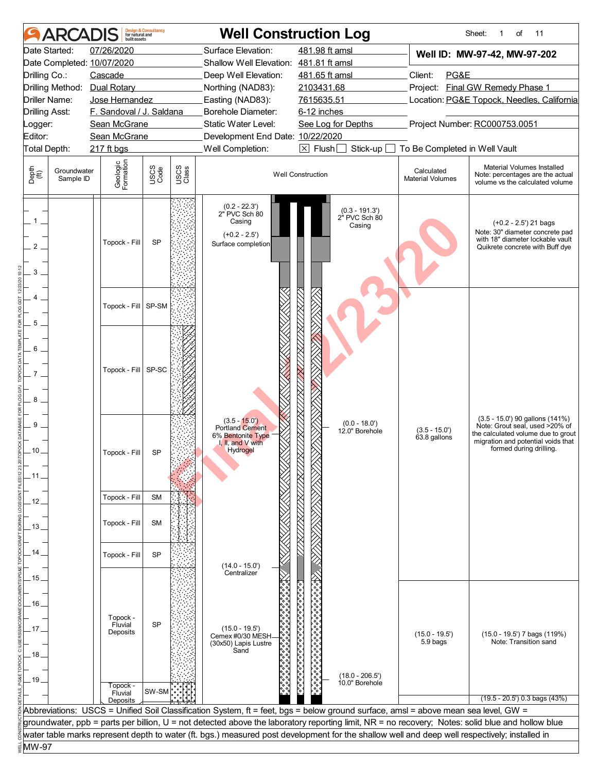|                                | <b>ARCAI</b>             |                              | <b>Design &amp; Consultancy</b><br>for natural and<br>built assets |               |                                                                                          | <b>Well Construction Log</b>                                                                                                                     |                                       | Sheet:<br>11<br>of<br>1                                                                                                                                                  |
|--------------------------------|--------------------------|------------------------------|--------------------------------------------------------------------|---------------|------------------------------------------------------------------------------------------|--------------------------------------------------------------------------------------------------------------------------------------------------|---------------------------------------|--------------------------------------------------------------------------------------------------------------------------------------------------------------------------|
|                                | Date Started:            | 07/26/2020                   |                                                                    |               | Surface Elevation:                                                                       | 481.98 ft amsl                                                                                                                                   |                                       | Well ID: MW-97-42, MW-97-202                                                                                                                                             |
|                                |                          | Date Completed: 10/07/2020   |                                                                    |               | Shallow Well Elevation: 481.81 ft amsl                                                   |                                                                                                                                                  |                                       |                                                                                                                                                                          |
| Drilling Co.:                  |                          | Cascade                      |                                                                    |               | Deep Well Elevation:                                                                     | 481.65 ft amsl                                                                                                                                   | PG&E<br>Client:                       |                                                                                                                                                                          |
|                                |                          | Drilling Method: Dual Rotary |                                                                    |               | Northing (NAD83):                                                                        | 2103431.68                                                                                                                                       |                                       | Project: Final GW Remedy Phase 1                                                                                                                                         |
| Driller Name:                  |                          | Jose Hernandez               |                                                                    |               | Easting (NAD83):                                                                         | 7615635.51                                                                                                                                       |                                       | Location: PG&E Topock, Needles, California                                                                                                                               |
| Drilling Asst:                 |                          | F. Sandoval / J. Saldana     |                                                                    |               | Borehole Diameter:                                                                       | 6-12 inches                                                                                                                                      |                                       |                                                                                                                                                                          |
| Logger:                        |                          | Sean McGrane                 |                                                                    |               | Static Water Level:                                                                      | See Log for Depths                                                                                                                               |                                       | Project Number: RC000753.0051                                                                                                                                            |
| Editor:                        |                          | Sean McGrane                 |                                                                    |               | Development End Date: 10/22/2020                                                         |                                                                                                                                                  |                                       |                                                                                                                                                                          |
| Total Depth:                   |                          | 217 ft bgs                   |                                                                    |               | Well Completion:                                                                         | $\boxtimes$ Flush $\Box$<br>Stick-up [                                                                                                           | To Be Completed in Well Vault         |                                                                                                                                                                          |
| Depth<br>$\bigoplus_{i=1}^{n}$ | Groundwater<br>Sample ID | Geologic<br>Formation        | USCS<br>Code                                                       | USCS<br>Class |                                                                                          | <b>Well Construction</b>                                                                                                                         | Calculated<br><b>Material Volumes</b> | Material Volumes Installed<br>Note: percentages are the actual<br>volume vs the calculated volume                                                                        |
| 2<br>3                         |                          | Topock - Fill                | <b>SP</b>                                                          |               | $(0.2 - 22.3')$<br>2" PVC Sch 80<br>Casing<br>$(+0.2 - 2.5')$<br>Surface completion      | (0.3 - 191.3')<br>2" PVC Sch 80<br>Casing                                                                                                        |                                       | $(+0.2 - 2.5)$ 21 bags<br>Note: 30" diameter concrete pad<br>with 18" diameter lockable vault<br>Quikrete concrete with Buff dye                                         |
| 4<br>5                         |                          | Topock - Fill                | SP-SM                                                              |               |                                                                                          |                                                                                                                                                  |                                       |                                                                                                                                                                          |
| 6<br>7<br>8                    |                          | Topock - Fill                | SP-SC                                                              |               |                                                                                          |                                                                                                                                                  |                                       |                                                                                                                                                                          |
| 9<br>10<br>- 11                |                          | Topock - Fill                | SP                                                                 |               | $(3.5 - 15.0')$<br>Portland Cement<br>6% Bentonite Type<br>I, II, and V with<br>Hydrogel | $(0.0 - 18.0')$<br>12.0" Borehole                                                                                                                | $(3.5 - 15.0')$<br>63.8 gallons       | (3.5 - 15.0') 90 gallons (141%)<br>Note: Grout seal, used >20% of<br>the calculated volume due to grout<br>migration and potential voids that<br>formed during drilling. |
|                                |                          | Topock - Fill                | <b>SM</b>                                                          |               |                                                                                          |                                                                                                                                                  |                                       |                                                                                                                                                                          |
| 12                             |                          |                              |                                                                    |               |                                                                                          |                                                                                                                                                  |                                       |                                                                                                                                                                          |
| .13.                           |                          | Topock - Fill                | <b>SM</b>                                                          |               |                                                                                          |                                                                                                                                                  |                                       |                                                                                                                                                                          |
| 14                             |                          | Topock - Fill                | <b>SP</b>                                                          |               |                                                                                          |                                                                                                                                                  |                                       |                                                                                                                                                                          |
|                                |                          |                              |                                                                    |               | $(14.0 - 15.0)$                                                                          |                                                                                                                                                  |                                       |                                                                                                                                                                          |
| 15.                            |                          |                              |                                                                    |               | Centralizer                                                                              |                                                                                                                                                  |                                       |                                                                                                                                                                          |
|                                |                          |                              |                                                                    |               |                                                                                          |                                                                                                                                                  |                                       |                                                                                                                                                                          |
| 16                             |                          |                              |                                                                    |               |                                                                                          |                                                                                                                                                  |                                       |                                                                                                                                                                          |
|                                |                          | Topock -                     |                                                                    |               |                                                                                          |                                                                                                                                                  |                                       |                                                                                                                                                                          |
| 17.                            |                          | Fluvial<br>Deposits          | <b>SP</b>                                                          |               | $(15.0 - 19.5)$<br>Cemex #0/30 MESH<br>(30x50) Lapis Lustre                              |                                                                                                                                                  | $(15.0 - 19.5)$<br>5.9 bags           | (15.0 - 19.5') 7 bags (119%)<br>Note: Transition sand                                                                                                                    |
| . 18 .                         |                          |                              |                                                                    |               | Sand                                                                                     |                                                                                                                                                  |                                       |                                                                                                                                                                          |
|                                |                          |                              |                                                                    |               |                                                                                          |                                                                                                                                                  |                                       |                                                                                                                                                                          |
|                                |                          |                              |                                                                    |               |                                                                                          | $(18.0 - 206.5')$                                                                                                                                |                                       |                                                                                                                                                                          |
| _19.                           |                          | Topock -                     |                                                                    |               |                                                                                          | १९०९०<br>10.0" Borehole                                                                                                                          |                                       |                                                                                                                                                                          |
|                                |                          | Fluvial<br>Deposits          | SW-SM                                                              |               |                                                                                          |                                                                                                                                                  |                                       | $(19.5 - 20.5)$ 0.3 bags $(43%)$                                                                                                                                         |
|                                |                          |                              |                                                                    |               |                                                                                          | Abbreviations: USCS = Unified Soil Classification System, ft = feet, bgs = below ground surface, amsl = above mean sea level, GW =               |                                       |                                                                                                                                                                          |
|                                |                          |                              |                                                                    |               |                                                                                          | groundwater, ppb = parts per billion, U = not detected above the laboratory reporting limit, NR = no recovery; Notes: solid blue and hollow blue |                                       |                                                                                                                                                                          |
|                                |                          |                              |                                                                    |               |                                                                                          | water table marks represent depth to water (ft. bgs.) measured post development for the shallow well and deep well respectively; installed in    |                                       |                                                                                                                                                                          |
| MW-97                          |                          |                              |                                                                    |               |                                                                                          |                                                                                                                                                  |                                       |                                                                                                                                                                          |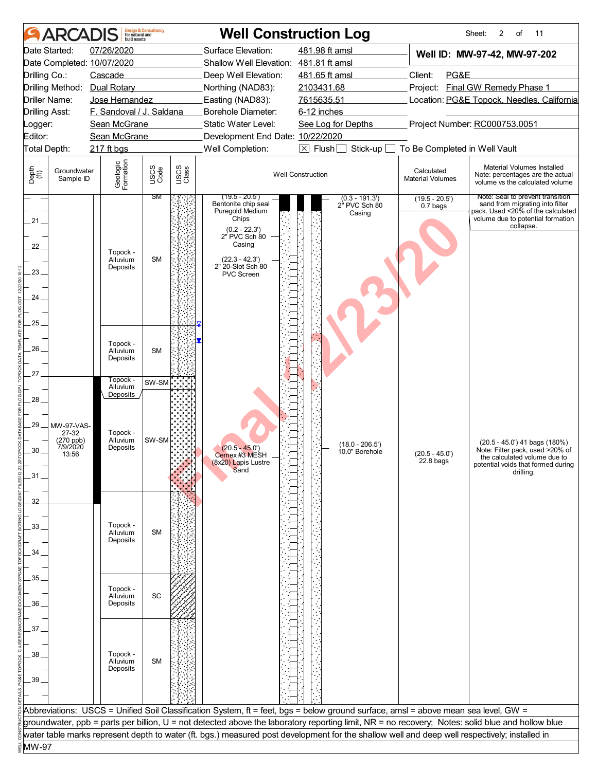|                                | <b>ARCADIS</b>                                               | built assets                                 | <b>Design &amp; Consultancy</b><br>for natural and |               |                                                                                                       | <b>Well Construction Log</b>                                                                                                                     |                                       | Sheet:<br>2<br>11<br>of                                                                                                                                    |  |
|--------------------------------|--------------------------------------------------------------|----------------------------------------------|----------------------------------------------------|---------------|-------------------------------------------------------------------------------------------------------|--------------------------------------------------------------------------------------------------------------------------------------------------|---------------------------------------|------------------------------------------------------------------------------------------------------------------------------------------------------------|--|
|                                | Date Started:                                                | 07/26/2020                                   |                                                    |               | Surface Elevation:                                                                                    | 481.98 ft amsl                                                                                                                                   |                                       | Well ID: MW-97-42, MW-97-202                                                                                                                               |  |
|                                |                                                              | Date Completed: 10/07/2020                   |                                                    |               | Shallow Well Elevation: 481.81 ft amsl                                                                |                                                                                                                                                  |                                       |                                                                                                                                                            |  |
| Drilling Co.:                  |                                                              | Cascade                                      |                                                    |               | Deep Well Elevation:                                                                                  | 481.65 ft amsl                                                                                                                                   | Client:<br>PG&E                       |                                                                                                                                                            |  |
|                                | Drilling Method:                                             | Dual Rotary                                  |                                                    |               | Northing (NAD83):                                                                                     | 2103431.68                                                                                                                                       | Project: Final GW Remedy Phase 1      |                                                                                                                                                            |  |
|                                | Driller Name:                                                | Jose Hernandez                               |                                                    |               | Easting (NAD83):                                                                                      | 7615635.51                                                                                                                                       |                                       | Location: PG&E Topock, Needles, California                                                                                                                 |  |
| <b>Drilling Asst:</b>          |                                                              | F. Sandoval / J. Saldana                     |                                                    |               | Borehole Diameter:                                                                                    |                                                                                                                                                  | 6-12 inches                           |                                                                                                                                                            |  |
| Logger:                        |                                                              | Sean McGrane                                 |                                                    |               | Static Water Level:<br>See Log for Depths                                                             |                                                                                                                                                  |                                       | Project Number: RC000753.0051                                                                                                                              |  |
| Editor:                        |                                                              | Sean McGrane                                 |                                                    |               | Development End Date: 10/22/2020                                                                      |                                                                                                                                                  |                                       |                                                                                                                                                            |  |
| Total Depth:                   |                                                              | 217 ft bgs                                   |                                                    |               | Well Completion:                                                                                      | $\boxtimes$ Flush<br>Stick-up $\Box$                                                                                                             | To Be Completed in Well Vault         |                                                                                                                                                            |  |
| Depth<br>$\bigoplus_{i=1}^{n}$ | Groundwater<br>Sample ID                                     | Geologic<br>Formation                        | USCS<br>Code                                       | USCS<br>Class |                                                                                                       | <b>Well Construction</b>                                                                                                                         | Calculated<br><b>Material Volumes</b> | Material Volumes Installed<br>Note: percentages are the actual<br>volume vs the calculated volume                                                          |  |
| .21.                           |                                                              |                                              | ЗM                                                 |               | (19.5 - 20.5')<br>Bentonite chip seal<br>Puregold Medium<br>Chips<br>$(0.2 - 22.3')$<br>2" PVC Sch 80 | $(0.3 - 191.3')$<br>2" PVC Sch 80<br>Casing                                                                                                      | $(19.5 - 20.5')$<br>0.7 bags          | Note: Seal to prevent transition<br>sand from migrating into filter<br>pack. Used <20% of the calculated<br>volume due to potential formation<br>collapse. |  |
| 22.<br>23.                     |                                                              | Topock -<br>Alluvium<br>Deposits             | <b>SM</b>                                          |               | Casing<br>$(22.3 - 42.3')$<br>2" 20-Slot Sch 80<br><b>PVC Screen</b>                                  |                                                                                                                                                  |                                       |                                                                                                                                                            |  |
| 24<br>25.                      |                                                              | Topock -                                     |                                                    |               |                                                                                                       |                                                                                                                                                  |                                       |                                                                                                                                                            |  |
| 26.<br>27                      |                                                              | Alluvium<br>Deposits<br>Topock -             | <b>SM</b>                                          |               |                                                                                                       |                                                                                                                                                  |                                       |                                                                                                                                                            |  |
|                                |                                                              | Alluvium                                     | SW-SM                                              |               |                                                                                                       |                                                                                                                                                  |                                       |                                                                                                                                                            |  |
| 28.<br>29<br>30<br>.31.        | <b>MW-97-VAS-</b><br>27-32<br>(270 ppb)<br>7/9/2020<br>13:56 | Deposits<br>Topock -<br>Alluvium<br>Deposits | SW-SM                                              |               | $(20.5 - 45.0)$<br>Cemex #3 MESH<br>(8x20) Lapis Lustre<br>Sand                                       | $(18.0 - 206.5')$<br>10.0" Borehole                                                                                                              | $(20.5 - 45.0')$<br>$22.8$ bags       | (20.5 - 45.0') 41 bags (180%)<br>Note: Filter pack, used >20% of<br>the calculated volume due to<br>potential voids that formed during<br>drilling.        |  |
| 32<br>33.<br>34.               |                                                              | Topock -<br>Alluvium<br>Deposits             | <b>SM</b>                                          |               |                                                                                                       |                                                                                                                                                  |                                       |                                                                                                                                                            |  |
| 35<br>36                       |                                                              | Topock -<br>Alluvium<br>Deposits             | SC                                                 |               |                                                                                                       |                                                                                                                                                  |                                       |                                                                                                                                                            |  |
| 37<br>38<br>39.                |                                                              | Topock -<br>Alluvium<br>Deposits             | <b>SM</b>                                          |               |                                                                                                       |                                                                                                                                                  |                                       |                                                                                                                                                            |  |
|                                |                                                              |                                              |                                                    |               |                                                                                                       |                                                                                                                                                  |                                       |                                                                                                                                                            |  |
|                                |                                                              |                                              |                                                    |               |                                                                                                       | Abbreviations: USCS = Unified Soil Classification System, ft = feet, bgs = below ground surface, amsl = above mean sea level, GW =               |                                       |                                                                                                                                                            |  |
|                                |                                                              |                                              |                                                    |               |                                                                                                       | groundwater, ppb = parts per billion, U = not detected above the laboratory reporting limit, NR = no recovery; Notes: solid blue and hollow blue |                                       |                                                                                                                                                            |  |
|                                |                                                              |                                              |                                                    |               |                                                                                                       | water table marks represent depth to water (ft. bgs.) measured post development for the shallow well and deep well respectively; installed in    |                                       |                                                                                                                                                            |  |
| MW-97                          |                                                              |                                              |                                                    |               |                                                                                                       |                                                                                                                                                  |                                       |                                                                                                                                                            |  |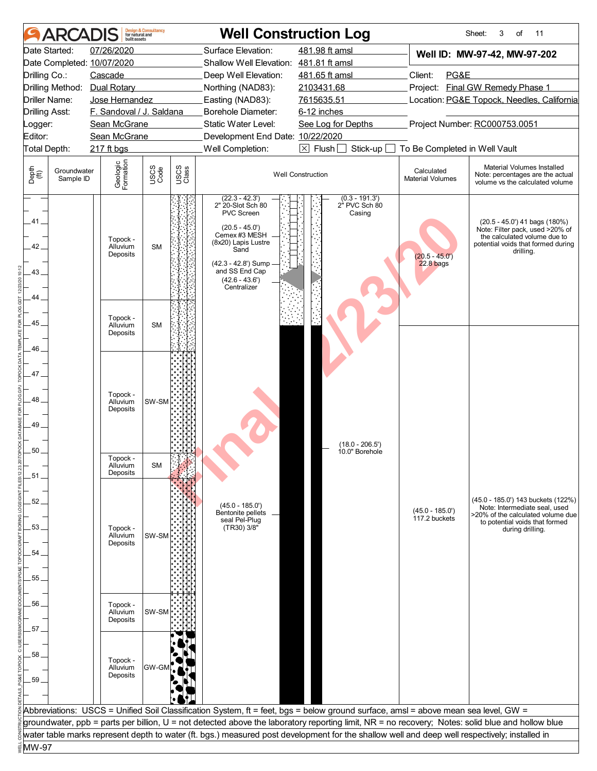| 07/26/2020<br>Surface Elevation:<br>481.98 ft amsl<br>Date Started:<br>Well ID: MW-97-42, MW-97-202<br>Date Completed: 10/07/2020<br>Shallow Well Elevation: 481.81 ft amsl<br>Client:<br>PG&E<br>Drilling Co.:<br>Cascade<br>Deep Well Elevation:<br>481.65 ft amsl<br>Project: Final GW Remedy Phase 1<br>Drilling Method: Dual Rotary<br>2103431.68<br>Northing (NAD83):<br>7615635.51<br>Location: PG&E Topock, Needles, California<br><b>Driller Name:</b><br>Jose Hernandez<br>Easting (NAD83):<br><b>Drilling Asst:</b><br>F. Sandoval / J. Saldana<br>Borehole Diameter:<br>6-12 inches<br>Project Number: RC000753.0051<br>Sean McGrane<br>Static Water Level:<br>See Log for Depths<br>Logger:<br>Editor:<br>Sean McGrane<br>Development End Date: 10/22/2020<br>Well Completion:<br>$\boxtimes$ Flush [<br>Total Depth:<br>217 ft bgs<br>Stick-up<br>To Be Completed in Well Vault<br>Geologic<br>Formation<br>Material Volumes Installed<br>USCS<br>Code<br>USCS<br>Class<br>Depth<br>(ff)<br>Groundwater<br>Calculated<br><b>Well Construction</b><br>Note: percentages are the actual<br><b>Material Volumes</b><br>Sample ID<br>volume vs the calculated volume<br>(22.3 - 42.3')<br>2" 20-Slot Sch 80<br>$(0.3 - 191.3')$<br>2" PVC Sch 80<br><b>PVC Screen</b><br>Casing<br>41.<br>$(20.5 - 45.0')$ 41 bags $(180%)$<br>$(20.5 - 45.0')$<br>Note: Filter pack, used >20% of<br>Cemex #3 MESH<br>the calculated volume due to<br>Topock -<br>(8x20) Lapis Lustre<br>Sand<br>potential voids that formed during<br>42.<br><b>SM</b><br>Alluvium<br>drilling.<br>Deposits<br>$(20.5 - 45.0')$<br>$22.8$ bags<br>(42.3 - 42.8') Sump<br>and SS End Cap<br>43<br>$(42.6 - 43.6')$<br>Centralizer<br>44<br>Topock -<br>45.<br>Alluvium<br><b>SM</b><br>Deposits<br>46<br>47.<br>Topock -<br>48<br>SW-SM<br>Alluvium<br>Deposits<br>49<br>$(18.0 - 206.5')$<br>50.<br>10.0" Borehole<br>Topock -<br>Alluvium<br><b>SM</b><br>Deposits<br>.51<br>(45.0 - 185.0') 143 buckets (122%)<br>52<br>$(45.0 - 185.0')$<br>Note: Intermediate seal, used<br>(45.0 - 185.0')<br>117.2 buckets<br>Bentonite pellets<br>>20% of the calculated volume due<br>seal Pel-Plug<br>to potential voids that formed<br>53.<br>(TR30) 3/8"<br>Topock -<br>during drilling.<br>SW-SM<br>Alluvium<br>Deposits<br>54<br>55.<br>56<br>Topock -<br>SW-SM<br>Alluvium<br>Deposits<br>57.<br>58.<br>Topock -<br>Alluvium<br><b>GW-GM</b><br>Deposits<br>59<br>Abbreviations: USCS = Unified Soil Classification System, ft = feet, bgs = below ground surface, amsl = above mean sea level, GW =<br>groundwater, ppb = parts per billion, U = not detected above the laboratory reporting limit, NR = no recovery; Notes: solid blue and hollow blue<br>water table marks represent depth to water (ft. bgs.) measured post development for the shallow well and deep well respectively; installed in |       | ARCADIS | built assets | <b>Design &amp; Consultancy</b><br>for natural and |  | <b>Well Construction Log</b> |  | Sheet:<br>3<br>of<br>11 |
|-------------------------------------------------------------------------------------------------------------------------------------------------------------------------------------------------------------------------------------------------------------------------------------------------------------------------------------------------------------------------------------------------------------------------------------------------------------------------------------------------------------------------------------------------------------------------------------------------------------------------------------------------------------------------------------------------------------------------------------------------------------------------------------------------------------------------------------------------------------------------------------------------------------------------------------------------------------------------------------------------------------------------------------------------------------------------------------------------------------------------------------------------------------------------------------------------------------------------------------------------------------------------------------------------------------------------------------------------------------------------------------------------------------------------------------------------------------------------------------------------------------------------------------------------------------------------------------------------------------------------------------------------------------------------------------------------------------------------------------------------------------------------------------------------------------------------------------------------------------------------------------------------------------------------------------------------------------------------------------------------------------------------------------------------------------------------------------------------------------------------------------------------------------------------------------------------------------------------------------------------------------------------------------------------------------------------------------------------------------------------------------------------------------------------------------------------------------------------------------------------------------------------------------------------------------------------------------------------------------------------------------------------------------------------------------------------------------------------------------------------------------------------------------------------------------------------------------------------------------------------------------|-------|---------|--------------|----------------------------------------------------|--|------------------------------|--|-------------------------|
|                                                                                                                                                                                                                                                                                                                                                                                                                                                                                                                                                                                                                                                                                                                                                                                                                                                                                                                                                                                                                                                                                                                                                                                                                                                                                                                                                                                                                                                                                                                                                                                                                                                                                                                                                                                                                                                                                                                                                                                                                                                                                                                                                                                                                                                                                                                                                                                                                                                                                                                                                                                                                                                                                                                                                                                                                                                                                     |       |         |              |                                                    |  |                              |  |                         |
|                                                                                                                                                                                                                                                                                                                                                                                                                                                                                                                                                                                                                                                                                                                                                                                                                                                                                                                                                                                                                                                                                                                                                                                                                                                                                                                                                                                                                                                                                                                                                                                                                                                                                                                                                                                                                                                                                                                                                                                                                                                                                                                                                                                                                                                                                                                                                                                                                                                                                                                                                                                                                                                                                                                                                                                                                                                                                     |       |         |              |                                                    |  |                              |  |                         |
|                                                                                                                                                                                                                                                                                                                                                                                                                                                                                                                                                                                                                                                                                                                                                                                                                                                                                                                                                                                                                                                                                                                                                                                                                                                                                                                                                                                                                                                                                                                                                                                                                                                                                                                                                                                                                                                                                                                                                                                                                                                                                                                                                                                                                                                                                                                                                                                                                                                                                                                                                                                                                                                                                                                                                                                                                                                                                     |       |         |              |                                                    |  |                              |  |                         |
|                                                                                                                                                                                                                                                                                                                                                                                                                                                                                                                                                                                                                                                                                                                                                                                                                                                                                                                                                                                                                                                                                                                                                                                                                                                                                                                                                                                                                                                                                                                                                                                                                                                                                                                                                                                                                                                                                                                                                                                                                                                                                                                                                                                                                                                                                                                                                                                                                                                                                                                                                                                                                                                                                                                                                                                                                                                                                     |       |         |              |                                                    |  |                              |  |                         |
|                                                                                                                                                                                                                                                                                                                                                                                                                                                                                                                                                                                                                                                                                                                                                                                                                                                                                                                                                                                                                                                                                                                                                                                                                                                                                                                                                                                                                                                                                                                                                                                                                                                                                                                                                                                                                                                                                                                                                                                                                                                                                                                                                                                                                                                                                                                                                                                                                                                                                                                                                                                                                                                                                                                                                                                                                                                                                     |       |         |              |                                                    |  |                              |  |                         |
|                                                                                                                                                                                                                                                                                                                                                                                                                                                                                                                                                                                                                                                                                                                                                                                                                                                                                                                                                                                                                                                                                                                                                                                                                                                                                                                                                                                                                                                                                                                                                                                                                                                                                                                                                                                                                                                                                                                                                                                                                                                                                                                                                                                                                                                                                                                                                                                                                                                                                                                                                                                                                                                                                                                                                                                                                                                                                     |       |         |              |                                                    |  |                              |  |                         |
|                                                                                                                                                                                                                                                                                                                                                                                                                                                                                                                                                                                                                                                                                                                                                                                                                                                                                                                                                                                                                                                                                                                                                                                                                                                                                                                                                                                                                                                                                                                                                                                                                                                                                                                                                                                                                                                                                                                                                                                                                                                                                                                                                                                                                                                                                                                                                                                                                                                                                                                                                                                                                                                                                                                                                                                                                                                                                     |       |         |              |                                                    |  |                              |  |                         |
|                                                                                                                                                                                                                                                                                                                                                                                                                                                                                                                                                                                                                                                                                                                                                                                                                                                                                                                                                                                                                                                                                                                                                                                                                                                                                                                                                                                                                                                                                                                                                                                                                                                                                                                                                                                                                                                                                                                                                                                                                                                                                                                                                                                                                                                                                                                                                                                                                                                                                                                                                                                                                                                                                                                                                                                                                                                                                     |       |         |              |                                                    |  |                              |  |                         |
|                                                                                                                                                                                                                                                                                                                                                                                                                                                                                                                                                                                                                                                                                                                                                                                                                                                                                                                                                                                                                                                                                                                                                                                                                                                                                                                                                                                                                                                                                                                                                                                                                                                                                                                                                                                                                                                                                                                                                                                                                                                                                                                                                                                                                                                                                                                                                                                                                                                                                                                                                                                                                                                                                                                                                                                                                                                                                     |       |         |              |                                                    |  |                              |  |                         |
|                                                                                                                                                                                                                                                                                                                                                                                                                                                                                                                                                                                                                                                                                                                                                                                                                                                                                                                                                                                                                                                                                                                                                                                                                                                                                                                                                                                                                                                                                                                                                                                                                                                                                                                                                                                                                                                                                                                                                                                                                                                                                                                                                                                                                                                                                                                                                                                                                                                                                                                                                                                                                                                                                                                                                                                                                                                                                     |       |         |              |                                                    |  |                              |  |                         |
|                                                                                                                                                                                                                                                                                                                                                                                                                                                                                                                                                                                                                                                                                                                                                                                                                                                                                                                                                                                                                                                                                                                                                                                                                                                                                                                                                                                                                                                                                                                                                                                                                                                                                                                                                                                                                                                                                                                                                                                                                                                                                                                                                                                                                                                                                                                                                                                                                                                                                                                                                                                                                                                                                                                                                                                                                                                                                     |       |         |              |                                                    |  |                              |  |                         |
|                                                                                                                                                                                                                                                                                                                                                                                                                                                                                                                                                                                                                                                                                                                                                                                                                                                                                                                                                                                                                                                                                                                                                                                                                                                                                                                                                                                                                                                                                                                                                                                                                                                                                                                                                                                                                                                                                                                                                                                                                                                                                                                                                                                                                                                                                                                                                                                                                                                                                                                                                                                                                                                                                                                                                                                                                                                                                     |       |         |              |                                                    |  |                              |  |                         |
|                                                                                                                                                                                                                                                                                                                                                                                                                                                                                                                                                                                                                                                                                                                                                                                                                                                                                                                                                                                                                                                                                                                                                                                                                                                                                                                                                                                                                                                                                                                                                                                                                                                                                                                                                                                                                                                                                                                                                                                                                                                                                                                                                                                                                                                                                                                                                                                                                                                                                                                                                                                                                                                                                                                                                                                                                                                                                     |       |         |              |                                                    |  |                              |  |                         |
|                                                                                                                                                                                                                                                                                                                                                                                                                                                                                                                                                                                                                                                                                                                                                                                                                                                                                                                                                                                                                                                                                                                                                                                                                                                                                                                                                                                                                                                                                                                                                                                                                                                                                                                                                                                                                                                                                                                                                                                                                                                                                                                                                                                                                                                                                                                                                                                                                                                                                                                                                                                                                                                                                                                                                                                                                                                                                     |       |         |              |                                                    |  |                              |  |                         |
|                                                                                                                                                                                                                                                                                                                                                                                                                                                                                                                                                                                                                                                                                                                                                                                                                                                                                                                                                                                                                                                                                                                                                                                                                                                                                                                                                                                                                                                                                                                                                                                                                                                                                                                                                                                                                                                                                                                                                                                                                                                                                                                                                                                                                                                                                                                                                                                                                                                                                                                                                                                                                                                                                                                                                                                                                                                                                     | MW-97 |         |              |                                                    |  |                              |  |                         |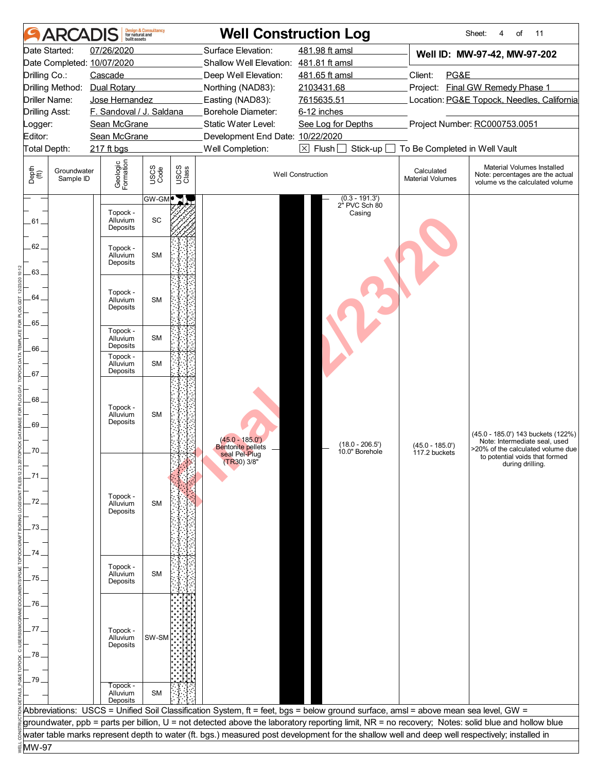|                                  | <b>ARCAI</b>                                       | huilt assets                                                                         | <b>Design &amp; Consultancy</b><br>for natural and |               | <b>Well Construction Log</b>                                                                                                                                                                                                       |                                                                                                                                                                                                                                                                                                   |                                       | Sheet:<br>4<br>of<br>11                                                                                        |
|----------------------------------|----------------------------------------------------|--------------------------------------------------------------------------------------|----------------------------------------------------|---------------|------------------------------------------------------------------------------------------------------------------------------------------------------------------------------------------------------------------------------------|---------------------------------------------------------------------------------------------------------------------------------------------------------------------------------------------------------------------------------------------------------------------------------------------------|---------------------------------------|----------------------------------------------------------------------------------------------------------------|
| Drilling Co.:                    | Date Started:<br>Drilling Method:<br>Driller Name: | 07/26/2020<br>Date Completed: 10/07/2020<br>Cascade<br>Dual Rotary<br>Jose Hernandez |                                                    |               | Surface Elevation:<br>481.98 ft amsl<br>Shallow Well Elevation: 481.81 ft amsl<br>Deep Well Elevation:<br>481.65 ft amsl<br>Northing (NAD83):<br>2103431.68<br>Easting (NAD83):<br>7615635.51<br>Borehole Diameter:<br>6-12 inches |                                                                                                                                                                                                                                                                                                   | Client:<br>PG&E                       | Well ID: MW-97-42, MW-97-202<br>Project: Final GW Remedy Phase 1<br>Location: PG&E Topock, Needles, California |
| <b>Drilling Asst:</b><br>Logger: |                                                    | F. Sandoval / J. Saldana<br>Sean McGrane                                             |                                                    |               | Static Water Level:                                                                                                                                                                                                                | See Log for Depths                                                                                                                                                                                                                                                                                |                                       | Project Number: RC000753.0051                                                                                  |
| Editor:                          |                                                    | Sean McGrane                                                                         |                                                    |               | Development End Date: 10/22/2020                                                                                                                                                                                                   |                                                                                                                                                                                                                                                                                                   |                                       |                                                                                                                |
| Total Depth:                     |                                                    | 217 ft bgs                                                                           |                                                    |               | Well Completion:                                                                                                                                                                                                                   | $\boxtimes$ Flush [<br>Stick-up                                                                                                                                                                                                                                                                   | To Be Completed in Well Vault         |                                                                                                                |
| Depth<br>(ff)                    | Groundwater<br>Sample ID                           | Geologic<br>Formation                                                                | USCS<br>Code                                       | USCS<br>Class |                                                                                                                                                                                                                                    | <b>Well Construction</b>                                                                                                                                                                                                                                                                          | Calculated<br><b>Material Volumes</b> | Material Volumes Installed<br>Note: percentages are the actual<br>volume vs the calculated volume              |
| .61.                             |                                                    | Topock -<br>Alluvium<br>Deposits                                                     | GW-GM<br>SC                                        | 71            |                                                                                                                                                                                                                                    | $(0.3 - 191.3)$<br>2" PVC Sch 80<br>Casing                                                                                                                                                                                                                                                        |                                       |                                                                                                                |
| 62.<br>63.                       |                                                    | Topock -<br>Alluvium<br>Deposits                                                     | <b>SM</b>                                          |               |                                                                                                                                                                                                                                    |                                                                                                                                                                                                                                                                                                   |                                       |                                                                                                                |
| 64.                              |                                                    | Topock -<br>Alluvium<br>Deposits                                                     | <b>SM</b>                                          |               |                                                                                                                                                                                                                                    |                                                                                                                                                                                                                                                                                                   |                                       |                                                                                                                |
| .65.<br>66                       |                                                    | Topock -<br>Alluvium<br>Deposits                                                     | <b>SM</b>                                          |               |                                                                                                                                                                                                                                    |                                                                                                                                                                                                                                                                                                   |                                       |                                                                                                                |
| .67 .                            |                                                    | Topock -<br>Alluvium<br>Deposits                                                     | <b>SM</b>                                          |               |                                                                                                                                                                                                                                    |                                                                                                                                                                                                                                                                                                   |                                       |                                                                                                                |
| 68.<br>69.<br>$70 -$             |                                                    | Topock -<br>Alluvium<br>Deposits                                                     | <b>SM</b>                                          |               | $(45.0 - 185.0')$<br><b>Bentonite pellets</b>                                                                                                                                                                                      | $(18.0 - 206.5')$                                                                                                                                                                                                                                                                                 | $(45.0 - 185.0')$                     | (45.0 - 185.0') 143 buckets (122%)<br>Note: Intermediate seal, used<br>>20% of the calculated volume due       |
| -71.<br>72<br>.73.               |                                                    | Topock -<br>Alluvium<br>Deposits                                                     | <b>SM</b>                                          |               | seal Pel-Plug<br>$(TR30)$ $3/8"$                                                                                                                                                                                                   | 10.0" Borehole                                                                                                                                                                                                                                                                                    | 117.2 buckets                         | to potential voids that formed<br>during drilling.                                                             |
| 74.<br>75                        |                                                    | Topock -<br>Alluvium<br>Deposits                                                     | <b>SM</b>                                          |               |                                                                                                                                                                                                                                    |                                                                                                                                                                                                                                                                                                   |                                       |                                                                                                                |
| .76<br>.77                       |                                                    | Topock -                                                                             |                                                    |               |                                                                                                                                                                                                                                    |                                                                                                                                                                                                                                                                                                   |                                       |                                                                                                                |
| .78.<br>.79.                     |                                                    | Alluvium<br>Deposits                                                                 | SW-SM                                              |               |                                                                                                                                                                                                                                    |                                                                                                                                                                                                                                                                                                   |                                       |                                                                                                                |
|                                  |                                                    | Topock -<br>Alluvium<br>Deposits                                                     | <b>SM</b>                                          |               |                                                                                                                                                                                                                                    |                                                                                                                                                                                                                                                                                                   |                                       |                                                                                                                |
|                                  |                                                    |                                                                                      |                                                    |               |                                                                                                                                                                                                                                    | Abbreviations: USCS = Unified Soil Classification System, ft = feet, bgs = below ground surface, amsl = above mean sea level, GW =                                                                                                                                                                |                                       |                                                                                                                |
|                                  |                                                    |                                                                                      |                                                    |               |                                                                                                                                                                                                                                    | groundwater, ppb = parts per billion, U = not detected above the laboratory reporting limit, NR = no recovery; Notes: solid blue and hollow blue<br>water table marks represent depth to water (ft. bgs.) measured post development for the shallow well and deep well respectively; installed in |                                       |                                                                                                                |
| MW-97                            |                                                    |                                                                                      |                                                    |               |                                                                                                                                                                                                                                    |                                                                                                                                                                                                                                                                                                   |                                       |                                                                                                                |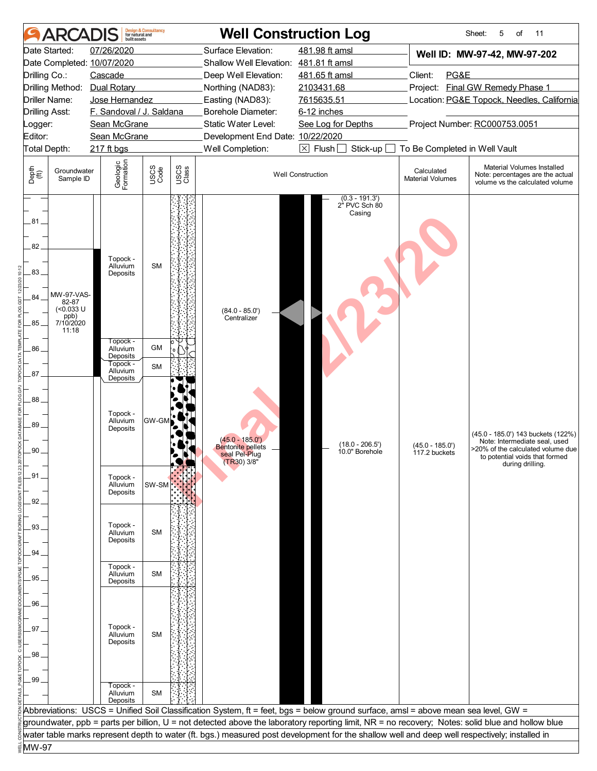| ARCADIS                                                                                                        | <b>Design &amp; Consultancy</b><br>for natural and<br>built assets               |                               | <b>Well Construction Log</b>                                                         |                                                                                                                                                                                                                                                                                                   |                                                                                                                                                                             | Sheet:<br>5<br>of<br>11                                                                                                                                        |  |
|----------------------------------------------------------------------------------------------------------------|----------------------------------------------------------------------------------|-------------------------------|--------------------------------------------------------------------------------------|---------------------------------------------------------------------------------------------------------------------------------------------------------------------------------------------------------------------------------------------------------------------------------------------------|-----------------------------------------------------------------------------------------------------------------------------------------------------------------------------|----------------------------------------------------------------------------------------------------------------------------------------------------------------|--|
| Date Started:<br>Date Completed: 10/07/2020<br>Drilling Co.:                                                   | 07/26/2020<br>Cascade                                                            |                               | Surface Elevation:<br>Shallow Well Elevation: 481.81 ft amsl<br>Deep Well Elevation: | 481.98 ft amsl<br>481.65 ft amsl                                                                                                                                                                                                                                                                  | Client:<br>PG&E                                                                                                                                                             | Well ID: MW-97-42, MW-97-202                                                                                                                                   |  |
| Drilling Method:<br>Driller Name:<br><b>Drilling Asst:</b>                                                     | Dual Rotary<br>Jose Hernandez<br>F. Sandoval / J. Saldana                        |                               | Northing (NAD83):<br>Easting (NAD83):<br>Borehole Diameter:                          | 2103431.68<br>7615635.51<br>6-12 inches                                                                                                                                                                                                                                                           |                                                                                                                                                                             | Project: Final GW Remedy Phase 1<br>Location: PG&E Topock, Needles, California                                                                                 |  |
| Logger:<br>Editor:                                                                                             | Sean McGrane<br>Sean McGrane                                                     |                               | Static Water Level:<br>Development End Date: 10/22/2020<br>Well Completion:          | See Log for Depths<br>$\boxtimes$ Flush                                                                                                                                                                                                                                                           | Project Number: RC000753.0051                                                                                                                                               |                                                                                                                                                                |  |
| Total Depth:<br>Depth<br>(ff)<br>Groundwater<br>Sample ID                                                      | 217 ft bgs<br>Geologic<br>Formation                                              | USCS<br>Code<br>USCS<br>Class |                                                                                      | Stick-up<br><b>Well Construction</b>                                                                                                                                                                                                                                                              | To Be Completed in Well Vault<br>Material Volumes Installed<br>Calculated<br>Note: percentages are the actual<br><b>Material Volumes</b><br>volume vs the calculated volume |                                                                                                                                                                |  |
| .81.<br>82<br>83<br>MW-97-VAS-<br>84<br>82-87<br>$(0.033 \text{ U}$<br>ppb)<br>85.<br>7/10/2020<br>11:18<br>86 | Topock -<br>Alluvium<br>Deposits<br>Topock -<br>Alluvium<br>Deposits<br>Topock - | <b>SM</b><br>GM<br><b>SM</b>  | $(84.0 - 85.0')$<br>Centralizer                                                      | $(0.3 - 191.3)$<br>2" PVC Sch 80<br>Casing                                                                                                                                                                                                                                                        |                                                                                                                                                                             |                                                                                                                                                                |  |
| 87.<br>88.<br>89<br>90                                                                                         | Alluvium<br>Deposits<br>Topock -<br>Alluvium<br>Deposits                         | <b>GW-GI</b>                  | $(45.0 - 185.0')$<br><b>Bentonite pellets</b><br>seal Pel-Plug<br>(TR30) 3/8"        | $(18.0 - 206.5')$<br>10.0" Borehole                                                                                                                                                                                                                                                               | (45.0 - 185.0')<br>117.2 buckets                                                                                                                                            | (45.0 - 185.0') 143 buckets (122%)<br>Note: Intermediate seal, used<br>>20% of the calculated volume due<br>to potential voids that formed<br>during drilling. |  |
| .91<br>92.                                                                                                     | Topock -<br>Alluvium<br>Deposits                                                 | SW-SM <sup>I</sup>            |                                                                                      |                                                                                                                                                                                                                                                                                                   |                                                                                                                                                                             |                                                                                                                                                                |  |
| 93.<br>.94                                                                                                     | Topock -<br>Alluvium<br>Deposits                                                 | <b>SM</b>                     |                                                                                      |                                                                                                                                                                                                                                                                                                   |                                                                                                                                                                             |                                                                                                                                                                |  |
| 95.                                                                                                            | Topock -<br>Alluvium<br>Deposits                                                 | <b>SM</b>                     |                                                                                      |                                                                                                                                                                                                                                                                                                   |                                                                                                                                                                             |                                                                                                                                                                |  |
| 96<br>.97.                                                                                                     | Topock -<br>Alluvium                                                             | <b>SM</b>                     |                                                                                      |                                                                                                                                                                                                                                                                                                   |                                                                                                                                                                             |                                                                                                                                                                |  |
| .98 .<br>.99                                                                                                   | Deposits                                                                         |                               |                                                                                      |                                                                                                                                                                                                                                                                                                   |                                                                                                                                                                             |                                                                                                                                                                |  |
|                                                                                                                | Topock -<br>Alluvium<br>Deposits                                                 | <b>SM</b>                     |                                                                                      | Abbreviations: USCS = Unified Soil Classification System, ft = feet, bgs = below ground surface, amsl = above mean sea level, GW =                                                                                                                                                                |                                                                                                                                                                             |                                                                                                                                                                |  |
| MW-97                                                                                                          |                                                                                  |                               |                                                                                      | groundwater, ppb = parts per billion, U = not detected above the laboratory reporting limit, NR = no recovery; Notes: solid blue and hollow blue<br>water table marks represent depth to water (ft. bgs.) measured post development for the shallow well and deep well respectively; installed in |                                                                                                                                                                             |                                                                                                                                                                |  |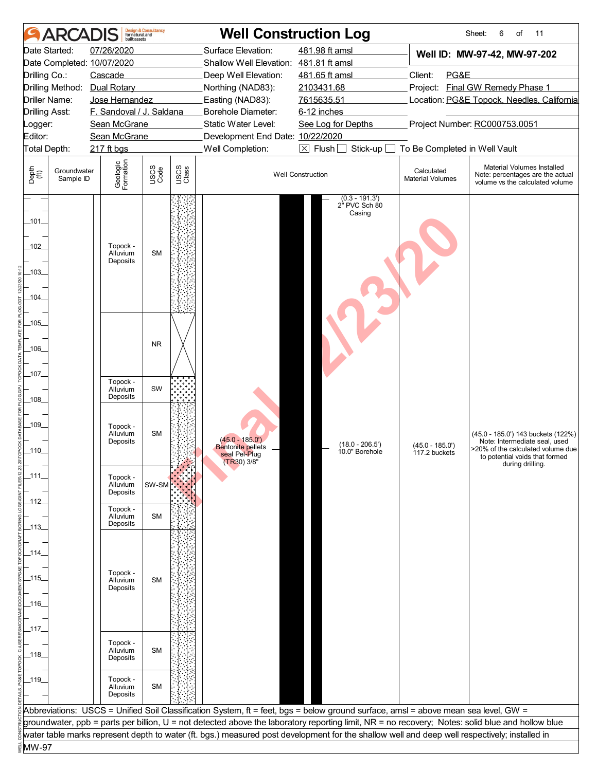|                                        | ARCADIS                  | built assets                                                               | <b>Design &amp; Consultancy</b><br>for natural and |               | <b>Well Construction Log</b>                                                         |                                                                                                                                                                                                                                                                                                                                                                                                                                         |                                                                        | Sheet:<br>6<br>of<br>11                                                                                                                                        |
|----------------------------------------|--------------------------|----------------------------------------------------------------------------|----------------------------------------------------|---------------|--------------------------------------------------------------------------------------|-----------------------------------------------------------------------------------------------------------------------------------------------------------------------------------------------------------------------------------------------------------------------------------------------------------------------------------------------------------------------------------------------------------------------------------------|------------------------------------------------------------------------|----------------------------------------------------------------------------------------------------------------------------------------------------------------|
| Date Started:<br>Drilling Co.:         |                          | 07/26/2020<br>Date Completed: 10/07/2020<br>Cascade                        |                                                    |               | Surface Elevation:<br>Shallow Well Elevation: 481.81 ft amsl<br>Deep Well Elevation: | 481.98 ft amsl<br>481.65 ft amsl                                                                                                                                                                                                                                                                                                                                                                                                        | Client:<br>PG&E                                                        | Well ID: MW-97-42, MW-97-202                                                                                                                                   |
| Driller Name:<br><b>Drilling Asst:</b> |                          | Drilling Method: Dual Rotary<br>Jose Hernandez<br>F. Sandoval / J. Saldana |                                                    |               | Northing (NAD83):<br>Easting (NAD83):<br>Borehole Diameter:                          | 2103431.68<br>7615635.51<br>6-12 inches                                                                                                                                                                                                                                                                                                                                                                                                 |                                                                        | Project: Final GW Remedy Phase 1<br>Location: PG&E Topock, Needles, California                                                                                 |
| Logger:<br>Editor:<br>Total Depth:     |                          | Sean McGrane<br>Sean McGrane<br>217 ft bgs                                 |                                                    |               | Static Water Level:<br>Development End Date: 10/22/2020<br>Well Completion:          | See Log for Depths<br>$\boxtimes$ Flush<br>Stick-up                                                                                                                                                                                                                                                                                                                                                                                     | Project Number: RC000753.0051                                          |                                                                                                                                                                |
| Depth<br>$\bigoplus_{i=1}^{n}$         | Groundwater<br>Sample ID | Geologic<br>Formation                                                      | USCS<br>Code                                       | USCS<br>Class |                                                                                      | <b>Well Construction</b>                                                                                                                                                                                                                                                                                                                                                                                                                | To Be Completed in Well Vault<br>Calculated<br><b>Material Volumes</b> | Material Volumes Installed<br>Note: percentages are the actual<br>volume vs the calculated volume                                                              |
| _101_<br>$-102$<br>$-103$<br>_104_     |                          | Topock -<br>Alluvium<br>Deposits                                           | <b>SM</b>                                          |               |                                                                                      | $(0.3 - 191.3)$<br>2" PVC Sch 80<br>Casing                                                                                                                                                                                                                                                                                                                                                                                              |                                                                        |                                                                                                                                                                |
| $-105$<br>$-106$                       |                          |                                                                            | <b>NR</b>                                          |               |                                                                                      |                                                                                                                                                                                                                                                                                                                                                                                                                                         |                                                                        |                                                                                                                                                                |
| _107_<br>$-108$                        |                          | Topock -<br>Alluvium<br>Deposits                                           | SW                                                 |               |                                                                                      |                                                                                                                                                                                                                                                                                                                                                                                                                                         |                                                                        |                                                                                                                                                                |
| $-109$<br>$-110$                       |                          | Topock -<br>Alluvium<br>Deposits                                           | <b>SM</b>                                          |               | $(45.0 - 185.0')$<br><b>Bentonite pellets</b><br>seal Pel-Plug<br>(TR30) 3/8"        | $(18.0 - 206.5')$<br>10.0" Borehole                                                                                                                                                                                                                                                                                                                                                                                                     | (45.0 - 185.0')<br>117.2 buckets                                       | (45.0 - 185.0') 143 buckets (122%)<br>Note: Intermediate seal, used<br>>20% of the calculated volume due<br>to potential voids that formed<br>during drilling. |
| _111_<br>_112_                         |                          | Topock -<br>Alluvium<br>Deposits                                           | SW-SM <sup>®</sup>                                 |               |                                                                                      |                                                                                                                                                                                                                                                                                                                                                                                                                                         |                                                                        |                                                                                                                                                                |
| _113_                                  |                          | Topock -<br>Alluvium<br>Deposits                                           | <b>SM</b>                                          |               |                                                                                      |                                                                                                                                                                                                                                                                                                                                                                                                                                         |                                                                        |                                                                                                                                                                |
| _114_                                  |                          | Topock -                                                                   |                                                    |               |                                                                                      |                                                                                                                                                                                                                                                                                                                                                                                                                                         |                                                                        |                                                                                                                                                                |
| _115_<br>_116_                         |                          | Alluvium<br>Deposits                                                       | <b>SM</b>                                          |               |                                                                                      |                                                                                                                                                                                                                                                                                                                                                                                                                                         |                                                                        |                                                                                                                                                                |
| _117_<br>_118_                         |                          | Topock -<br>Alluvium<br>Deposits                                           | <b>SM</b>                                          |               |                                                                                      |                                                                                                                                                                                                                                                                                                                                                                                                                                         |                                                                        |                                                                                                                                                                |
| $-119$                                 |                          | Topock -<br>Alluvium<br>Deposits                                           | <b>SM</b>                                          |               |                                                                                      |                                                                                                                                                                                                                                                                                                                                                                                                                                         |                                                                        |                                                                                                                                                                |
|                                        |                          |                                                                            |                                                    |               |                                                                                      | Abbreviations: USCS = Unified Soil Classification System, ft = feet, bgs = below ground surface, amsl = above mean sea level, GW =<br>groundwater, ppb = parts per billion, U = not detected above the laboratory reporting limit, NR = no recovery; Notes: solid blue and hollow blue<br>water table marks represent depth to water (ft. bgs.) measured post development for the shallow well and deep well respectively; installed in |                                                                        |                                                                                                                                                                |
| MW-97                                  |                          |                                                                            |                                                    |               |                                                                                      |                                                                                                                                                                                                                                                                                                                                                                                                                                         |                                                                        |                                                                                                                                                                |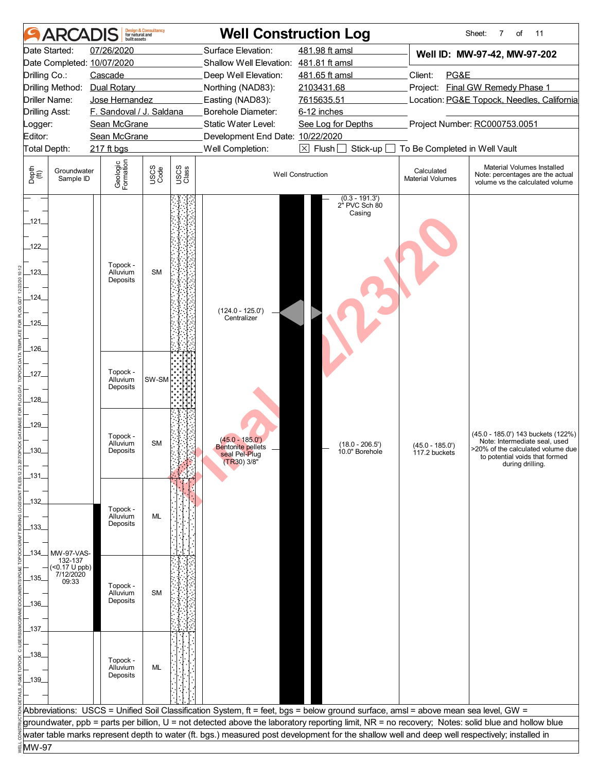|                       | ARCAI                       | built assets                             | <b>Design &amp; Consultancy</b><br>for natural and |               |                                                                                                                                               | <b>Well Construction Log</b>               |                                       | Sheet:<br>7<br>of<br>11                                                                                                                          |  |
|-----------------------|-----------------------------|------------------------------------------|----------------------------------------------------|---------------|-----------------------------------------------------------------------------------------------------------------------------------------------|--------------------------------------------|---------------------------------------|--------------------------------------------------------------------------------------------------------------------------------------------------|--|
|                       | Date Started:               | 07/26/2020<br>Date Completed: 10/07/2020 |                                                    |               | Surface Elevation:<br>Shallow Well Elevation: 481.81 ft amsl                                                                                  | 481.98 ft amsl                             |                                       | Well ID: MW-97-42, MW-97-202                                                                                                                     |  |
| Drilling Co.:         |                             | Cascade                                  |                                                    |               | Deep Well Elevation:                                                                                                                          | 481.65 ft amsl                             | Client:<br>PG&E                       |                                                                                                                                                  |  |
|                       | Drilling Method:            | Dual Rotary                              |                                                    |               | Northing (NAD83):                                                                                                                             | 2103431.68                                 |                                       | Project: Final GW Remedy Phase 1                                                                                                                 |  |
|                       | Driller Name:               | Jose Hernandez                           |                                                    |               | Easting (NAD83):                                                                                                                              | 7615635.51                                 |                                       | Location: PG&E Topock, Needles, California                                                                                                       |  |
| <b>Drilling Asst:</b> |                             | F. Sandoval / J. Saldana                 |                                                    |               | Borehole Diameter:                                                                                                                            | 6-12 inches                                |                                       |                                                                                                                                                  |  |
| Logger:               |                             | Sean McGrane                             |                                                    |               | Static Water Level:                                                                                                                           | See Log for Depths                         |                                       | Project Number: RC000753.0051                                                                                                                    |  |
| Editor:               | Total Depth:                | Sean McGrane<br>217 ft bgs               |                                                    |               | Development End Date: 10/22/2020<br>Well Completion:                                                                                          | $\boxtimes$ Flush<br>Stick-up              | To Be Completed in Well Vault         |                                                                                                                                                  |  |
|                       |                             |                                          |                                                    |               |                                                                                                                                               |                                            |                                       |                                                                                                                                                  |  |
| Depth<br>(ff)         | Groundwater<br>Sample ID    | Geologic<br>Formation                    | USCS<br>Code                                       | USCS<br>Class |                                                                                                                                               | <b>Well Construction</b>                   | Calculated<br><b>Material Volumes</b> | Material Volumes Installed<br>Note: percentages are the actual<br>volume vs the calculated volume                                                |  |
| _121_<br>122          |                             | Topock -                                 |                                                    |               |                                                                                                                                               | $(0.3 - 191.3)$<br>2" PVC Sch 80<br>Casing |                                       |                                                                                                                                                  |  |
| $-123$                |                             | Alluvium<br>Deposits                     | <b>SM</b>                                          |               |                                                                                                                                               |                                            |                                       |                                                                                                                                                  |  |
|                       |                             |                                          |                                                    |               |                                                                                                                                               |                                            |                                       |                                                                                                                                                  |  |
| _124_                 |                             |                                          |                                                    |               |                                                                                                                                               |                                            |                                       |                                                                                                                                                  |  |
|                       |                             |                                          |                                                    |               | $(124.0 - 125.0')$<br>Centralizer                                                                                                             |                                            |                                       |                                                                                                                                                  |  |
| $-125$                |                             |                                          |                                                    |               |                                                                                                                                               |                                            |                                       |                                                                                                                                                  |  |
|                       |                             |                                          |                                                    |               |                                                                                                                                               |                                            |                                       |                                                                                                                                                  |  |
| $-126$                |                             |                                          |                                                    |               |                                                                                                                                               |                                            |                                       |                                                                                                                                                  |  |
|                       |                             | Topock -                                 |                                                    |               |                                                                                                                                               |                                            |                                       |                                                                                                                                                  |  |
| _127_                 |                             | Alluvium<br>Deposits                     | SW-SM                                              |               |                                                                                                                                               |                                            |                                       |                                                                                                                                                  |  |
| $-128$                |                             |                                          |                                                    |               |                                                                                                                                               |                                            |                                       |                                                                                                                                                  |  |
|                       |                             |                                          |                                                    |               |                                                                                                                                               |                                            |                                       |                                                                                                                                                  |  |
| $-129$                |                             |                                          |                                                    |               |                                                                                                                                               |                                            |                                       |                                                                                                                                                  |  |
|                       |                             | Topock -                                 |                                                    |               | $(45.0 - 185.0')$                                                                                                                             |                                            |                                       | (45.0 - 185.0') 143 buckets (122%)                                                                                                               |  |
| $.130 -$              |                             | Alluvium<br>Deposits                     | <b>SM</b>                                          |               | <b>Bentonite pellets</b>                                                                                                                      | $(18.0 - 206.5')$<br>10.0" Borehole        | (45.0 - 185.0')<br>117.2 buckets      | Note: Intermediate seal, used<br>>20% of the calculated volume due                                                                               |  |
|                       |                             |                                          |                                                    |               | seal Pel-Plug<br>$(TR30)$ $3/8"$                                                                                                              |                                            |                                       | to potential voids that formed<br>during drilling.                                                                                               |  |
| $-131-$               |                             |                                          |                                                    |               |                                                                                                                                               |                                            |                                       |                                                                                                                                                  |  |
|                       |                             |                                          |                                                    |               |                                                                                                                                               |                                            |                                       |                                                                                                                                                  |  |
| _132_                 |                             |                                          |                                                    |               |                                                                                                                                               |                                            |                                       |                                                                                                                                                  |  |
|                       |                             | Topock -<br>Alluvium                     | ML                                                 |               |                                                                                                                                               |                                            |                                       |                                                                                                                                                  |  |
| $-133$                |                             | Deposits                                 |                                                    |               |                                                                                                                                               |                                            |                                       |                                                                                                                                                  |  |
|                       |                             |                                          |                                                    |               |                                                                                                                                               |                                            |                                       |                                                                                                                                                  |  |
| $-134$                | MW-97-VAS-                  |                                          |                                                    |               |                                                                                                                                               |                                            |                                       |                                                                                                                                                  |  |
|                       | 132-137<br>$($ <0.17 U ppb) |                                          |                                                    |               |                                                                                                                                               |                                            |                                       |                                                                                                                                                  |  |
| $-135$                | 7/12/2020<br>09:33          |                                          |                                                    |               |                                                                                                                                               |                                            |                                       |                                                                                                                                                  |  |
|                       |                             | Topock -<br>Alluvium                     | <b>SM</b>                                          |               |                                                                                                                                               |                                            |                                       |                                                                                                                                                  |  |
| _136_                 |                             | Deposits                                 |                                                    |               |                                                                                                                                               |                                            |                                       |                                                                                                                                                  |  |
|                       |                             |                                          |                                                    |               |                                                                                                                                               |                                            |                                       |                                                                                                                                                  |  |
| $-137$                |                             |                                          |                                                    |               |                                                                                                                                               |                                            |                                       |                                                                                                                                                  |  |
|                       |                             |                                          |                                                    |               |                                                                                                                                               |                                            |                                       |                                                                                                                                                  |  |
| _138_                 |                             | Topock -                                 |                                                    |               |                                                                                                                                               |                                            |                                       |                                                                                                                                                  |  |
|                       |                             | Alluvium<br>Deposits                     | ML                                                 |               |                                                                                                                                               |                                            |                                       |                                                                                                                                                  |  |
| $-139$                |                             |                                          |                                                    |               |                                                                                                                                               |                                            |                                       |                                                                                                                                                  |  |
|                       |                             |                                          |                                                    |               |                                                                                                                                               |                                            |                                       |                                                                                                                                                  |  |
|                       |                             |                                          |                                                    |               | Abbreviations: USCS = Unified Soil Classification System, ft = feet, bgs = below ground surface, amsl = above mean sea level, GW =            |                                            |                                       |                                                                                                                                                  |  |
|                       |                             |                                          |                                                    |               |                                                                                                                                               |                                            |                                       | groundwater, ppb = parts per billion, U = not detected above the laboratory reporting limit, NR = no recovery; Notes: solid blue and hollow blue |  |
|                       |                             |                                          |                                                    |               | water table marks represent depth to water (ft. bgs.) measured post development for the shallow well and deep well respectively; installed in |                                            |                                       |                                                                                                                                                  |  |
| MW-97                 |                             |                                          |                                                    |               |                                                                                                                                               |                                            |                                       |                                                                                                                                                  |  |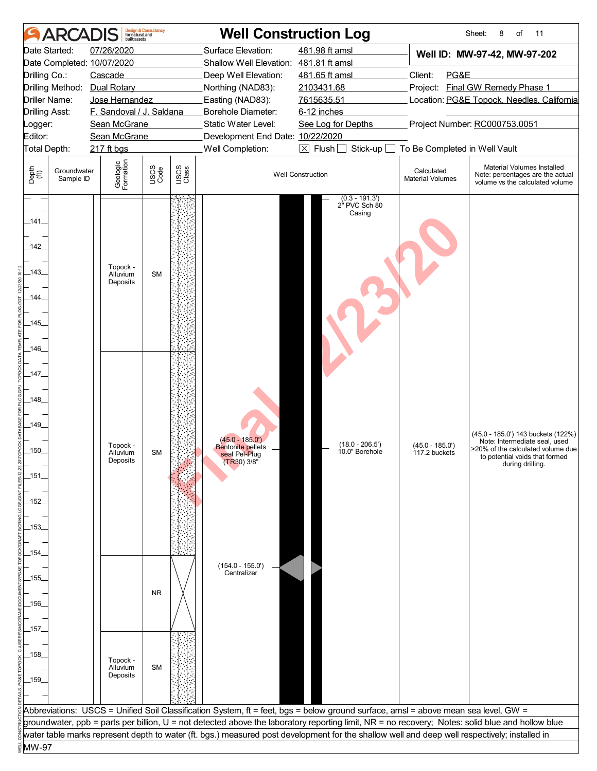|                                                                                                                                                        | ARCAI                    | built assets                                                         | <b>Design &amp; Consultancy</b><br>for natural and |               |                                                                                                                                               | <b>Well Construction Log</b>                                                       |                                       | Sheet:<br>8<br>of<br>11                                                                                                                                        |
|--------------------------------------------------------------------------------------------------------------------------------------------------------|--------------------------|----------------------------------------------------------------------|----------------------------------------------------|---------------|-----------------------------------------------------------------------------------------------------------------------------------------------|------------------------------------------------------------------------------------|---------------------------------------|----------------------------------------------------------------------------------------------------------------------------------------------------------------|
|                                                                                                                                                        | Date Started:            | 07/26/2020                                                           |                                                    |               | Surface Elevation:                                                                                                                            | 481.98 ft amsl                                                                     |                                       | Well ID: MW-97-42, MW-97-202                                                                                                                                   |
|                                                                                                                                                        |                          | Date Completed: 10/07/2020                                           |                                                    |               | Shallow Well Elevation: 481.81 ft amsl                                                                                                        |                                                                                    |                                       |                                                                                                                                                                |
| Drilling Co.:                                                                                                                                          |                          | Cascade                                                              |                                                    |               | Deep Well Elevation:                                                                                                                          | 481.65 ft amsl                                                                     | Client:<br>PG&E                       |                                                                                                                                                                |
|                                                                                                                                                        | Drilling Method:         | Dual Rotary                                                          |                                                    |               | Northing (NAD83):                                                                                                                             | 2103431.68                                                                         |                                       | Project: Final GW Remedy Phase 1                                                                                                                               |
|                                                                                                                                                        | Driller Name:            | Jose Hernandez                                                       |                                                    |               | Easting (NAD83):                                                                                                                              | 7615635.51                                                                         |                                       | Location: PG&E Topock, Needles, California                                                                                                                     |
| <b>Drilling Asst:</b>                                                                                                                                  |                          | F. Sandoval / J. Saldana                                             |                                                    |               | Borehole Diameter:<br>6-12 inches                                                                                                             |                                                                                    |                                       |                                                                                                                                                                |
| Logger:                                                                                                                                                |                          | Sean McGrane                                                         |                                                    |               | Static Water Level:                                                                                                                           | See Log for Depths                                                                 |                                       | Project Number: RC000753.0051                                                                                                                                  |
| Editor:                                                                                                                                                |                          | Sean McGrane                                                         |                                                    |               | Development End Date: 10/22/2020                                                                                                              |                                                                                    |                                       |                                                                                                                                                                |
| Total Depth:                                                                                                                                           |                          | 217 ft bgs                                                           |                                                    |               | Well Completion:                                                                                                                              | $\boxtimes$ Flush [<br>Stick-up                                                    | To Be Completed in Well Vault         |                                                                                                                                                                |
| Depth<br>(ff)                                                                                                                                          | Groundwater<br>Sample ID | Geologic<br>Formation                                                | USCS<br>Code                                       | USCS<br>Class |                                                                                                                                               | <b>Well Construction</b>                                                           | Calculated<br><b>Material Volumes</b> | Material Volumes Installed<br>Note: percentages are the actual<br>volume vs the calculated volume                                                              |
| _141_<br>142<br>_143_<br>_144_<br>$-145$<br>_146_<br>_147_<br>148<br>_149_<br>$.150 -$<br>$-151$<br>_152_<br>_153_<br>_154_<br>_155_<br>_156_<br>_157_ |                          | Topock -<br>Alluvium<br>Deposits<br>Topock -<br>Alluvium<br>Deposits | <b>SM</b><br><b>SM</b><br><b>NR</b>                |               | $(45.0 - 185.0')$<br><b>Bentonite pellets</b><br>seal Pel-Plug<br>(TR30) 3/8"<br>$(154.0 - 155.0')$<br>Centralizer                            | $(0.3 - 191.3')$<br>2" PVC Sch 80<br>Casing<br>$(18.0 - 206.5')$<br>10.0" Borehole | (45.0 - 185.0')<br>117.2 buckets      | (45.0 - 185.0') 143 buckets (122%)<br>Note: Intermediate seal, used<br>>20% of the calculated volume due<br>to potential voids that formed<br>during drilling. |
| _158_<br>$-159$                                                                                                                                        |                          | Topock -<br>Alluvium<br>Deposits                                     | <b>SM</b>                                          |               |                                                                                                                                               |                                                                                    |                                       |                                                                                                                                                                |
|                                                                                                                                                        |                          |                                                                      |                                                    |               |                                                                                                                                               |                                                                                    |                                       |                                                                                                                                                                |
|                                                                                                                                                        |                          |                                                                      |                                                    |               | Abbreviations: USCS = Unified Soil Classification System, ft = feet, bgs = below ground surface, amsl = above mean sea level, GW =            |                                                                                    |                                       |                                                                                                                                                                |
|                                                                                                                                                        |                          |                                                                      |                                                    |               |                                                                                                                                               |                                                                                    |                                       | groundwater, ppb = parts per billion, U = not detected above the laboratory reporting limit, NR = no recovery; Notes: solid blue and hollow blue               |
|                                                                                                                                                        |                          |                                                                      |                                                    |               | water table marks represent depth to water (ft. bgs.) measured post development for the shallow well and deep well respectively; installed in |                                                                                    |                                       |                                                                                                                                                                |
| MW-97                                                                                                                                                  |                          |                                                                      |                                                    |               |                                                                                                                                               |                                                                                    |                                       |                                                                                                                                                                |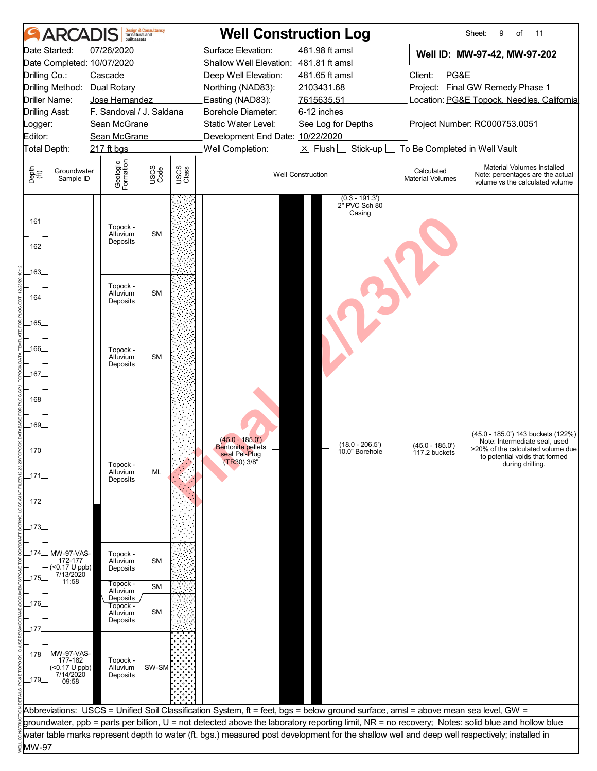| <b>ARCA</b>                                                                                                                                                      | <b>Design &amp; Consultancy</b><br>for natural and<br>huilt assets                                                               | <b>Well Construction Log</b>                                                                                                                                                                                                                                                                                                                                                                                                            |                                                                                                                                      |                                                  | Sheet:<br>9<br>of<br>11                                                                                                                                        |
|------------------------------------------------------------------------------------------------------------------------------------------------------------------|----------------------------------------------------------------------------------------------------------------------------------|-----------------------------------------------------------------------------------------------------------------------------------------------------------------------------------------------------------------------------------------------------------------------------------------------------------------------------------------------------------------------------------------------------------------------------------------|--------------------------------------------------------------------------------------------------------------------------------------|--------------------------------------------------|----------------------------------------------------------------------------------------------------------------------------------------------------------------|
| Date Started:<br>Date Completed: 10/07/2020<br>Drilling Co.:<br>Drilling Method:<br>Driller Name:<br><b>Drilling Asst:</b><br>_ogger:<br>Editor:<br>Total Depth: | 07/26/2020<br>Cascade<br>Dual Rotary<br>Jose Hernandez<br>F. Sandoval / J. Saldana<br>Sean McGrane<br>Sean McGrane<br>217 ft bgs | Surface Elevation:<br>Shallow Well Elevation: 481.81 ft amsl<br>Deep Well Elevation:<br>Northing (NAD83):<br>Easting (NAD83):<br>Borehole Diameter:<br>Static Water Level:<br>Development End Date: 10/22/2020<br>Well Completion:                                                                                                                                                                                                      | 481.98 ft amsl<br>481.65 ft amsl<br>2103431.68<br>7615635.51<br>6-12 inches<br>See Log for Depths<br>$\boxtimes$ Flush [<br>Stick-up | Client:<br>PG&E<br>To Be Completed in Well Vault | Well ID: MW-97-42, MW-97-202<br>Project: Final GW Remedy Phase 1<br>Location: PG&E Topock, Needles, California<br>Project Number: RC000753.0051                |
| Depth<br>(ff)<br>Groundwater<br>Sample ID                                                                                                                        | Geologic<br>Formation<br>USCS<br>Code                                                                                            | USCS<br>Class                                                                                                                                                                                                                                                                                                                                                                                                                           | <b>Well Construction</b>                                                                                                             | Calculated<br><b>Material Volumes</b>            | Material Volumes Installed<br>Note: percentages are the actual<br>volume vs the calculated volume                                                              |
| _161_<br>$-162$                                                                                                                                                  | Topock -<br><b>SM</b><br>Alluvium<br>Deposits                                                                                    |                                                                                                                                                                                                                                                                                                                                                                                                                                         | $(0.3 - 191.3)$<br>2" PVC Sch 80<br>Casing                                                                                           |                                                  |                                                                                                                                                                |
| _163_<br>_164_                                                                                                                                                   | Topock -<br><b>SM</b><br>Alluvium<br>Deposits                                                                                    |                                                                                                                                                                                                                                                                                                                                                                                                                                         |                                                                                                                                      |                                                  |                                                                                                                                                                |
| $-165$<br>_166_<br>_167_<br>$-168$                                                                                                                               | Topock -<br><b>SM</b><br>Alluvium<br>Deposits                                                                                    |                                                                                                                                                                                                                                                                                                                                                                                                                                         |                                                                                                                                      |                                                  |                                                                                                                                                                |
| _169_<br>_170_<br>$-171$                                                                                                                                         | Topock -<br>Alluvium<br>ML<br>Deposits                                                                                           | $(45.0 - 185.0')$<br><b>Bentonite pellets</b><br>seal Pel-Plug<br>$(TR30)$ $3/8"$                                                                                                                                                                                                                                                                                                                                                       | $(18.0 - 206.5')$<br>10.0" Borehole                                                                                                  | (45.0 - 185.0')<br>117.2 buckets                 | (45.0 - 185.0') 143 buckets (122%)<br>Note: Intermediate seal, used<br>>20% of the calculated volume due<br>to potential voids that formed<br>during drilling. |
| _172_<br>$-173$                                                                                                                                                  |                                                                                                                                  |                                                                                                                                                                                                                                                                                                                                                                                                                                         |                                                                                                                                      |                                                  |                                                                                                                                                                |
| _174__<br>MW-97-VAS-<br>172-177<br>$($ < 0.17 U ppb)<br>7/13/2020<br>11:58<br>$-175$                                                                             | Topock -<br><b>SM</b><br>Alluvium<br>Deposits                                                                                    |                                                                                                                                                                                                                                                                                                                                                                                                                                         |                                                                                                                                      |                                                  |                                                                                                                                                                |
| _176_                                                                                                                                                            | Topock -<br><b>SM</b><br>Alluvium<br>Deposits<br>Topock -<br><b>SM</b><br>Alluvium<br>Deposits                                   |                                                                                                                                                                                                                                                                                                                                                                                                                                         |                                                                                                                                      |                                                  |                                                                                                                                                                |
| $-177$<br>MW-97-VAS-<br>$-178$<br>177-182<br>$($ < 0.17 U ppb)<br>7/14/2020<br>$-179$<br>09:58                                                                   | Topock -<br>SW-SM<br>Alluvium<br>Deposits                                                                                        |                                                                                                                                                                                                                                                                                                                                                                                                                                         |                                                                                                                                      |                                                  |                                                                                                                                                                |
|                                                                                                                                                                  |                                                                                                                                  | Abbreviations: USCS = Unified Soil Classification System, ft = feet, bgs = below ground surface, amsl = above mean sea level, GW =<br>groundwater, ppb = parts per billion, U = not detected above the laboratory reporting limit, NR = no recovery; Notes: solid blue and hollow blue<br>water table marks represent depth to water (ft. bgs.) measured post development for the shallow well and deep well respectively; installed in |                                                                                                                                      |                                                  |                                                                                                                                                                |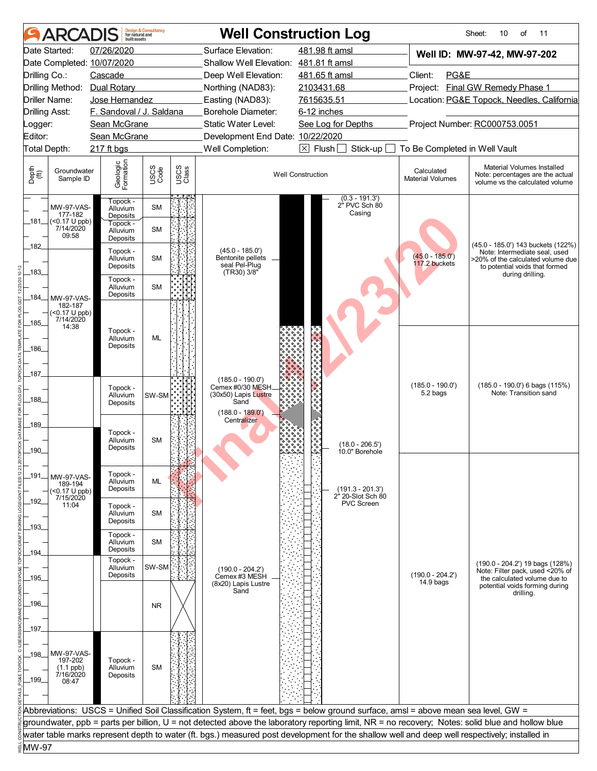|                                | <b>ARCADIS</b>                          | <b>built</b> assets              | <b>Design &amp; Consultancy</b><br>for natural and |               |                                                         | <b>Well Construction Log</b>                                                                                                                     |                                       | Sheet:<br>11<br>10<br>of                                                                                                                   |  |
|--------------------------------|-----------------------------------------|----------------------------------|----------------------------------------------------|---------------|---------------------------------------------------------|--------------------------------------------------------------------------------------------------------------------------------------------------|---------------------------------------|--------------------------------------------------------------------------------------------------------------------------------------------|--|
|                                | Date Started:                           | 07/26/2020                       |                                                    |               | Surface Elevation:                                      | 481.98 ft amsl                                                                                                                                   |                                       | Well ID: MW-97-42, MW-97-202                                                                                                               |  |
|                                |                                         | Date Completed: 10/07/2020       |                                                    |               | Shallow Well Elevation: 481.81 ft amsl                  |                                                                                                                                                  |                                       |                                                                                                                                            |  |
|                                | Drilling Co.:                           | Cascade                          |                                                    |               | Deep Well Elevation:                                    | 481.65 ft amsl                                                                                                                                   | Client:<br>PG&E                       |                                                                                                                                            |  |
|                                | Drilling Method:                        | <b>Dual Rotary</b>               |                                                    |               | Northing (NAD83):                                       | 2103431.68                                                                                                                                       | Project:                              | Final GW Remedy Phase 1                                                                                                                    |  |
|                                | Driller Name:                           | Jose Hernandez                   |                                                    |               | Easting (NAD83):                                        | Location: PG&E Topock, Needles, California<br>7615635.51                                                                                         |                                       |                                                                                                                                            |  |
|                                | <b>Drilling Asst:</b>                   | F. Sandoval / J. Saldana         |                                                    |               | <b>Borehole Diameter:</b>                               | 6-12 inches                                                                                                                                      |                                       |                                                                                                                                            |  |
| Logger:                        |                                         | Sean McGrane                     |                                                    |               | Static Water Level:                                     | See Log for Depths                                                                                                                               |                                       | Project Number: RC000753.0051                                                                                                              |  |
| Editor:                        |                                         | Sean McGrane                     |                                                    |               | Development End Date: 10/22/2020                        |                                                                                                                                                  |                                       |                                                                                                                                            |  |
|                                | Total Depth:                            | 217 ft bgs                       |                                                    |               | Well Completion:                                        | $\boxed{\times}$ Flush<br>Stick-up                                                                                                               | To Be Completed in Well Vault         |                                                                                                                                            |  |
| Depth<br>$\bigoplus_{i=1}^{n}$ | Groundwater<br>Sample ID                | Geologic<br>Formation            | USCS<br>Code                                       | USCS<br>Class |                                                         | <b>Well Construction</b>                                                                                                                         | Calculated<br><b>Material Volumes</b> | Material Volumes Installed<br>Note: percentages are the actual<br>volume vs the calculated volume                                          |  |
|                                | MW-97-VAS-<br>177-182                   | Topock -<br>Alluvium<br>Deposits | <b>SM</b>                                          |               |                                                         | $(0.3 - 191.3')$<br>2" PVC Sch 80<br>Casing                                                                                                      |                                       |                                                                                                                                            |  |
| _181_                          | $($ < 0.17 U ppb)<br>7/14/2020<br>09:58 | Topock -<br>Alluvium<br>Deposits | <b>SM</b>                                          |               |                                                         |                                                                                                                                                  |                                       |                                                                                                                                            |  |
| .182_                          |                                         | Topock -<br>Alluvium<br>Deposits | <b>SM</b>                                          |               | $(45.0 - 185.0')$<br>Bentonite pellets<br>seal Pel-Plug |                                                                                                                                                  | $(45.0 - 185.0')$<br>117.2 buckets    | (45.0 - 185.0') 143 buckets (122%)<br>Note: Intermediate seal, used<br>>20% of the calculated volume due<br>to potential voids that formed |  |
| $-183$                         |                                         | Topock -                         |                                                    |               | $(TR30)$ $3/8"$                                         |                                                                                                                                                  |                                       | during drilling.                                                                                                                           |  |
|                                |                                         | Alluvium<br>Deposits             | <b>SM</b>                                          |               |                                                         |                                                                                                                                                  |                                       |                                                                                                                                            |  |
| _184_                          | <b>MW-97-VAS-</b><br>182-187            |                                  |                                                    |               |                                                         |                                                                                                                                                  |                                       |                                                                                                                                            |  |
|                                | (<0.17 U ppb)<br>7/14/2020              |                                  |                                                    |               |                                                         |                                                                                                                                                  |                                       |                                                                                                                                            |  |
| $-185$                         | 14:38                                   | Topock -                         |                                                    |               |                                                         |                                                                                                                                                  |                                       |                                                                                                                                            |  |
|                                |                                         | Alluvium<br>Deposits             | <b>ML</b>                                          |               |                                                         |                                                                                                                                                  |                                       |                                                                                                                                            |  |
| _186_                          |                                         |                                  |                                                    |               |                                                         |                                                                                                                                                  |                                       |                                                                                                                                            |  |
|                                |                                         |                                  |                                                    |               |                                                         |                                                                                                                                                  |                                       |                                                                                                                                            |  |
| 187                            |                                         |                                  |                                                    |               | $(185.0 - 190.0')$                                      |                                                                                                                                                  |                                       |                                                                                                                                            |  |
|                                |                                         | Topock -<br>Alluvium             | SW-SM                                              |               | Cemex #0/30 MESH.<br>(30x50) Lapis Lustre               |                                                                                                                                                  | $(185.0 - 190.0')$<br>5.2 bags        | $(185.0 - 190.0)$ 6 bags $(115%)$<br>Note: Transition sand                                                                                 |  |
| 188                            |                                         | Deposits                         |                                                    |               | Sand                                                    |                                                                                                                                                  |                                       |                                                                                                                                            |  |
|                                |                                         |                                  |                                                    |               | $(188.0 - 189.0')$<br>Centralizer                       |                                                                                                                                                  |                                       |                                                                                                                                            |  |
| 189                            |                                         | Topock -                         |                                                    |               |                                                         |                                                                                                                                                  |                                       |                                                                                                                                            |  |
|                                |                                         | Alluvium                         | <b>SM</b>                                          |               |                                                         | $(18.0 - 206.5')$                                                                                                                                |                                       |                                                                                                                                            |  |
| 190_                           |                                         | Deposits                         |                                                    |               |                                                         | 10.0" Borehole                                                                                                                                   |                                       |                                                                                                                                            |  |
|                                |                                         |                                  |                                                    |               |                                                         |                                                                                                                                                  |                                       |                                                                                                                                            |  |
| $-191-$                        | <b>MW-97-VAS-</b>                       | Topock -<br>Alluvium             | ML                                                 |               |                                                         |                                                                                                                                                  |                                       |                                                                                                                                            |  |
|                                | 189-194<br>$($ < 0.17 U ppb)            | Deposits                         |                                                    |               |                                                         | $(191.3 - 201.3')$                                                                                                                               |                                       |                                                                                                                                            |  |
| $-192$                         | 7/15/2020<br>11:04                      | Topock -                         |                                                    |               |                                                         | 2" 20-Slot Sch 80<br><b>PVC Screen</b>                                                                                                           |                                       |                                                                                                                                            |  |
|                                |                                         | Alluvium                         | <b>SM</b>                                          |               |                                                         |                                                                                                                                                  |                                       |                                                                                                                                            |  |
| _193_                          |                                         | Deposits                         |                                                    |               |                                                         |                                                                                                                                                  |                                       |                                                                                                                                            |  |
|                                |                                         | Topock -<br>Alluvium             | <b>SM</b>                                          |               |                                                         |                                                                                                                                                  |                                       |                                                                                                                                            |  |
| _194_                          |                                         | Deposits                         |                                                    |               |                                                         |                                                                                                                                                  |                                       |                                                                                                                                            |  |
|                                |                                         | Topock -<br>Alluvium             | SW-SM                                              |               |                                                         |                                                                                                                                                  |                                       | (190.0 - 204.2') 19 bags (128%)                                                                                                            |  |
| _195_                          |                                         | Deposits                         |                                                    |               | $(190.0 - 204.2')$<br>Cemex #3 MESH                     |                                                                                                                                                  | $(190.0 - 204.2')$                    | Note: Filter pack, used <20% of<br>the calculated volume due to                                                                            |  |
|                                |                                         |                                  |                                                    |               | (8x20) Lapis Lustre<br>Sand                             |                                                                                                                                                  | $14.9$ bags                           | potential voids forming during<br>drilling.                                                                                                |  |
| _196_                          |                                         |                                  | <b>NR</b>                                          |               |                                                         |                                                                                                                                                  |                                       |                                                                                                                                            |  |
|                                |                                         |                                  |                                                    |               |                                                         |                                                                                                                                                  |                                       |                                                                                                                                            |  |
| _197_                          |                                         |                                  |                                                    |               |                                                         |                                                                                                                                                  |                                       |                                                                                                                                            |  |
|                                |                                         |                                  |                                                    |               |                                                         |                                                                                                                                                  |                                       |                                                                                                                                            |  |
| $-198$                         | <b>MW-97-VAS-</b>                       |                                  |                                                    |               |                                                         |                                                                                                                                                  |                                       |                                                                                                                                            |  |
|                                | 197-202                                 | Topock -                         |                                                    |               |                                                         |                                                                                                                                                  |                                       |                                                                                                                                            |  |
|                                | $(1.1$ ppb)<br>7/16/2020                | Alluvium<br>Deposits             | <b>SM</b>                                          |               |                                                         |                                                                                                                                                  |                                       |                                                                                                                                            |  |
| $-199$                         | 08:47                                   |                                  |                                                    |               |                                                         |                                                                                                                                                  |                                       |                                                                                                                                            |  |
|                                |                                         |                                  |                                                    |               |                                                         |                                                                                                                                                  |                                       |                                                                                                                                            |  |
|                                |                                         |                                  |                                                    |               |                                                         | Abbreviations: USCS = Unified Soil Classification System, ft = feet, bgs = below ground surface, amsl = above mean sea level, GW =               |                                       |                                                                                                                                            |  |
|                                |                                         |                                  |                                                    |               |                                                         | groundwater, ppb = parts per billion, U = not detected above the laboratory reporting limit, NR = no recovery; Notes: solid blue and hollow blue |                                       |                                                                                                                                            |  |
|                                |                                         |                                  |                                                    |               |                                                         | water table marks represent depth to water (ft. bgs.) measured post development for the shallow well and deep well respectively; installed in    |                                       |                                                                                                                                            |  |
| MW-97                          |                                         |                                  |                                                    |               |                                                         |                                                                                                                                                  |                                       |                                                                                                                                            |  |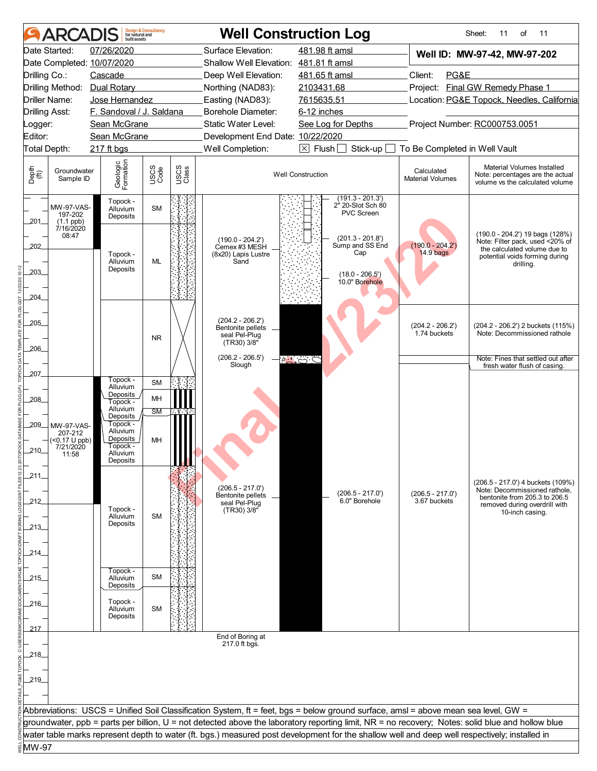|                                    | <b>ARCAI</b>                                | huilt assets                             | <b>Design &amp; Consultancy</b><br>for natural and |               |                                                                             | <b>Well Construction Log</b>                                                                                                                     |                                            | Sheet:<br>of<br>11<br>11                                                                                                                          |  |
|------------------------------------|---------------------------------------------|------------------------------------------|----------------------------------------------------|---------------|-----------------------------------------------------------------------------|--------------------------------------------------------------------------------------------------------------------------------------------------|--------------------------------------------|---------------------------------------------------------------------------------------------------------------------------------------------------|--|
|                                    | Date Started:                               | 07/26/2020<br>Date Completed: 10/07/2020 |                                                    |               | Surface Elevation:<br>Shallow Well Elevation: 481.81 ft amsl                | 481.98 ft amsl                                                                                                                                   |                                            | Well ID: MW-97-42, MW-97-202                                                                                                                      |  |
| Drilling Co.:                      |                                             | Cascade                                  |                                                    |               | Deep Well Elevation:                                                        | 481.65 ft amsl                                                                                                                                   | Client:<br>PG&E                            |                                                                                                                                                   |  |
|                                    |                                             | Drilling Method: Dual Rotary             |                                                    |               | Northing (NAD83):                                                           | 2103431.68                                                                                                                                       | Project: Final GW Remedy Phase 1           |                                                                                                                                                   |  |
|                                    | Driller Name:                               | Jose Hernandez                           |                                                    |               | Easting (NAD83):                                                            | 7615635.51                                                                                                                                       | Location: PG&E Topock, Needles, California |                                                                                                                                                   |  |
| <b>Drilling Asst:</b>              |                                             | F. Sandoval / J. Saldana                 |                                                    |               | Borehole Diameter:                                                          | 6-12 inches                                                                                                                                      |                                            |                                                                                                                                                   |  |
| _ogger:                            |                                             | Sean McGrane                             |                                                    |               | Static Water Level:                                                         | See Log for Depths                                                                                                                               |                                            | Project Number: RC000753.0051                                                                                                                     |  |
| Editor:                            |                                             | Sean McGrane                             |                                                    |               | Development End Date: 10/22/2020                                            |                                                                                                                                                  |                                            |                                                                                                                                                   |  |
| Total Depth:                       |                                             | 217 ft bgs                               |                                                    |               | Well Completion:                                                            | $\boxtimes$ Flush<br>Stick-up                                                                                                                    | To Be Completed in Well Vault              |                                                                                                                                                   |  |
| Depth<br>(ff)                      | Groundwater<br>Sample ID                    | Geologic<br>Formation                    | USCS<br>Code                                       | USCS<br>Class |                                                                             | <b>Well Construction</b>                                                                                                                         | Calculated<br><b>Material Volumes</b>      | Material Volumes Installed<br>Note: percentages are the actual<br>volume vs the calculated volume                                                 |  |
| _201_                              | <b>MW-97-VAS-</b><br>197-202<br>$(1.1$ ppb) | Topock -<br>Alluvium<br>Deposits         | <b>SM</b>                                          |               |                                                                             | $(191.3 - 201.3')$<br>2" 20-Slot Sch 80<br><b>PVC Screen</b>                                                                                     |                                            |                                                                                                                                                   |  |
| 202<br>203_                        | 7/16/2020<br>08:47                          | Topock -<br>Alluvium<br>Deposits         | ML                                                 |               | $(190.0 - 204.2')$<br>Cemex #3 MESH<br>(8x20) Lapis Lustre<br>Sand          | $(201.3 - 201.8')$<br>Sump and SS End<br>Cap<br>$(18.0 - 206.5')$<br>10.0" Borehole                                                              | $(190.0 - 204.2')$<br>$14.9b$ aqs          | (190.0 - 204.2') 19 bags (128%)<br>Note: Filter pack, used <20% of<br>the calculated volume due to<br>potential voids forming during<br>drilling. |  |
| 204<br>$205$ <sub>-</sub><br>.206. |                                             |                                          | <b>NR</b>                                          |               | $(204.2 - 206.2')$<br>Bentonite pellets<br>seal Pel-Plug<br>$(TR30)$ $3/8"$ |                                                                                                                                                  | $(204.2 - 206.2')$<br>1.74 buckets         | (204.2 - 206.2') 2 buckets (115%)<br>Note: Decommissioned rathole                                                                                 |  |
|                                    |                                             |                                          |                                                    |               | $(206.2 - 206.5')$                                                          | $-e_{\sim}$ $\circ$ $\circ$                                                                                                                      |                                            | Note: Fines that settled out after                                                                                                                |  |
| .207                               |                                             |                                          |                                                    |               | Slough                                                                      |                                                                                                                                                  |                                            | fresh water flush of casing.                                                                                                                      |  |
|                                    |                                             | Topock -<br>Alluvium                     | <b>SM</b>                                          |               |                                                                             |                                                                                                                                                  |                                            |                                                                                                                                                   |  |
|                                    |                                             | Deposits                                 | MH                                                 |               |                                                                             |                                                                                                                                                  |                                            |                                                                                                                                                   |  |
| 208                                |                                             | Topock -<br>Alluvium                     |                                                    |               |                                                                             |                                                                                                                                                  |                                            |                                                                                                                                                   |  |
|                                    |                                             | Deposits                                 | <b>SM</b>                                          |               |                                                                             |                                                                                                                                                  |                                            |                                                                                                                                                   |  |
| _209_                              | <b>MW-97-VAS-</b><br>207-212                | Topock -<br>Alluvium                     |                                                    |               |                                                                             |                                                                                                                                                  |                                            |                                                                                                                                                   |  |
|                                    | $($ < 0.17 U ppb)                           | Deposits<br>Topock -                     | MH                                                 |               |                                                                             |                                                                                                                                                  |                                            |                                                                                                                                                   |  |
| .210                               | 7/21/2020<br>11:58                          | Alluvium                                 |                                                    |               |                                                                             |                                                                                                                                                  |                                            |                                                                                                                                                   |  |
|                                    |                                             | Deposits                                 |                                                    | Ш             |                                                                             |                                                                                                                                                  |                                            |                                                                                                                                                   |  |
| _211_                              |                                             |                                          |                                                    |               |                                                                             |                                                                                                                                                  |                                            |                                                                                                                                                   |  |
|                                    |                                             |                                          |                                                    |               | $(206.5 - 217.0')$                                                          |                                                                                                                                                  |                                            | (206.5 - 217.0') 4 buckets (109%)<br>Note: Decommissioned rathole,                                                                                |  |
| 212                                |                                             |                                          |                                                    |               | Bentonite pellets<br>seal Pel-Plug                                          | $(206.5 - 217.0')$<br>6.0" Borehole                                                                                                              | $(206.5 - 217.0')$<br>3.67 buckets         | bentonite from 205.3 to 206.5                                                                                                                     |  |
|                                    |                                             | Topock -                                 |                                                    |               | (TR30) 3/8"                                                                 |                                                                                                                                                  |                                            | removed during overdrill with<br>10-inch casing.                                                                                                  |  |
|                                    |                                             | Alluvium<br>Deposits                     | <b>SM</b>                                          |               |                                                                             |                                                                                                                                                  |                                            |                                                                                                                                                   |  |
| _213_                              |                                             |                                          |                                                    |               |                                                                             |                                                                                                                                                  |                                            |                                                                                                                                                   |  |
|                                    |                                             |                                          |                                                    |               |                                                                             |                                                                                                                                                  |                                            |                                                                                                                                                   |  |
| 214_                               |                                             |                                          |                                                    |               |                                                                             |                                                                                                                                                  |                                            |                                                                                                                                                   |  |
|                                    |                                             | Topock -                                 |                                                    |               |                                                                             |                                                                                                                                                  |                                            |                                                                                                                                                   |  |
| _215_                              |                                             | Alluvium                                 | <b>SM</b>                                          |               |                                                                             |                                                                                                                                                  |                                            |                                                                                                                                                   |  |
|                                    |                                             | Deposits                                 |                                                    |               |                                                                             |                                                                                                                                                  |                                            |                                                                                                                                                   |  |
| _216_                              |                                             | Topock -<br>Alluvium                     | <b>SM</b>                                          |               |                                                                             |                                                                                                                                                  |                                            |                                                                                                                                                   |  |
|                                    |                                             | Deposits                                 |                                                    |               |                                                                             |                                                                                                                                                  |                                            |                                                                                                                                                   |  |
| 217                                |                                             |                                          |                                                    |               |                                                                             |                                                                                                                                                  |                                            |                                                                                                                                                   |  |
|                                    |                                             |                                          |                                                    |               | End of Boring at                                                            |                                                                                                                                                  |                                            |                                                                                                                                                   |  |
| _218_                              |                                             |                                          |                                                    |               | 217.0 ft bgs.                                                               |                                                                                                                                                  |                                            |                                                                                                                                                   |  |
|                                    |                                             |                                          |                                                    |               |                                                                             |                                                                                                                                                  |                                            |                                                                                                                                                   |  |
|                                    |                                             |                                          |                                                    |               |                                                                             |                                                                                                                                                  |                                            |                                                                                                                                                   |  |
| 219                                |                                             |                                          |                                                    |               |                                                                             |                                                                                                                                                  |                                            |                                                                                                                                                   |  |
|                                    |                                             |                                          |                                                    |               |                                                                             |                                                                                                                                                  |                                            |                                                                                                                                                   |  |
|                                    |                                             |                                          |                                                    |               |                                                                             | Abbreviations: USCS = Unified Soil Classification System, ft = feet, bgs = below ground surface, amsl = above mean sea level, GW =               |                                            |                                                                                                                                                   |  |
|                                    |                                             |                                          |                                                    |               |                                                                             | groundwater, ppb = parts per billion, U = not detected above the laboratory reporting limit, NR = no recovery; Notes: solid blue and hollow blue |                                            |                                                                                                                                                   |  |
|                                    |                                             |                                          |                                                    |               |                                                                             | water table marks represent depth to water (ft. bgs.) measured post development for the shallow well and deep well respectively; installed in    |                                            |                                                                                                                                                   |  |
| MW-97                              |                                             |                                          |                                                    |               |                                                                             |                                                                                                                                                  |                                            |                                                                                                                                                   |  |
|                                    |                                             |                                          |                                                    |               |                                                                             |                                                                                                                                                  |                                            |                                                                                                                                                   |  |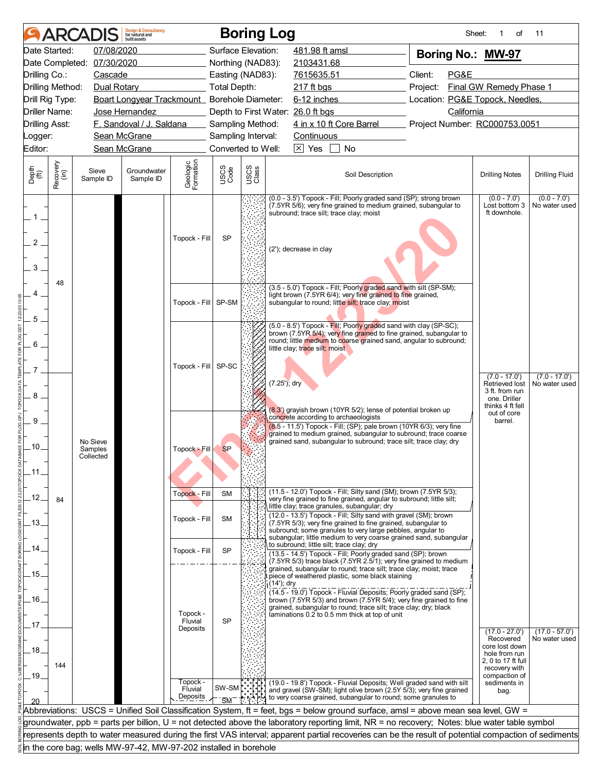|                             |                  | <b>ARCADIS</b>                                                   | <b>Design &amp; Consultancy</b><br>for natural and<br>huilt assets |                                 |                     |               | <b>Boring Log</b>                                                                                                                                                                                                                               | Sheet:                          | 1<br>of                                                                                                                 | 11                                |  |  |  |  |  |  |  |  |  |  |  |  |  |  |  |  |  |  |  |               |               |           |                                                                                                                                           |                                                                                                                                                                                                                                                                                                                     |  |  |
|-----------------------------|------------------|------------------------------------------------------------------|--------------------------------------------------------------------|---------------------------------|---------------------|---------------|-------------------------------------------------------------------------------------------------------------------------------------------------------------------------------------------------------------------------------------------------|---------------------------------|-------------------------------------------------------------------------------------------------------------------------|-----------------------------------|--|--|--|--|--|--|--|--|--|--|--|--|--|--|--|--|--|--|--|---------------|---------------|-----------|-------------------------------------------------------------------------------------------------------------------------------------------|---------------------------------------------------------------------------------------------------------------------------------------------------------------------------------------------------------------------------------------------------------------------------------------------------------------------|--|--|
|                             | Date Started:    | 07/08/2020                                                       |                                                                    |                                 | Surface Elevation:  |               | 481.98 ft amsl                                                                                                                                                                                                                                  | Boring No.: MW-97               |                                                                                                                         |                                   |  |  |  |  |  |  |  |  |  |  |  |  |  |  |  |  |  |  |  |               |               |           |                                                                                                                                           |                                                                                                                                                                                                                                                                                                                     |  |  |
|                             |                  | Date Completed: 07/30/2020                                       |                                                                    |                                 | Northing (NAD83):   |               | 2103431.68                                                                                                                                                                                                                                      |                                 |                                                                                                                         |                                   |  |  |  |  |  |  |  |  |  |  |  |  |  |  |  |  |  |  |  |               |               |           |                                                                                                                                           |                                                                                                                                                                                                                                                                                                                     |  |  |
| Drilling Co.:               |                  | Cascade                                                          |                                                                    |                                 | Easting (NAD83):    |               | 7615635.51                                                                                                                                                                                                                                      | Client:<br>PG&E                 |                                                                                                                         |                                   |  |  |  |  |  |  |  |  |  |  |  |  |  |  |  |  |  |  |  |               |               |           |                                                                                                                                           |                                                                                                                                                                                                                                                                                                                     |  |  |
|                             | Drilling Method: |                                                                  | Dual Rotary <b>Dual Rotary</b>                                     |                                 | <b>Total Depth:</b> |               | 217 ft bgs                                                                                                                                                                                                                                      | Project:                        | Final GW Remedy Phase 1                                                                                                 |                                   |  |  |  |  |  |  |  |  |  |  |  |  |  |  |  |  |  |  |  |               |               |           |                                                                                                                                           |                                                                                                                                                                                                                                                                                                                     |  |  |
|                             | Drill Rig Type:  |                                                                  | Boart Longyear Trackmount_ Borehole Diameter:                      |                                 |                     |               | 6-12 inches                                                                                                                                                                                                                                     | Location: PG&E Topock, Needles, |                                                                                                                         |                                   |  |  |  |  |  |  |  |  |  |  |  |  |  |  |  |  |  |  |  |               |               |           |                                                                                                                                           |                                                                                                                                                                                                                                                                                                                     |  |  |
|                             | Driller Name:    |                                                                  | Jose Hernandez                                                     |                                 |                     |               | Depth to First Water: 26.0 ft bgs                                                                                                                                                                                                               | California                      |                                                                                                                         |                                   |  |  |  |  |  |  |  |  |  |  |  |  |  |  |  |  |  |  |  |               |               |           |                                                                                                                                           |                                                                                                                                                                                                                                                                                                                     |  |  |
| <b>Drilling Asst:</b>       |                  |                                                                  | F. Sandoval / J. Saldana                                           |                                 | Sampling Method:    |               | 4 in x 10 ft Core Barrel                                                                                                                                                                                                                        | Project Number: RC000753.0051   |                                                                                                                         |                                   |  |  |  |  |  |  |  |  |  |  |  |  |  |  |  |  |  |  |  |               |               |           |                                                                                                                                           |                                                                                                                                                                                                                                                                                                                     |  |  |
| Logger:                     |                  |                                                                  | Sean McGrane                                                       |                                 | Sampling Interval:  |               | Continuous                                                                                                                                                                                                                                      |                                 |                                                                                                                         |                                   |  |  |  |  |  |  |  |  |  |  |  |  |  |  |  |  |  |  |  |               |               |           |                                                                                                                                           |                                                                                                                                                                                                                                                                                                                     |  |  |
| Editor:                     |                  |                                                                  | Sean McGrane                                                       |                                 | Converted to Well:  |               | $\times$ Yes<br><b>No</b>                                                                                                                                                                                                                       |                                 |                                                                                                                         |                                   |  |  |  |  |  |  |  |  |  |  |  |  |  |  |  |  |  |  |  |               |               |           |                                                                                                                                           |                                                                                                                                                                                                                                                                                                                     |  |  |
| Depth<br>$\widetilde{f(t)}$ | Recovery<br>(in) | Sieve<br>Sample ID                                               | Groundwater<br>Sample ID                                           | Geologic<br>Formation           | USCS<br>Code        | USCS<br>Class | Soil Description                                                                                                                                                                                                                                |                                 | <b>Drilling Notes</b>                                                                                                   | <b>Drilling Fluid</b>             |  |  |  |  |  |  |  |  |  |  |  |  |  |  |  |  |  |  |  |               |               |           |                                                                                                                                           |                                                                                                                                                                                                                                                                                                                     |  |  |
| $1-$                        |                  |                                                                  |                                                                    |                                 |                     |               | (0.0 - 3.5') Topock - Fill; Poorly graded sand (SP); strong brown<br>(7.5YR 5/6); very fine grained to medium grained, subangular to<br>subround; trace silt; trace clay; moist                                                                 |                                 | $(0.0 - 7.0')$<br>Lost bottom 3<br>ft downhole.                                                                         | $(0.0 - 7.0')$<br>No water used   |  |  |  |  |  |  |  |  |  |  |  |  |  |  |  |  |  |  |  |               |               |           |                                                                                                                                           |                                                                                                                                                                                                                                                                                                                     |  |  |
| 2<br>3                      |                  |                                                                  |                                                                    | Topock - Fill                   | <b>SP</b>           |               | (2'); decrease in clay                                                                                                                                                                                                                          |                                 |                                                                                                                         |                                   |  |  |  |  |  |  |  |  |  |  |  |  |  |  |  |  |  |  |  |               |               |           |                                                                                                                                           |                                                                                                                                                                                                                                                                                                                     |  |  |
| 5                           | 48               |                                                                  |                                                                    | Topock - Fill SP-SM             |                     |               | (3.5 - 5.0') Topock - Fill; Poorly graded sand with silt (SP-SM);<br>light brown (7.5YR 6/4); very fine grained to fine grained,<br>subangular to round; little silt; trace clay; moist                                                         |                                 |                                                                                                                         |                                   |  |  |  |  |  |  |  |  |  |  |  |  |  |  |  |  |  |  |  |               |               |           |                                                                                                                                           |                                                                                                                                                                                                                                                                                                                     |  |  |
| 6<br>7                      |                  |                                                                  |                                                                    | Topock - Fill SP-SC             |                     |               | (5.0 - 8.5') Topock - Fill; Poorly graded sand with clay (SP-SC);<br>brown (7.5YR 5/4); very fine grained to fine grained, subangular to<br>round; little medium to coarse grained sand, angular to subround;<br>little clay; trace silt; moist |                                 |                                                                                                                         |                                   |  |  |  |  |  |  |  |  |  |  |  |  |  |  |  |  |  |  |  |               |               |           |                                                                                                                                           |                                                                                                                                                                                                                                                                                                                     |  |  |
| 8<br>9                      |                  |                                                                  |                                                                    |                                 |                     |               | (7.25'); dry<br>(8.3') grayish brown (10YR 5/2); lense of potential broken up<br>concrete according to archaeologists                                                                                                                           |                                 | $(7.0 - 17.0')$<br>Retrieved lost<br>3 ft. from run<br>one. Driller<br>thinks 4 ft fell<br>out of core<br>barrel.       | $(7.0 - 17.0')$<br>No water used  |  |  |  |  |  |  |  |  |  |  |  |  |  |  |  |  |  |  |  |               |               |           |                                                                                                                                           |                                                                                                                                                                                                                                                                                                                     |  |  |
| .10.<br>.11                 |                  | No Sieve<br>Samples<br>Collected                                 |                                                                    | Topock - Fill                   | <b>SP</b>           |               | (8.5 - 11.5') Topock - Fill; (SP); pale brown (10YR 6/3); very fine<br>grained to medium grained, subangular to subround; trace coarse<br>grained sand, subangular to subround; trace silt; trace clay; dry                                     |                                 |                                                                                                                         |                                   |  |  |  |  |  |  |  |  |  |  |  |  |  |  |  |  |  |  |  |               |               |           |                                                                                                                                           |                                                                                                                                                                                                                                                                                                                     |  |  |
| .12.                        | 84               |                                                                  |                                                                    |                                 |                     |               |                                                                                                                                                                                                                                                 |                                 |                                                                                                                         |                                   |  |  |  |  |  |  |  |  |  |  |  |  |  |  |  |  |  |  |  | Topock - Fill | <b>SM</b>     |           | (11.5 - 12.0') Topock - Fill; Silty sand (SM); brown (7.5YR 5/3);<br>very fine grained to fine grained, angular to subround; little silt; |                                                                                                                                                                                                                                                                                                                     |  |  |
| .13.                        |                  |                                                                  |                                                                    |                                 |                     |               |                                                                                                                                                                                                                                                 |                                 |                                                                                                                         |                                   |  |  |  |  |  |  |  |  |  |  |  |  |  |  |  |  |  |  |  |               | Topock - Fill | <b>SM</b> |                                                                                                                                           | little clay; trace granules, subangular; dry<br>(12.0 - 13.5') Topock - Fill; Silty sand with gravel (SM); brown<br>(7.5YR 5/3); very fine grained to fine grained, subangular to<br>subround; some granules to very large pebbles, angular to<br>subangular; little medium to very coarse grained sand, subangular |  |  |
| 14                          |                  |                                                                  |                                                                    | Topock - Fill                   | <b>SP</b>           |               | to subround; little silt; trace clay; dry<br>(13.5 - 14.5') Topock - Fill; Poorly graded sand (SP); brown<br>$(7.5YR 5/3)$ trace black $(7.5YR 2.5/1)$ ; very fine grained to medium                                                            |                                 |                                                                                                                         |                                   |  |  |  |  |  |  |  |  |  |  |  |  |  |  |  |  |  |  |  |               |               |           |                                                                                                                                           |                                                                                                                                                                                                                                                                                                                     |  |  |
| .15.                        |                  |                                                                  |                                                                    |                                 |                     |               | grained, subangular to round; trace silt; trace clay; moist; trace<br>piece of weathered plastic, some black staining<br>(14'); dry<br>(14.5 - 19.0') Topock - Fluvial Deposits; Poorly graded sand (SP);                                       |                                 |                                                                                                                         |                                   |  |  |  |  |  |  |  |  |  |  |  |  |  |  |  |  |  |  |  |               |               |           |                                                                                                                                           |                                                                                                                                                                                                                                                                                                                     |  |  |
| .16.                        |                  |                                                                  |                                                                    | Topock -                        |                     |               | brown (7.5YR 5/3) and brown (7.5YR 5/4); very fine grained to fine<br>grained, subangular to round; trace silt; trace clay; dry; black<br>laminations 0.2 to 0.5 mm thick at top of unit                                                        |                                 |                                                                                                                         |                                   |  |  |  |  |  |  |  |  |  |  |  |  |  |  |  |  |  |  |  |               |               |           |                                                                                                                                           |                                                                                                                                                                                                                                                                                                                     |  |  |
| .17<br>.18.<br>.19.         | 144              |                                                                  |                                                                    | Fluvial<br>Deposits             | <b>SP</b>           |               |                                                                                                                                                                                                                                                 |                                 | $(17.0 - 27.0)$<br>Recovered<br>core lost down<br>hole from run<br>2, 0 to 17 ft full<br>recovery with<br>compaction of | $(17.0 - 57.0')$<br>No water used |  |  |  |  |  |  |  |  |  |  |  |  |  |  |  |  |  |  |  |               |               |           |                                                                                                                                           |                                                                                                                                                                                                                                                                                                                     |  |  |
|                             |                  |                                                                  |                                                                    | Topock -<br>Fluvial<br>Deposits | $SW-SM$ :           |               | (19.0 - 19.8') Topock - Fluvial Deposits; Well graded sand with silt<br>and gravel (SW-SM); light olive brown (2.5Y 5/3); very fine grained<br>to very coarse grained, subangular to round; some granules to                                    |                                 | sediments in<br>bag.                                                                                                    |                                   |  |  |  |  |  |  |  |  |  |  |  |  |  |  |  |  |  |  |  |               |               |           |                                                                                                                                           |                                                                                                                                                                                                                                                                                                                     |  |  |
|                             |                  |                                                                  |                                                                    |                                 |                     |               | Abbreviations: USCS = Unified Soil Classification System, ft = feet, bgs = below ground surface, amsl = above mean sea level, GW =                                                                                                              |                                 |                                                                                                                         |                                   |  |  |  |  |  |  |  |  |  |  |  |  |  |  |  |  |  |  |  |               |               |           |                                                                                                                                           |                                                                                                                                                                                                                                                                                                                     |  |  |
|                             |                  |                                                                  |                                                                    |                                 |                     |               | groundwater, ppb = parts per billion, U = not detected above the laboratory reporting limit, NR = no recovery; Notes: blue water table symbol                                                                                                   |                                 |                                                                                                                         |                                   |  |  |  |  |  |  |  |  |  |  |  |  |  |  |  |  |  |  |  |               |               |           |                                                                                                                                           |                                                                                                                                                                                                                                                                                                                     |  |  |
|                             |                  |                                                                  |                                                                    |                                 |                     |               | represents depth to water measured during the first VAS interval; apparent partial recoveries can be the result of potential compaction of sediments                                                                                            |                                 |                                                                                                                         |                                   |  |  |  |  |  |  |  |  |  |  |  |  |  |  |  |  |  |  |  |               |               |           |                                                                                                                                           |                                                                                                                                                                                                                                                                                                                     |  |  |
|                             |                  | in the core bag; wells MW-97-42, MW-97-202 installed in borehole |                                                                    |                                 |                     |               |                                                                                                                                                                                                                                                 |                                 |                                                                                                                         |                                   |  |  |  |  |  |  |  |  |  |  |  |  |  |  |  |  |  |  |  |               |               |           |                                                                                                                                           |                                                                                                                                                                                                                                                                                                                     |  |  |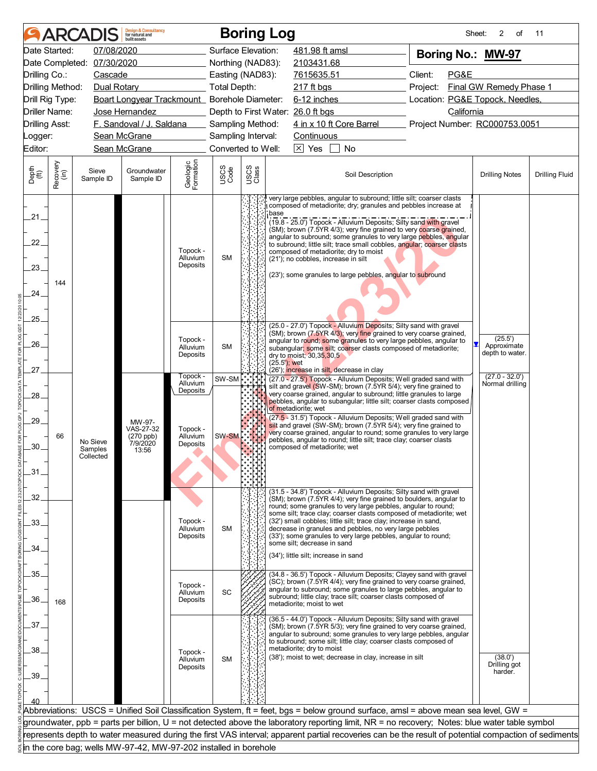| 07/08/2020<br>Surface Elevation:<br>Date Started:<br>481.98 ft amsl<br>Boring No.: MW-97<br>Date Completed: 07/30/2020<br>Northing (NAD83):<br>2103431.68<br>Client:<br>PG&E<br>Drilling Co.:<br>Cascade<br>Easting (NAD83):<br>7615635.51<br>Final GW Remedy Phase 1<br>Drilling Method:<br>Dual Rotary<br><b>Total Depth:</b><br>217 ft bgs<br>Project:<br>Boart Longyear Trackmount_ Borehole Diameter:<br>Location: PG&E Topock, Needles,<br>Drill Rig Type:<br>6-12 inches<br>Driller Name:<br>Jose Hernandez<br>Depth to First Water: 26.0 ft bgs<br>California<br>F. Sandoval / J. Saldana<br>4 in x 10 ft Core Barrel<br><b>Drilling Asst:</b><br>Project Number: RC000753.0051<br>Sampling Method:<br>Sean McGrane<br>Sampling Interval:<br>Continuous<br>_ogger:<br>$\boxed{\times}$ Yes<br>Editor:<br>Sean McGrane<br>Converted to Well:<br><b>No</b><br>Geologic<br>Formation<br>Recovery<br>(in)<br>USCS<br>Class<br>USCS<br>Code<br>Depth<br>(ft)<br>Sieve<br>Groundwater<br>Soil Description<br><b>Drilling Notes</b><br><b>Drilling Fluid</b><br>Sample ID<br>Sample ID<br>very large pebbles, angular to subround; little silt; coarser clasts<br>composed of metadiorite; dry; granules and pebbles increase at<br>base<br>$21 -$<br>(19.8 - 25.0') Topock - Alluvium Deposits; Silty sand with gravel<br>(SM); brown (7.5YR 4/3); very fine grained to very coarse grained,<br>angular to subround; some granules to very large pebbles, angular<br>$22^{1}$<br>to subround; little silt; trace small cobbles, angular; coarser clasts<br>Topock -<br>composed of metadiorite; dry to moist<br>Alluvium<br><b>SM</b><br>(21'); no cobbles, increase in silt<br>Deposits<br>23.<br>(23'); some granules to large pebbles, angular to subround<br>144<br>24.<br>.25.<br>(25.0 - 27.0') Topock - Alluvium Deposits; Silty sand with gravel<br>(SM); brown (7.5YR 4/3); very fine grained to very coarse grained,<br>(25.5')<br>Topock -<br>angular to round; some granules to very large pebbles, angular to<br>26.<br>Approximate<br><b>SM</b><br>Alluvium<br>subangular; some silt; coarser clasts composed of metadiorite;<br>depth to water.<br>Deposits<br>dry to moist; 30,35,30,5<br>$(25.5')$ ; wet<br>27.<br>(26'); increase in silt, decrease in clay<br>$(27.0 - 32.0')$<br>Topock -<br>SW-SM<br>(27.0 - 27.5') Topock - Alluvium Deposits; Well graded sand with<br>Alluvium<br>Normal drilling<br>silt and gravel (SW-SM); brown (7.5YR 5/4); very fine grained to<br>Deposits<br>very coarse grained, angular to subround; little granules to large<br>28.<br>pebbles, angular to subangular; little silt; coarser clasts composed<br>of metadiorite; wet<br>(27.5 - 31.5') Topock - Alluvium Deposits; Well graded sand with<br>29.<br>MW-97-<br>silt and gravel (SW-SM); brown (7.5YR 5/4); very fine grained to<br><b>VAS-27-32</b><br>Topock -<br>very coarse grained, angular to round; some granules to very large<br>SW-SM<br>66<br>(270 ppb)<br>Alluvium<br>pebbles, angular to round; little silt; trace clay; coarser clasts<br>No Sieve<br>7/9/2020<br>Deposits<br>30<br>composed of metadiorite; wet<br>Samples<br>13:56<br>Collected<br>31<br>(31.5 - 34.8') Topock - Alluvium Deposits; Silty sand with gravel<br>32 <sub>1</sub><br>(SM); brown (7.5YR 4/4); very fine grained to boulders, angular to<br>round; some granules to very large pebbles, angular to round;<br>some silt; trace clay; coarser clasts composed of metadiorite; wet<br>(32') small cobbles; little silt; trace clay; increase in sand,<br>Topock -<br>33.<br>Alluvium<br><b>SM</b><br>decrease in granules and pebbles, no very large pebbles<br>(33'); some granules to very large pebbles, angular to round;<br>Deposits<br>some silt; decrease in sand<br>34<br>(34'); little silt; increase in sand<br>35.<br>(34.8 - 36.5') Topock - Alluvium Deposits; Clayey sand with gravel<br>(SC); brown (7.5YR 4/4); very fine grained to very coarse grained,<br>Topock -<br>angular to subround; some granules to large pebbles, angular to<br><b>SC</b><br>Alluvium<br>subround; little clay; trace silt; coarser clasts composed of<br>36.<br>Deposits<br>168<br>metadiorite; moist to wet<br>(36.5 - 44.0') Topock - Alluvium Deposits; Silty sand with gravel<br>37.<br>(SM); brown (7.5YR 5/3); very fine grained to very coarse grained,<br>angular to subround; some granules to very large pebbles, angular<br>to subround; some silt; little clay; coarser clasts composed of<br>metadiorite; dry to moist<br>38<br>Topock -<br>(38'); moist to wet; decrease in clay, increase in silt<br>(38.0')<br>Alluvium<br><b>SM</b><br>Drilling got<br>Deposits<br>harder.<br>39<br>Abbreviations: USCS = Unified Soil Classification System, ft = feet, bgs = below ground surface, amsl = above mean sea level, GW =<br>groundwater, ppb = parts per billion, U = not detected above the laboratory reporting limit, NR = no recovery; Notes: blue water table symbol<br>represents depth to water measured during the first VAS interval; apparent partial recoveries can be the result of potential compaction of sediments<br>in the core bag; wells MW-97-42, MW-97-202 installed in borehole |  | <b>ARCADIS</b> | <b>Design &amp; Consultancy</b><br>for natural and<br>huilt assets |  | <b>Boring Log</b> | Sheet: | 2<br>of | 11 |
|---------------------------------------------------------------------------------------------------------------------------------------------------------------------------------------------------------------------------------------------------------------------------------------------------------------------------------------------------------------------------------------------------------------------------------------------------------------------------------------------------------------------------------------------------------------------------------------------------------------------------------------------------------------------------------------------------------------------------------------------------------------------------------------------------------------------------------------------------------------------------------------------------------------------------------------------------------------------------------------------------------------------------------------------------------------------------------------------------------------------------------------------------------------------------------------------------------------------------------------------------------------------------------------------------------------------------------------------------------------------------------------------------------------------------------------------------------------------------------------------------------------------------------------------------------------------------------------------------------------------------------------------------------------------------------------------------------------------------------------------------------------------------------------------------------------------------------------------------------------------------------------------------------------------------------------------------------------------------------------------------------------------------------------------------------------------------------------------------------------------------------------------------------------------------------------------------------------------------------------------------------------------------------------------------------------------------------------------------------------------------------------------------------------------------------------------------------------------------------------------------------------------------------------------------------------------------------------------------------------------------------------------------------------------------------------------------------------------------------------------------------------------------------------------------------------------------------------------------------------------------------------------------------------------------------------------------------------------------------------------------------------------------------------------------------------------------------------------------------------------------------------------------------------------------------------------------------------------------------------------------------------------------------------------------------------------------------------------------------------------------------------------------------------------------------------------------------------------------------------------------------------------------------------------------------------------------------------------------------------------------------------------------------------------------------------------------------------------------------------------------------------------------------------------------------------------------------------------------------------------------------------------------------------------------------------------------------------------------------------------------------------------------------------------------------------------------------------------------------------------------------------------------------------------------------------------------------------------------------------------------------------------------------------------------------------------------------------------------------------------------------------------------------------------------------------------------------------------------------------------------------------------------------------------------------------------------------------------------------------------------------------------------------------------------------------------------------------------------------------------------------------------------------------------------------------------------------------------------------------------------------------------------------------------------------------------------------------------------------------------------------------------------------------------------------------------------------------------------------------------------------------------------------------------------------------------------------------------------|--|----------------|--------------------------------------------------------------------|--|-------------------|--------|---------|----|
|                                                                                                                                                                                                                                                                                                                                                                                                                                                                                                                                                                                                                                                                                                                                                                                                                                                                                                                                                                                                                                                                                                                                                                                                                                                                                                                                                                                                                                                                                                                                                                                                                                                                                                                                                                                                                                                                                                                                                                                                                                                                                                                                                                                                                                                                                                                                                                                                                                                                                                                                                                                                                                                                                                                                                                                                                                                                                                                                                                                                                                                                                                                                                                                                                                                                                                                                                                                                                                                                                                                                                                                                                                                                                                                                                                                                                                                                                                                                                                                                                                                                                                                                                                                                                                                                                                                                                                                                                                                                                                                                                                                                                                                                                                                                                                                                                                                                                                                                                                                                                                                                                                                                                                                                                           |  |                |                                                                    |  |                   |        |         |    |
|                                                                                                                                                                                                                                                                                                                                                                                                                                                                                                                                                                                                                                                                                                                                                                                                                                                                                                                                                                                                                                                                                                                                                                                                                                                                                                                                                                                                                                                                                                                                                                                                                                                                                                                                                                                                                                                                                                                                                                                                                                                                                                                                                                                                                                                                                                                                                                                                                                                                                                                                                                                                                                                                                                                                                                                                                                                                                                                                                                                                                                                                                                                                                                                                                                                                                                                                                                                                                                                                                                                                                                                                                                                                                                                                                                                                                                                                                                                                                                                                                                                                                                                                                                                                                                                                                                                                                                                                                                                                                                                                                                                                                                                                                                                                                                                                                                                                                                                                                                                                                                                                                                                                                                                                                           |  |                |                                                                    |  |                   |        |         |    |
|                                                                                                                                                                                                                                                                                                                                                                                                                                                                                                                                                                                                                                                                                                                                                                                                                                                                                                                                                                                                                                                                                                                                                                                                                                                                                                                                                                                                                                                                                                                                                                                                                                                                                                                                                                                                                                                                                                                                                                                                                                                                                                                                                                                                                                                                                                                                                                                                                                                                                                                                                                                                                                                                                                                                                                                                                                                                                                                                                                                                                                                                                                                                                                                                                                                                                                                                                                                                                                                                                                                                                                                                                                                                                                                                                                                                                                                                                                                                                                                                                                                                                                                                                                                                                                                                                                                                                                                                                                                                                                                                                                                                                                                                                                                                                                                                                                                                                                                                                                                                                                                                                                                                                                                                                           |  |                |                                                                    |  |                   |        |         |    |
|                                                                                                                                                                                                                                                                                                                                                                                                                                                                                                                                                                                                                                                                                                                                                                                                                                                                                                                                                                                                                                                                                                                                                                                                                                                                                                                                                                                                                                                                                                                                                                                                                                                                                                                                                                                                                                                                                                                                                                                                                                                                                                                                                                                                                                                                                                                                                                                                                                                                                                                                                                                                                                                                                                                                                                                                                                                                                                                                                                                                                                                                                                                                                                                                                                                                                                                                                                                                                                                                                                                                                                                                                                                                                                                                                                                                                                                                                                                                                                                                                                                                                                                                                                                                                                                                                                                                                                                                                                                                                                                                                                                                                                                                                                                                                                                                                                                                                                                                                                                                                                                                                                                                                                                                                           |  |                |                                                                    |  |                   |        |         |    |
|                                                                                                                                                                                                                                                                                                                                                                                                                                                                                                                                                                                                                                                                                                                                                                                                                                                                                                                                                                                                                                                                                                                                                                                                                                                                                                                                                                                                                                                                                                                                                                                                                                                                                                                                                                                                                                                                                                                                                                                                                                                                                                                                                                                                                                                                                                                                                                                                                                                                                                                                                                                                                                                                                                                                                                                                                                                                                                                                                                                                                                                                                                                                                                                                                                                                                                                                                                                                                                                                                                                                                                                                                                                                                                                                                                                                                                                                                                                                                                                                                                                                                                                                                                                                                                                                                                                                                                                                                                                                                                                                                                                                                                                                                                                                                                                                                                                                                                                                                                                                                                                                                                                                                                                                                           |  |                |                                                                    |  |                   |        |         |    |
|                                                                                                                                                                                                                                                                                                                                                                                                                                                                                                                                                                                                                                                                                                                                                                                                                                                                                                                                                                                                                                                                                                                                                                                                                                                                                                                                                                                                                                                                                                                                                                                                                                                                                                                                                                                                                                                                                                                                                                                                                                                                                                                                                                                                                                                                                                                                                                                                                                                                                                                                                                                                                                                                                                                                                                                                                                                                                                                                                                                                                                                                                                                                                                                                                                                                                                                                                                                                                                                                                                                                                                                                                                                                                                                                                                                                                                                                                                                                                                                                                                                                                                                                                                                                                                                                                                                                                                                                                                                                                                                                                                                                                                                                                                                                                                                                                                                                                                                                                                                                                                                                                                                                                                                                                           |  |                |                                                                    |  |                   |        |         |    |
|                                                                                                                                                                                                                                                                                                                                                                                                                                                                                                                                                                                                                                                                                                                                                                                                                                                                                                                                                                                                                                                                                                                                                                                                                                                                                                                                                                                                                                                                                                                                                                                                                                                                                                                                                                                                                                                                                                                                                                                                                                                                                                                                                                                                                                                                                                                                                                                                                                                                                                                                                                                                                                                                                                                                                                                                                                                                                                                                                                                                                                                                                                                                                                                                                                                                                                                                                                                                                                                                                                                                                                                                                                                                                                                                                                                                                                                                                                                                                                                                                                                                                                                                                                                                                                                                                                                                                                                                                                                                                                                                                                                                                                                                                                                                                                                                                                                                                                                                                                                                                                                                                                                                                                                                                           |  |                |                                                                    |  |                   |        |         |    |
|                                                                                                                                                                                                                                                                                                                                                                                                                                                                                                                                                                                                                                                                                                                                                                                                                                                                                                                                                                                                                                                                                                                                                                                                                                                                                                                                                                                                                                                                                                                                                                                                                                                                                                                                                                                                                                                                                                                                                                                                                                                                                                                                                                                                                                                                                                                                                                                                                                                                                                                                                                                                                                                                                                                                                                                                                                                                                                                                                                                                                                                                                                                                                                                                                                                                                                                                                                                                                                                                                                                                                                                                                                                                                                                                                                                                                                                                                                                                                                                                                                                                                                                                                                                                                                                                                                                                                                                                                                                                                                                                                                                                                                                                                                                                                                                                                                                                                                                                                                                                                                                                                                                                                                                                                           |  |                |                                                                    |  |                   |        |         |    |
|                                                                                                                                                                                                                                                                                                                                                                                                                                                                                                                                                                                                                                                                                                                                                                                                                                                                                                                                                                                                                                                                                                                                                                                                                                                                                                                                                                                                                                                                                                                                                                                                                                                                                                                                                                                                                                                                                                                                                                                                                                                                                                                                                                                                                                                                                                                                                                                                                                                                                                                                                                                                                                                                                                                                                                                                                                                                                                                                                                                                                                                                                                                                                                                                                                                                                                                                                                                                                                                                                                                                                                                                                                                                                                                                                                                                                                                                                                                                                                                                                                                                                                                                                                                                                                                                                                                                                                                                                                                                                                                                                                                                                                                                                                                                                                                                                                                                                                                                                                                                                                                                                                                                                                                                                           |  |                |                                                                    |  |                   |        |         |    |
|                                                                                                                                                                                                                                                                                                                                                                                                                                                                                                                                                                                                                                                                                                                                                                                                                                                                                                                                                                                                                                                                                                                                                                                                                                                                                                                                                                                                                                                                                                                                                                                                                                                                                                                                                                                                                                                                                                                                                                                                                                                                                                                                                                                                                                                                                                                                                                                                                                                                                                                                                                                                                                                                                                                                                                                                                                                                                                                                                                                                                                                                                                                                                                                                                                                                                                                                                                                                                                                                                                                                                                                                                                                                                                                                                                                                                                                                                                                                                                                                                                                                                                                                                                                                                                                                                                                                                                                                                                                                                                                                                                                                                                                                                                                                                                                                                                                                                                                                                                                                                                                                                                                                                                                                                           |  |                |                                                                    |  |                   |        |         |    |
|                                                                                                                                                                                                                                                                                                                                                                                                                                                                                                                                                                                                                                                                                                                                                                                                                                                                                                                                                                                                                                                                                                                                                                                                                                                                                                                                                                                                                                                                                                                                                                                                                                                                                                                                                                                                                                                                                                                                                                                                                                                                                                                                                                                                                                                                                                                                                                                                                                                                                                                                                                                                                                                                                                                                                                                                                                                                                                                                                                                                                                                                                                                                                                                                                                                                                                                                                                                                                                                                                                                                                                                                                                                                                                                                                                                                                                                                                                                                                                                                                                                                                                                                                                                                                                                                                                                                                                                                                                                                                                                                                                                                                                                                                                                                                                                                                                                                                                                                                                                                                                                                                                                                                                                                                           |  |                |                                                                    |  |                   |        |         |    |
|                                                                                                                                                                                                                                                                                                                                                                                                                                                                                                                                                                                                                                                                                                                                                                                                                                                                                                                                                                                                                                                                                                                                                                                                                                                                                                                                                                                                                                                                                                                                                                                                                                                                                                                                                                                                                                                                                                                                                                                                                                                                                                                                                                                                                                                                                                                                                                                                                                                                                                                                                                                                                                                                                                                                                                                                                                                                                                                                                                                                                                                                                                                                                                                                                                                                                                                                                                                                                                                                                                                                                                                                                                                                                                                                                                                                                                                                                                                                                                                                                                                                                                                                                                                                                                                                                                                                                                                                                                                                                                                                                                                                                                                                                                                                                                                                                                                                                                                                                                                                                                                                                                                                                                                                                           |  |                |                                                                    |  |                   |        |         |    |
|                                                                                                                                                                                                                                                                                                                                                                                                                                                                                                                                                                                                                                                                                                                                                                                                                                                                                                                                                                                                                                                                                                                                                                                                                                                                                                                                                                                                                                                                                                                                                                                                                                                                                                                                                                                                                                                                                                                                                                                                                                                                                                                                                                                                                                                                                                                                                                                                                                                                                                                                                                                                                                                                                                                                                                                                                                                                                                                                                                                                                                                                                                                                                                                                                                                                                                                                                                                                                                                                                                                                                                                                                                                                                                                                                                                                                                                                                                                                                                                                                                                                                                                                                                                                                                                                                                                                                                                                                                                                                                                                                                                                                                                                                                                                                                                                                                                                                                                                                                                                                                                                                                                                                                                                                           |  |                |                                                                    |  |                   |        |         |    |
|                                                                                                                                                                                                                                                                                                                                                                                                                                                                                                                                                                                                                                                                                                                                                                                                                                                                                                                                                                                                                                                                                                                                                                                                                                                                                                                                                                                                                                                                                                                                                                                                                                                                                                                                                                                                                                                                                                                                                                                                                                                                                                                                                                                                                                                                                                                                                                                                                                                                                                                                                                                                                                                                                                                                                                                                                                                                                                                                                                                                                                                                                                                                                                                                                                                                                                                                                                                                                                                                                                                                                                                                                                                                                                                                                                                                                                                                                                                                                                                                                                                                                                                                                                                                                                                                                                                                                                                                                                                                                                                                                                                                                                                                                                                                                                                                                                                                                                                                                                                                                                                                                                                                                                                                                           |  |                |                                                                    |  |                   |        |         |    |
|                                                                                                                                                                                                                                                                                                                                                                                                                                                                                                                                                                                                                                                                                                                                                                                                                                                                                                                                                                                                                                                                                                                                                                                                                                                                                                                                                                                                                                                                                                                                                                                                                                                                                                                                                                                                                                                                                                                                                                                                                                                                                                                                                                                                                                                                                                                                                                                                                                                                                                                                                                                                                                                                                                                                                                                                                                                                                                                                                                                                                                                                                                                                                                                                                                                                                                                                                                                                                                                                                                                                                                                                                                                                                                                                                                                                                                                                                                                                                                                                                                                                                                                                                                                                                                                                                                                                                                                                                                                                                                                                                                                                                                                                                                                                                                                                                                                                                                                                                                                                                                                                                                                                                                                                                           |  |                |                                                                    |  |                   |        |         |    |
|                                                                                                                                                                                                                                                                                                                                                                                                                                                                                                                                                                                                                                                                                                                                                                                                                                                                                                                                                                                                                                                                                                                                                                                                                                                                                                                                                                                                                                                                                                                                                                                                                                                                                                                                                                                                                                                                                                                                                                                                                                                                                                                                                                                                                                                                                                                                                                                                                                                                                                                                                                                                                                                                                                                                                                                                                                                                                                                                                                                                                                                                                                                                                                                                                                                                                                                                                                                                                                                                                                                                                                                                                                                                                                                                                                                                                                                                                                                                                                                                                                                                                                                                                                                                                                                                                                                                                                                                                                                                                                                                                                                                                                                                                                                                                                                                                                                                                                                                                                                                                                                                                                                                                                                                                           |  |                |                                                                    |  |                   |        |         |    |
|                                                                                                                                                                                                                                                                                                                                                                                                                                                                                                                                                                                                                                                                                                                                                                                                                                                                                                                                                                                                                                                                                                                                                                                                                                                                                                                                                                                                                                                                                                                                                                                                                                                                                                                                                                                                                                                                                                                                                                                                                                                                                                                                                                                                                                                                                                                                                                                                                                                                                                                                                                                                                                                                                                                                                                                                                                                                                                                                                                                                                                                                                                                                                                                                                                                                                                                                                                                                                                                                                                                                                                                                                                                                                                                                                                                                                                                                                                                                                                                                                                                                                                                                                                                                                                                                                                                                                                                                                                                                                                                                                                                                                                                                                                                                                                                                                                                                                                                                                                                                                                                                                                                                                                                                                           |  |                |                                                                    |  |                   |        |         |    |
|                                                                                                                                                                                                                                                                                                                                                                                                                                                                                                                                                                                                                                                                                                                                                                                                                                                                                                                                                                                                                                                                                                                                                                                                                                                                                                                                                                                                                                                                                                                                                                                                                                                                                                                                                                                                                                                                                                                                                                                                                                                                                                                                                                                                                                                                                                                                                                                                                                                                                                                                                                                                                                                                                                                                                                                                                                                                                                                                                                                                                                                                                                                                                                                                                                                                                                                                                                                                                                                                                                                                                                                                                                                                                                                                                                                                                                                                                                                                                                                                                                                                                                                                                                                                                                                                                                                                                                                                                                                                                                                                                                                                                                                                                                                                                                                                                                                                                                                                                                                                                                                                                                                                                                                                                           |  |                |                                                                    |  |                   |        |         |    |
|                                                                                                                                                                                                                                                                                                                                                                                                                                                                                                                                                                                                                                                                                                                                                                                                                                                                                                                                                                                                                                                                                                                                                                                                                                                                                                                                                                                                                                                                                                                                                                                                                                                                                                                                                                                                                                                                                                                                                                                                                                                                                                                                                                                                                                                                                                                                                                                                                                                                                                                                                                                                                                                                                                                                                                                                                                                                                                                                                                                                                                                                                                                                                                                                                                                                                                                                                                                                                                                                                                                                                                                                                                                                                                                                                                                                                                                                                                                                                                                                                                                                                                                                                                                                                                                                                                                                                                                                                                                                                                                                                                                                                                                                                                                                                                                                                                                                                                                                                                                                                                                                                                                                                                                                                           |  |                |                                                                    |  |                   |        |         |    |
|                                                                                                                                                                                                                                                                                                                                                                                                                                                                                                                                                                                                                                                                                                                                                                                                                                                                                                                                                                                                                                                                                                                                                                                                                                                                                                                                                                                                                                                                                                                                                                                                                                                                                                                                                                                                                                                                                                                                                                                                                                                                                                                                                                                                                                                                                                                                                                                                                                                                                                                                                                                                                                                                                                                                                                                                                                                                                                                                                                                                                                                                                                                                                                                                                                                                                                                                                                                                                                                                                                                                                                                                                                                                                                                                                                                                                                                                                                                                                                                                                                                                                                                                                                                                                                                                                                                                                                                                                                                                                                                                                                                                                                                                                                                                                                                                                                                                                                                                                                                                                                                                                                                                                                                                                           |  |                |                                                                    |  |                   |        |         |    |
|                                                                                                                                                                                                                                                                                                                                                                                                                                                                                                                                                                                                                                                                                                                                                                                                                                                                                                                                                                                                                                                                                                                                                                                                                                                                                                                                                                                                                                                                                                                                                                                                                                                                                                                                                                                                                                                                                                                                                                                                                                                                                                                                                                                                                                                                                                                                                                                                                                                                                                                                                                                                                                                                                                                                                                                                                                                                                                                                                                                                                                                                                                                                                                                                                                                                                                                                                                                                                                                                                                                                                                                                                                                                                                                                                                                                                                                                                                                                                                                                                                                                                                                                                                                                                                                                                                                                                                                                                                                                                                                                                                                                                                                                                                                                                                                                                                                                                                                                                                                                                                                                                                                                                                                                                           |  |                |                                                                    |  |                   |        |         |    |
|                                                                                                                                                                                                                                                                                                                                                                                                                                                                                                                                                                                                                                                                                                                                                                                                                                                                                                                                                                                                                                                                                                                                                                                                                                                                                                                                                                                                                                                                                                                                                                                                                                                                                                                                                                                                                                                                                                                                                                                                                                                                                                                                                                                                                                                                                                                                                                                                                                                                                                                                                                                                                                                                                                                                                                                                                                                                                                                                                                                                                                                                                                                                                                                                                                                                                                                                                                                                                                                                                                                                                                                                                                                                                                                                                                                                                                                                                                                                                                                                                                                                                                                                                                                                                                                                                                                                                                                                                                                                                                                                                                                                                                                                                                                                                                                                                                                                                                                                                                                                                                                                                                                                                                                                                           |  |                |                                                                    |  |                   |        |         |    |
|                                                                                                                                                                                                                                                                                                                                                                                                                                                                                                                                                                                                                                                                                                                                                                                                                                                                                                                                                                                                                                                                                                                                                                                                                                                                                                                                                                                                                                                                                                                                                                                                                                                                                                                                                                                                                                                                                                                                                                                                                                                                                                                                                                                                                                                                                                                                                                                                                                                                                                                                                                                                                                                                                                                                                                                                                                                                                                                                                                                                                                                                                                                                                                                                                                                                                                                                                                                                                                                                                                                                                                                                                                                                                                                                                                                                                                                                                                                                                                                                                                                                                                                                                                                                                                                                                                                                                                                                                                                                                                                                                                                                                                                                                                                                                                                                                                                                                                                                                                                                                                                                                                                                                                                                                           |  |                |                                                                    |  |                   |        |         |    |
|                                                                                                                                                                                                                                                                                                                                                                                                                                                                                                                                                                                                                                                                                                                                                                                                                                                                                                                                                                                                                                                                                                                                                                                                                                                                                                                                                                                                                                                                                                                                                                                                                                                                                                                                                                                                                                                                                                                                                                                                                                                                                                                                                                                                                                                                                                                                                                                                                                                                                                                                                                                                                                                                                                                                                                                                                                                                                                                                                                                                                                                                                                                                                                                                                                                                                                                                                                                                                                                                                                                                                                                                                                                                                                                                                                                                                                                                                                                                                                                                                                                                                                                                                                                                                                                                                                                                                                                                                                                                                                                                                                                                                                                                                                                                                                                                                                                                                                                                                                                                                                                                                                                                                                                                                           |  |                |                                                                    |  |                   |        |         |    |
|                                                                                                                                                                                                                                                                                                                                                                                                                                                                                                                                                                                                                                                                                                                                                                                                                                                                                                                                                                                                                                                                                                                                                                                                                                                                                                                                                                                                                                                                                                                                                                                                                                                                                                                                                                                                                                                                                                                                                                                                                                                                                                                                                                                                                                                                                                                                                                                                                                                                                                                                                                                                                                                                                                                                                                                                                                                                                                                                                                                                                                                                                                                                                                                                                                                                                                                                                                                                                                                                                                                                                                                                                                                                                                                                                                                                                                                                                                                                                                                                                                                                                                                                                                                                                                                                                                                                                                                                                                                                                                                                                                                                                                                                                                                                                                                                                                                                                                                                                                                                                                                                                                                                                                                                                           |  |                |                                                                    |  |                   |        |         |    |
|                                                                                                                                                                                                                                                                                                                                                                                                                                                                                                                                                                                                                                                                                                                                                                                                                                                                                                                                                                                                                                                                                                                                                                                                                                                                                                                                                                                                                                                                                                                                                                                                                                                                                                                                                                                                                                                                                                                                                                                                                                                                                                                                                                                                                                                                                                                                                                                                                                                                                                                                                                                                                                                                                                                                                                                                                                                                                                                                                                                                                                                                                                                                                                                                                                                                                                                                                                                                                                                                                                                                                                                                                                                                                                                                                                                                                                                                                                                                                                                                                                                                                                                                                                                                                                                                                                                                                                                                                                                                                                                                                                                                                                                                                                                                                                                                                                                                                                                                                                                                                                                                                                                                                                                                                           |  |                |                                                                    |  |                   |        |         |    |
|                                                                                                                                                                                                                                                                                                                                                                                                                                                                                                                                                                                                                                                                                                                                                                                                                                                                                                                                                                                                                                                                                                                                                                                                                                                                                                                                                                                                                                                                                                                                                                                                                                                                                                                                                                                                                                                                                                                                                                                                                                                                                                                                                                                                                                                                                                                                                                                                                                                                                                                                                                                                                                                                                                                                                                                                                                                                                                                                                                                                                                                                                                                                                                                                                                                                                                                                                                                                                                                                                                                                                                                                                                                                                                                                                                                                                                                                                                                                                                                                                                                                                                                                                                                                                                                                                                                                                                                                                                                                                                                                                                                                                                                                                                                                                                                                                                                                                                                                                                                                                                                                                                                                                                                                                           |  |                |                                                                    |  |                   |        |         |    |
|                                                                                                                                                                                                                                                                                                                                                                                                                                                                                                                                                                                                                                                                                                                                                                                                                                                                                                                                                                                                                                                                                                                                                                                                                                                                                                                                                                                                                                                                                                                                                                                                                                                                                                                                                                                                                                                                                                                                                                                                                                                                                                                                                                                                                                                                                                                                                                                                                                                                                                                                                                                                                                                                                                                                                                                                                                                                                                                                                                                                                                                                                                                                                                                                                                                                                                                                                                                                                                                                                                                                                                                                                                                                                                                                                                                                                                                                                                                                                                                                                                                                                                                                                                                                                                                                                                                                                                                                                                                                                                                                                                                                                                                                                                                                                                                                                                                                                                                                                                                                                                                                                                                                                                                                                           |  |                |                                                                    |  |                   |        |         |    |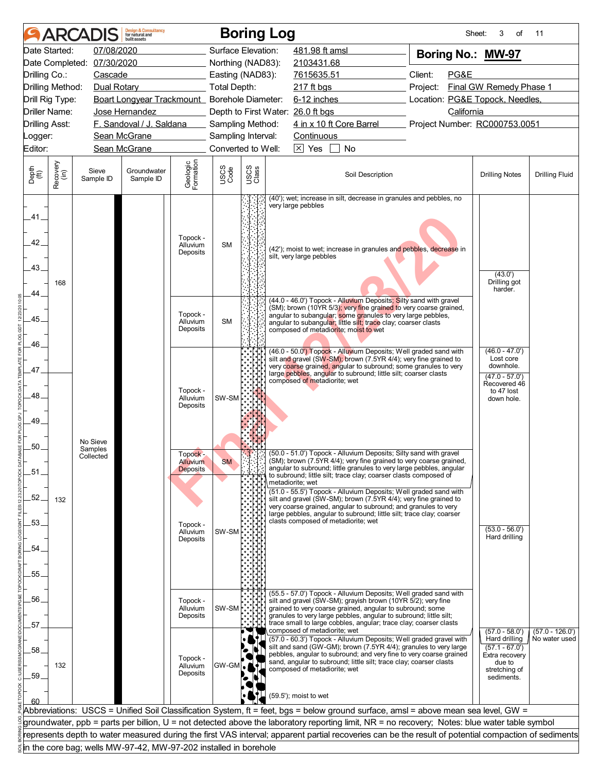|                             |                  | <b>ARCADIS</b>             | <b>Design &amp; Consultancy</b><br>for natural and<br>huilt assets |                                                                                                                                                                                                                |                     |               | <b>Boring Log</b>                                                                                                                                                                                                                                 | Sheet:                          | 3<br>of                            | 11                                 |
|-----------------------------|------------------|----------------------------|--------------------------------------------------------------------|----------------------------------------------------------------------------------------------------------------------------------------------------------------------------------------------------------------|---------------------|---------------|---------------------------------------------------------------------------------------------------------------------------------------------------------------------------------------------------------------------------------------------------|---------------------------------|------------------------------------|------------------------------------|
|                             | Date Started:    | 07/08/2020                 |                                                                    |                                                                                                                                                                                                                | Surface Elevation:  |               | 481.98 ft amsl                                                                                                                                                                                                                                    | Boring No.: MW-97               |                                    |                                    |
|                             |                  | Date Completed: 07/30/2020 |                                                                    |                                                                                                                                                                                                                | Northing (NAD83):   |               | 2103431.68                                                                                                                                                                                                                                        |                                 |                                    |                                    |
| Drilling Co.:               |                  | Cascade                    |                                                                    |                                                                                                                                                                                                                | Easting (NAD83):    |               | 7615635.51                                                                                                                                                                                                                                        | Client:<br>PG&E                 |                                    |                                    |
| Drilling Method:            |                  | Dual Rotary                |                                                                    | $\label{eq:2.1} \mathcal{L}(\mathcal{L}^{\mathcal{L}}_{\mathcal{L}}(\mathcal{L}^{\mathcal{L}}_{\mathcal{L}})) = \mathcal{L}(\mathcal{L}^{\mathcal{L}}_{\mathcal{L}}(\mathcal{L}^{\mathcal{L}}_{\mathcal{L}}))$ | <b>Total Depth:</b> |               | $217$ ft bgs                                                                                                                                                                                                                                      | Project:                        | Final GW Remedy Phase 1            |                                    |
| Drill Rig Type:             |                  |                            | Boart Longyear Trackmount_ Borehole Diameter:                      |                                                                                                                                                                                                                |                     |               | 6-12 inches                                                                                                                                                                                                                                       | Location: PG&E Topock, Needles, |                                    |                                    |
| <b>Driller Name:</b>        |                  |                            | Jose Hernandez                                                     |                                                                                                                                                                                                                |                     |               | Depth to First Water: 26.0 ft bgs                                                                                                                                                                                                                 | California                      |                                    |                                    |
| <b>Drilling Asst:</b>       |                  |                            | F. Sandoval / J. Saldana                                           |                                                                                                                                                                                                                | Sampling Method:    |               | 4 in x 10 ft Core Barrel                                                                                                                                                                                                                          | Project Number: RC000753.0051   |                                    |                                    |
| Logger:                     |                  |                            | Sean McGrane                                                       |                                                                                                                                                                                                                | Sampling Interval:  |               | Continuous                                                                                                                                                                                                                                        |                                 |                                    |                                    |
| Editor:                     |                  |                            | Sean McGrane                                                       |                                                                                                                                                                                                                | Converted to Well:  |               | $ \overline{X} $ Yes<br><b>No</b>                                                                                                                                                                                                                 |                                 |                                    |                                    |
| Depth<br>$\widetilde{f(t)}$ | Recovery<br>(in) | Sieve<br>Sample ID         | Groundwater<br>Sample ID                                           | Geologic<br>Formation                                                                                                                                                                                          | USCS<br>Code        | USCS<br>Class | Soil Description                                                                                                                                                                                                                                  | <b>Drilling Notes</b>           | <b>Drilling Fluid</b>              |                                    |
| .41<br>42.                  |                  |                            |                                                                    | Topock -<br>Alluvium                                                                                                                                                                                           | <b>SM</b>           |               | (40'); wet; increase in silt, decrease in granules and pebbles, no<br>very large pebbles                                                                                                                                                          |                                 |                                    |                                    |
| .43.<br>44                  | 168              |                            |                                                                    | Deposits                                                                                                                                                                                                       |                     |               | (42'); moist to wet; increase in granules and pebbles, decrease in<br>silt, very large pebbles                                                                                                                                                    |                                 | (43.0')<br>Drilling got<br>harder. |                                    |
|                             |                  |                            |                                                                    |                                                                                                                                                                                                                |                     |               | (44.0 - 46.0') Topock - Alluvium Deposits; Silty sand with gravel                                                                                                                                                                                 |                                 |                                    |                                    |
| .45.                        |                  |                            |                                                                    | Topock -<br>Alluvium                                                                                                                                                                                           | <b>SM</b>           |               | (SM); brown (10YR 5/3); very fine grained to very coarse grained,<br>angular to subangular; some granules to very large pebbles,                                                                                                                  |                                 |                                    |                                    |
|                             |                  |                            |                                                                    | Deposits                                                                                                                                                                                                       |                     |               | angular to subangular; little silt; trace clay; coarser clasts<br>composed of metadiorite; moist to wet                                                                                                                                           |                                 |                                    |                                    |
| 46.                         |                  |                            |                                                                    |                                                                                                                                                                                                                |                     |               |                                                                                                                                                                                                                                                   |                                 |                                    |                                    |
|                             |                  |                            |                                                                    |                                                                                                                                                                                                                |                     |               | (46.0 - 50.0') Topock - Alluvium Deposits; Well graded sand with<br>silt and gravel (SW-SM); brown (7.5YR 4/4); very fine grained to                                                                                                              |                                 | $(46.0 - 47.0)$<br>Lost core       |                                    |
| .47.                        |                  |                            |                                                                    |                                                                                                                                                                                                                |                     |               | very coarse grained, angular to subround; some granules to very<br>large pebbles, angular to subround; little silt; coarser clasts                                                                                                                |                                 | downhole.                          |                                    |
|                             |                  |                            |                                                                    |                                                                                                                                                                                                                |                     |               | composed of metadiorite; wet                                                                                                                                                                                                                      |                                 | $(47.0 - 57.0')$<br>Recovered 46   |                                    |
| 48.                         |                  |                            |                                                                    | Topock -<br>Alluvium                                                                                                                                                                                           | SW-SM               |               |                                                                                                                                                                                                                                                   |                                 | to 47 lost<br>down hole.           |                                    |
|                             |                  |                            |                                                                    | Deposits                                                                                                                                                                                                       |                     |               |                                                                                                                                                                                                                                                   |                                 |                                    |                                    |
| .49.                        |                  |                            |                                                                    |                                                                                                                                                                                                                |                     |               |                                                                                                                                                                                                                                                   |                                 |                                    |                                    |
|                             |                  |                            |                                                                    |                                                                                                                                                                                                                |                     |               |                                                                                                                                                                                                                                                   |                                 |                                    |                                    |
| 50.                         |                  | No Sieve<br>Samples        |                                                                    |                                                                                                                                                                                                                |                     |               |                                                                                                                                                                                                                                                   |                                 |                                    |                                    |
|                             |                  | Collected                  |                                                                    | Topock -<br>Alluvium                                                                                                                                                                                           | <b>SM</b>           |               | (50.0 - 51.0') Topock - Alluvium Deposits; Silty sand with gravel<br>(SM); brown (7.5YR 4/4); very fine grained to very coarse grained,                                                                                                           |                                 |                                    |                                    |
| .51                         |                  |                            |                                                                    | <b>Deposits</b>                                                                                                                                                                                                |                     |               | angular to subround; little granules to very large pebbles, angular<br>to subround; little silt; trace clay; coarser clasts composed of                                                                                                           |                                 |                                    |                                    |
|                             |                  |                            |                                                                    |                                                                                                                                                                                                                |                     |               | metadiorite; wet<br>(51.0 - 55.5') Topock - Alluvium Deposits; Well graded sand with                                                                                                                                                              |                                 |                                    |                                    |
| .52.                        | 132              |                            |                                                                    |                                                                                                                                                                                                                |                     |               | silt and gravel (SW-SM); brown (7.5YR 4/4); very fine grained to<br>very coarse grained, angular to subround; and granules to very<br>large pebbles, angular to subround; little silt; trace clay; coarser<br>clasts composed of metadiorite; wet |                                 |                                    |                                    |
| .53.                        |                  |                            |                                                                    | Topock -<br>Alluvium                                                                                                                                                                                           | SW-SM               |               |                                                                                                                                                                                                                                                   |                                 | $(53.0 - 56.0')$                   |                                    |
|                             |                  |                            |                                                                    | Deposits                                                                                                                                                                                                       |                     |               |                                                                                                                                                                                                                                                   |                                 | Hard drilling                      |                                    |
| 54                          |                  |                            |                                                                    |                                                                                                                                                                                                                |                     |               |                                                                                                                                                                                                                                                   |                                 |                                    |                                    |
| 55.                         |                  |                            |                                                                    |                                                                                                                                                                                                                |                     |               |                                                                                                                                                                                                                                                   |                                 |                                    |                                    |
|                             |                  |                            |                                                                    |                                                                                                                                                                                                                |                     |               |                                                                                                                                                                                                                                                   |                                 |                                    |                                    |
| .56.                        |                  |                            |                                                                    |                                                                                                                                                                                                                |                     |               | (55.5 - 57.0') Topock - Alluvium Deposits; Well graded sand with<br>silt and gravel (SW-SM); grayish brown (10YR 5/2); very fine                                                                                                                  |                                 |                                    |                                    |
|                             |                  |                            |                                                                    | Topock -<br>Alluvium                                                                                                                                                                                           | SW-SM               |               | grained to very coarse grained, angular to subround; some                                                                                                                                                                                         |                                 |                                    |                                    |
| .57.                        |                  |                            |                                                                    | Deposits                                                                                                                                                                                                       |                     |               | granules to very large pebbles, angular to subround; little silt;<br>trace small to large cobbles, angular; trace clay; coarser clasts                                                                                                            |                                 |                                    |                                    |
|                             |                  |                            |                                                                    |                                                                                                                                                                                                                |                     |               | composed of metadiorite; wet<br>(57.0 - 60.3') Topock - Alluvium Deposits; Well graded gravel with                                                                                                                                                |                                 | $(57.0 - 58.0)$<br>Hard drilling   | $(57.0 - 126.0')$<br>No water used |
| .58.                        |                  |                            |                                                                    |                                                                                                                                                                                                                |                     |               | silt and sand (GW-GM); brown (7.5YR 4/4); granules to very large                                                                                                                                                                                  |                                 | $(57.1 - 67.0')$                   |                                    |
|                             | 132              |                            |                                                                    | Topock -<br>Alluvium                                                                                                                                                                                           | GW-GM               |               | pebbles, angular to subround; and very fine to very coarse grained<br>sand, angular to subround; little silt; trace clay; coarser clasts                                                                                                          |                                 | Extra recovery<br>due to           |                                    |
| .59.                        |                  |                            |                                                                    | Deposits                                                                                                                                                                                                       |                     |               | composed of metadiorite; wet                                                                                                                                                                                                                      |                                 | stretching of<br>sediments.        |                                    |
|                             |                  |                            |                                                                    |                                                                                                                                                                                                                |                     |               |                                                                                                                                                                                                                                                   |                                 |                                    |                                    |
|                             |                  |                            |                                                                    |                                                                                                                                                                                                                |                     |               | $(59.5')$ ; moist to wet                                                                                                                                                                                                                          |                                 |                                    |                                    |
|                             |                  |                            |                                                                    |                                                                                                                                                                                                                |                     |               | Abbreviations: USCS = Unified Soil Classification System, ft = feet, bgs = below ground surface, amsl = above mean sea level, GW =                                                                                                                |                                 |                                    |                                    |
|                             |                  |                            |                                                                    |                                                                                                                                                                                                                |                     |               | groundwater, ppb = parts per billion, U = not detected above the laboratory reporting limit, NR = no recovery; Notes: blue water table symbol                                                                                                     |                                 |                                    |                                    |
|                             |                  |                            |                                                                    |                                                                                                                                                                                                                |                     |               | represents depth to water measured during the first VAS interval; apparent partial recoveries can be the result of potential compaction of sediments                                                                                              |                                 |                                    |                                    |
|                             |                  |                            | in the core bag; wells MW-97-42, MW-97-202 installed in borehole   |                                                                                                                                                                                                                |                     |               |                                                                                                                                                                                                                                                   |                                 |                                    |                                    |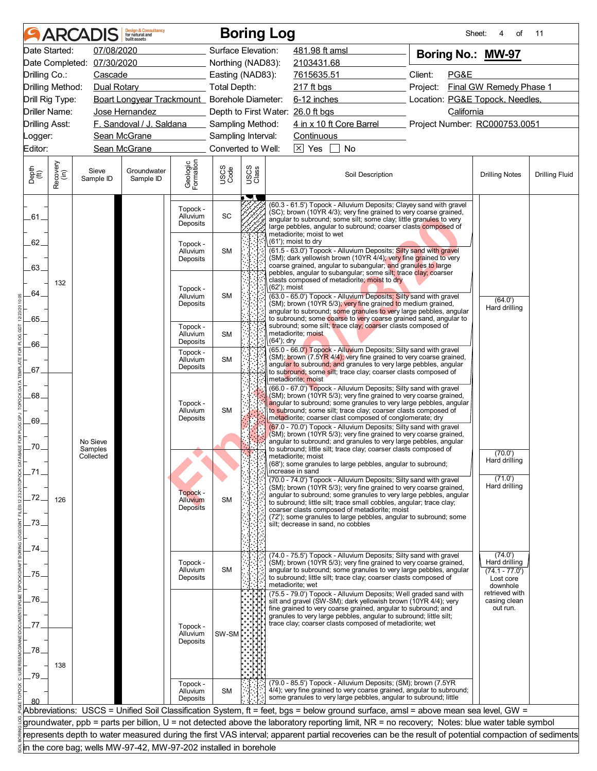|                             |                  | <b>ARCADIS</b>                   | <b>Design &amp; Consultancy</b><br>for natural and<br>huilt assets |                                              |                     |               | <b>Boring Log</b>                                                                                                                                                                                                                                                                                            | Sheet:                          | 4<br>οf                                                  | 11                    |
|-----------------------------|------------------|----------------------------------|--------------------------------------------------------------------|----------------------------------------------|---------------------|---------------|--------------------------------------------------------------------------------------------------------------------------------------------------------------------------------------------------------------------------------------------------------------------------------------------------------------|---------------------------------|----------------------------------------------------------|-----------------------|
|                             | Date Started:    | 07/08/2020                       |                                                                    |                                              | Surface Elevation:  |               | 481.98 ft amsl                                                                                                                                                                                                                                                                                               | Boring No.: MW-97               |                                                          |                       |
|                             |                  | Date Completed: 07/30/2020       |                                                                    |                                              | Northing (NAD83):   |               | 2103431.68                                                                                                                                                                                                                                                                                                   |                                 |                                                          |                       |
| Drilling Co.:               |                  | Cascade                          |                                                                    |                                              | Easting (NAD83):    |               | 7615635.51                                                                                                                                                                                                                                                                                                   | Client:<br>PG&E                 |                                                          |                       |
|                             | Drilling Method: | Dual Rotary                      |                                                                    |                                              | <b>Total Depth:</b> |               | 217 ft bgs                                                                                                                                                                                                                                                                                                   | Project:                        | Final GW Remedy Phase 1                                  |                       |
|                             | Drill Rig Type:  |                                  | Boart Longyear Trackmount_ Borehole Diameter:                      |                                              |                     |               | 6-12 inches                                                                                                                                                                                                                                                                                                  | Location: PG&E Topock, Needles, |                                                          |                       |
|                             | Driller Name:    |                                  | Jose Hernandez                                                     |                                              |                     |               | Depth to First Water: 26.0 ft bgs                                                                                                                                                                                                                                                                            | California                      |                                                          |                       |
| <b>Drilling Asst:</b>       |                  |                                  | F. Sandoval / J. Saldana                                           |                                              | Sampling Method:    |               | 4 in x 10 ft Core Barrel                                                                                                                                                                                                                                                                                     | Project Number: RC000753.0051   |                                                          |                       |
| _ogger:                     |                  |                                  | Sean McGrane                                                       |                                              | Sampling Interval:  |               | Continuous                                                                                                                                                                                                                                                                                                   |                                 |                                                          |                       |
| Editor:                     |                  |                                  | Sean McGrane                                                       |                                              | Converted to Well:  |               | $ \overline{X} $ Yes<br><b>No</b>                                                                                                                                                                                                                                                                            |                                 |                                                          |                       |
| Depth<br>$\widetilde{f(t)}$ | Recovery<br>(in) | Sieve<br>Sample ID               | Groundwater<br>Sample ID                                           | Geologic<br>Formation                        | USCS<br>Code        | USCS<br>Class | Soil Description                                                                                                                                                                                                                                                                                             |                                 | <b>Drilling Notes</b>                                    | <b>Drilling Fluid</b> |
| .61.                        |                  |                                  |                                                                    | Topock -<br><b>Alluvium</b><br>Deposits      | SC                  | ▬             | (60.3 - 61.5') Topock - Alluvium Deposits; Clayey sand with gravel<br>(SC); brown (10YR 4/3); very fine grained to very coarse grained,<br>angular to subround; some silt; some clay; little granules to very<br>large pebbles, angular to subround; coarser clasts composed of<br>metadiorite; moist to wet |                                 |                                                          |                       |
| 62.<br>.63.                 |                  |                                  |                                                                    | Topock -<br>Alluvium<br>Deposits             | <b>SM</b>           |               | (61'); moist to dry<br>(61.5 - 63.0') Topock - Alluvium Deposits; Silty sand with gravel<br>(SM); dark yellowish brown (10YR 4/4); very fine grained to very<br>coarse grained, angular to subangular; and granules to large                                                                                 |                                 |                                                          |                       |
| 64.                         | 132              |                                  |                                                                    | Topock -<br>Alluvium<br>Deposits             | <b>SM</b>           |               | pebbles, angular to subangular; some silt; trace clay; coarser<br>clasts composed of metadiorite; moist to dry<br>(62'); moist<br>(63.0 - 65.0') Topock - Alluvium Deposits; Silty sand with gravel<br>(SM); brown (10YR 5/3); very fine grained to medium grained,                                          |                                 | (64.0')<br>Hard drilling                                 |                       |
| .65.                        |                  |                                  |                                                                    | Topock -<br>Alluvium                         | <b>SM</b>           |               | angular to subround; some granules to very large pebbles, angular<br>to subround; some coarse to very coarse grained sand, angular to<br>subround; some silt; trace clay; coarser clasts composed of<br>metadiorite; moist<br>(64'); dry                                                                     |                                 |                                                          |                       |
| 66.                         |                  |                                  |                                                                    | Deposits<br>Topock -<br>Alluvium<br>Deposits | <b>SM</b>           |               | (65.0 - 66.0') Topock - Alluvium Deposits; Silty sand with gravel<br>(SM); brown (7.5YR 4/4); very fine grained to very coarse grained,<br>angular to subround; and granules to very large pebbles, angular<br>to subround; some silt; trace clay; coarser clasts composed of                                |                                 |                                                          |                       |
| .67.<br>.68.<br>.69.        |                  |                                  | Topock -<br>Alluvium<br>Deposits                                   | <b>SM</b>                                    |                     |               |                                                                                                                                                                                                                                                                                                              |                                 |                                                          |                       |
| .70.                        |                  | No Sieve<br>Samples<br>Collected |                                                                    |                                              |                     |               | (SM); brown (10YR 5/3); very fine grained to very coarse grained,<br>angular to subround; and granules to very large pebbles, angular<br>to subround; little silt; trace clay; coarser clasts composed of<br>metadiorite; moist<br>(68'); some granules to large pebbles, angular to subround;               |                                 | (70.0')<br>Hard drilling                                 |                       |
| .72                         | 126              |                                  |                                                                    | Topock -<br>Alluvium                         | <b>SM</b>           |               | increase in sand<br>(70.0 - 74.0') Topock - Alluvium Deposits; Silty sand with gravel<br>(SM); brown (10YR 5/3); very fine grained to very coarse grained,<br>angular to subround; some granules to very large pebbles, angular<br>to subround; little silt; trace small cobbles, angular; trace clay;       |                                 | (71.0')<br>Hard drilling                                 |                       |
| .73.                        |                  |                                  |                                                                    | <b>Deposits</b>                              |                     |               | coarser clasts composed of metadiorite; moist<br>(72'); some granules to large pebbles, angular to subround; some<br>silt; decrease in sand, no cobbles                                                                                                                                                      |                                 |                                                          |                       |
| 74<br>.75.                  |                  |                                  |                                                                    | Topock -<br>Alluvium<br>Deposits             | <b>SM</b>           |               | (74.0 - 75.5') Topock - Alluvium Deposits; Silty sand with gravel<br>(SM); brown (10YR 5/3); very fine grained to very coarse grained,<br>angular to subround; some granules to very large pebbles, angular<br>to subround; little silt; trace clay; coarser clasts composed of                              |                                 | (74.0)<br>Hard drilling<br>$(74.1 - 77.0')$<br>Lost core |                       |
| .76.                        |                  |                                  |                                                                    |                                              |                     |               | metadiorite; wet<br>(75.5 - 79.0') Topock - Alluvium Deposits; Well graded sand with<br>silt and gravel (SW-SM); dark yellowish brown (10YR 4/4); very<br>fine grained to very coarse grained, angular to subround; and<br>granules to very large pebbles, angular to subround; little silt;                 |                                 | downhole<br>retrieved with<br>casing clean<br>out run.   |                       |
| 77<br>.78.                  | 138              |                                  |                                                                    | Topock -<br>Alluvium<br>Deposits             | SW-SM               |               | trace clay; coarser clasts composed of metadiorite; wet                                                                                                                                                                                                                                                      |                                 |                                                          |                       |
| .79                         |                  |                                  |                                                                    | Topock -<br>Alluvium<br>Deposits             | <b>SM</b>           |               | (79.0 - 85.5') Topock - Alluvium Deposits; (SM); brown (7.5YR<br>4/4); very fine grained to very coarse grained, angular to subround;<br>some granules to very large pebbles, angular to subround; little                                                                                                    |                                 |                                                          |                       |
|                             |                  |                                  |                                                                    |                                              |                     |               | Abbreviations: USCS = Unified Soil Classification System, ft = feet, bgs = below ground surface, amsl = above mean sea level, GW =                                                                                                                                                                           |                                 |                                                          |                       |
|                             |                  |                                  |                                                                    |                                              |                     |               | groundwater, ppb = parts per billion, U = not detected above the laboratory reporting limit, NR = no recovery; Notes: blue water table symbol                                                                                                                                                                |                                 |                                                          |                       |
|                             |                  |                                  |                                                                    |                                              |                     |               | represents depth to water measured during the first VAS interval; apparent partial recoveries can be the result of potential compaction of sediments                                                                                                                                                         |                                 |                                                          |                       |
|                             |                  |                                  | in the core bag; wells MW-97-42, MW-97-202 installed in borehole   |                                              |                     |               |                                                                                                                                                                                                                                                                                                              |                                 |                                                          |                       |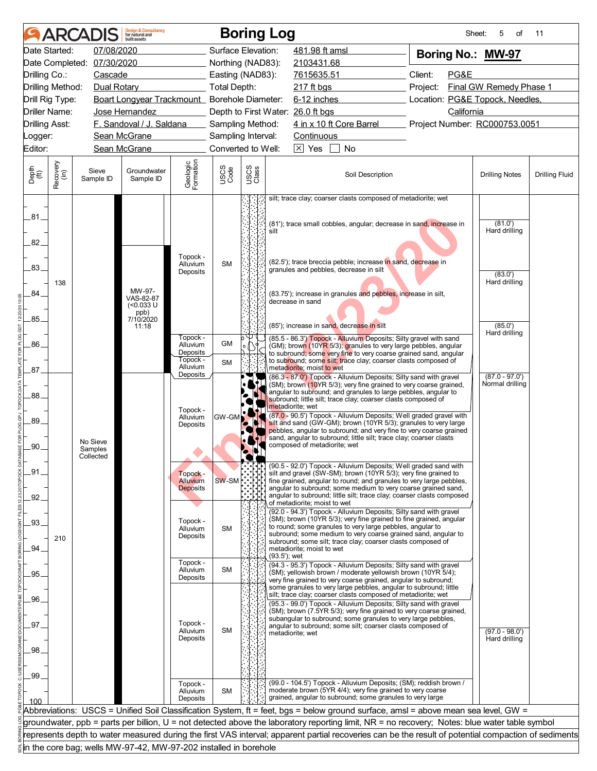|                             |                      | <b>ARCADIS</b>                   | <b>Design &amp; Consultancy</b><br>for natural and<br>huilt assets |                                              |                     | <b>Boring Log</b>  |                                                                                                                                                                                                                                                                                                                                                                    | Sheet:                          | 5<br>of                             | 11                    |  |
|-----------------------------|----------------------|----------------------------------|--------------------------------------------------------------------|----------------------------------------------|---------------------|--------------------|--------------------------------------------------------------------------------------------------------------------------------------------------------------------------------------------------------------------------------------------------------------------------------------------------------------------------------------------------------------------|---------------------------------|-------------------------------------|-----------------------|--|
|                             | Date Started:        | 07/08/2020                       |                                                                    |                                              |                     | Surface Elevation: | 481.98 ft amsl                                                                                                                                                                                                                                                                                                                                                     | Boring No.: MW-97               |                                     |                       |  |
|                             |                      | Date Completed: 07/30/2020       |                                                                    |                                              |                     | Northing (NAD83):  | 2103431.68                                                                                                                                                                                                                                                                                                                                                         |                                 |                                     |                       |  |
| Drilling Co.:               |                      | Cascade                          |                                                                    |                                              |                     | Easting (NAD83):   | 7615635.51                                                                                                                                                                                                                                                                                                                                                         | Client:<br>PG&E                 |                                     |                       |  |
|                             | Drilling Method:     |                                  | Dual Rotary                                                        |                                              | <b>Total Depth:</b> |                    | 217 ft bgs                                                                                                                                                                                                                                                                                                                                                         | Project:                        | Final GW Remedy Phase 1             |                       |  |
|                             | Drill Rig Type:      |                                  | Boart Longyear Trackmount_ Borehole Diameter:                      |                                              |                     |                    | 6-12 inches                                                                                                                                                                                                                                                                                                                                                        | Location: PG&E Topock, Needles, |                                     |                       |  |
|                             | <b>Driller Name:</b> |                                  | Jose Hernandez                                                     |                                              |                     |                    | Depth to First Water: 26.0 ft bgs                                                                                                                                                                                                                                                                                                                                  | California                      |                                     |                       |  |
| <b>Drilling Asst:</b>       |                      |                                  | F. Sandoval / J. Saldana                                           |                                              |                     | Sampling Method:   | 4 in x 10 ft Core Barrel                                                                                                                                                                                                                                                                                                                                           | Project Number: RC000753.0051   |                                     |                       |  |
| Logger:                     |                      |                                  | Sean McGrane                                                       |                                              |                     | Sampling Interval: | Continuous                                                                                                                                                                                                                                                                                                                                                         |                                 |                                     |                       |  |
| Editor:                     |                      |                                  | Sean McGrane                                                       |                                              |                     | Converted to Well: | $\times$ Yes<br><b>No</b>                                                                                                                                                                                                                                                                                                                                          |                                 |                                     |                       |  |
| Depth<br>$\widetilde{f(t)}$ | Recovery<br>(in)     | Sieve<br>Sample ID               | Groundwater<br>Sample ID                                           | Geologic<br>Formation                        | USCS<br>Code        | USCS<br>Class      | Soil Description                                                                                                                                                                                                                                                                                                                                                   |                                 | <b>Drilling Notes</b>               | <b>Drilling Fluid</b> |  |
| .81<br>82.                  |                      |                                  |                                                                    | Topock -                                     |                     | silt               | silt; trace clay; coarser clasts composed of metadiorite; wet<br>(81'); trace small cobbles, angular; decrease in sand, increase in                                                                                                                                                                                                                                |                                 | (81.0')<br>Hard drilling            |                       |  |
| .83.                        |                      |                                  |                                                                    | <b>Alluvium</b><br>Deposits                  | <b>SM</b>           |                    | (82.5'); trace breccia pebble; increase in sand, decrease in<br>granules and pebbles, decrease in silt                                                                                                                                                                                                                                                             |                                 | (83.0')                             |                       |  |
| 84                          | 138                  |                                  | MW-97-<br>VAS-82-87<br>$(0.033 \text{ U}$                          |                                              |                     |                    | (83.75'); increase in granules and pebbles, increase in silt,<br>decrease in sand                                                                                                                                                                                                                                                                                  |                                 | Hard drilling                       |                       |  |
| .85.                        |                      |                                  | ppb)<br>7/10/2020<br>11:18                                         |                                              |                     |                    | (85'); increase in sand, decrease in silt                                                                                                                                                                                                                                                                                                                          |                                 | (85.0')<br>Hard drilling            |                       |  |
| 86.                         |                      |                                  |                                                                    | Topock -<br>Alluvium<br>Deposits<br>Topock - | <b>GM</b>           |                    | (85.5 - 86.3') Topock - Alluvium Deposits; Silty gravel with sand<br>(GM); brown (10YR 5/3); granules to very large pebbles, angular<br>to subround; some very fine to very coarse grained sand, angular                                                                                                                                                           |                                 |                                     |                       |  |
| .87.                        |                      |                                  |                                                                    | Alluvium                                     | <b>SM</b>           |                    | to subround; some silt; trace clay; coarser clasts composed of<br>metadiorite; moist to wet                                                                                                                                                                                                                                                                        |                                 |                                     |                       |  |
|                             |                      |                                  |                                                                    | Deposits                                     |                     |                    | (86.3 - 87.0') Topock - Alluvium Deposits; Silty sand with gravel<br>(SM); brown (10YR 5/3); very fine grained to very coarse grained,                                                                                                                                                                                                                             |                                 | $(87.0 - 97.0')$<br>Normal drilling |                       |  |
| .88.<br>89.                 |                      |                                  |                                                                    | Topock -<br>Alluvium<br>Deposits             | GW-GM               |                    | angular to subround; and granules to large pebbles, angular to<br>subround; little silt; trace clay; coarser clasts composed of<br>metadiorite; wet<br>(87.0 - 90.5') Topock - Alluvium Deposits; Well graded gravel with<br>silt and sand (GW-GM); brown (10YR 5/3); granules to very large<br>pebbles, angular to subround; and very fine to very coarse grained |                                 |                                     |                       |  |
| .90                         |                      | No Sieve<br>Samples<br>Collected |                                                                    |                                              |                     |                    | sand, angular to subround; little silt; trace clay; coarser clasts<br>composed of metadiorite; wet                                                                                                                                                                                                                                                                 |                                 |                                     |                       |  |
| .91                         |                      |                                  |                                                                    | Topock -<br>Alluvium<br><b>Deposits</b>      | $SW-SM$             |                    | (90.5 - 92.0') Topock - Alluvium Deposits; Well graded sand with<br>silt and gravel (SW-SM); brown (10YR 5/3); very fine grained to<br>fine grained, angular to round; and granules to very large pebbles,<br>angular to subround; some medium to very coarse grained sand,                                                                                        |                                 |                                     |                       |  |
| .92.                        |                      |                                  |                                                                    |                                              |                     |                    | angular to subround; little silt; trace clay; coarser clasts composed<br>of metadiorite; moist to wet<br>(92.0 - 94.3') Topock - Alluvium Deposits; Silty sand with gravel                                                                                                                                                                                         |                                 |                                     |                       |  |
| $-93-$                      |                      |                                  |                                                                    | Topock -<br>Alluvium                         | <b>SM</b>           |                    | (SM); brown (10YR 5/3); very fine grained to fine grained, angular<br>to round; some granules to very large pebbles, angular to                                                                                                                                                                                                                                    |                                 |                                     |                       |  |
| .94                         | 210                  |                                  |                                                                    | Deposits                                     |                     |                    | subround; some medium to very coarse grained sand, angular to<br>subround; some silt; trace clay; coarser clasts composed of<br>metadiorite; moist to wet<br>(93.5'); wet                                                                                                                                                                                          |                                 |                                     |                       |  |
| .95.                        |                      |                                  |                                                                    | Topock -<br>Alluvium<br>Deposits             | <b>SM</b>           |                    | (94.3 - 95.3') Topock - Alluvium Deposits; Silty sand with gravel<br>(SM); yellowish brown / moderate yellowish brown (10YR 5/4);<br>very fine grained to very coarse grained, angular to subround;                                                                                                                                                                |                                 |                                     |                       |  |
|                             |                      |                                  |                                                                    |                                              |                     |                    | some granules to very large pebbles, angular to subround; little<br>silt; trace clay; coarser clasts composed of metadiorite; wet                                                                                                                                                                                                                                  |                                 |                                     |                       |  |
| .96.                        |                      |                                  |                                                                    |                                              |                     |                    | (95.3 - 99.0') Topock - Alluvium Deposits; Silty sand with gravel                                                                                                                                                                                                                                                                                                  |                                 |                                     |                       |  |
|                             |                      |                                  |                                                                    | Topock -                                     |                     |                    | (SM); brown (7.5YR 5/3); very fine grained to very coarse grained,<br>subangular to subround; some granules to very large pebbles,                                                                                                                                                                                                                                 |                                 |                                     |                       |  |
| .97.<br>.98.                |                      |                                  |                                                                    | Alluvium<br>Deposits                         | <b>SM</b>           |                    | angular to subround; some silt; coarser clasts composed of<br>metadiorite; wet                                                                                                                                                                                                                                                                                     |                                 | $(97.0 - 98.0')$<br>Hard drilling   |                       |  |
| .99<br>100                  |                      |                                  |                                                                    | Topock -<br>Alluvium<br>Deposits             | <b>SM</b>           |                    | (99.0 - 104.5') Topock - Alluvium Deposits; (SM); reddish brown /<br>moderate brown (5YR 4/4); very fine grained to very coarse<br>grained, angular to subround; some granules to very large                                                                                                                                                                       |                                 |                                     |                       |  |
|                             |                      |                                  |                                                                    |                                              |                     |                    | Abbreviations: USCS = Unified Soil Classification System, ft = feet, bgs = below ground surface, amsl = above mean sea level, GW =                                                                                                                                                                                                                                 |                                 |                                     |                       |  |
|                             |                      |                                  |                                                                    |                                              |                     |                    | groundwater, ppb = parts per billion, U = not detected above the laboratory reporting limit, NR = no recovery; Notes: blue water table symbol                                                                                                                                                                                                                      |                                 |                                     |                       |  |
|                             |                      |                                  |                                                                    |                                              |                     |                    | represents depth to water measured during the first VAS interval; apparent partial recoveries can be the result of potential compaction of sediments                                                                                                                                                                                                               |                                 |                                     |                       |  |
|                             |                      |                                  | in the core bag; wells MW-97-42, MW-97-202 installed in borehole   |                                              |                     |                    |                                                                                                                                                                                                                                                                                                                                                                    |                                 |                                     |                       |  |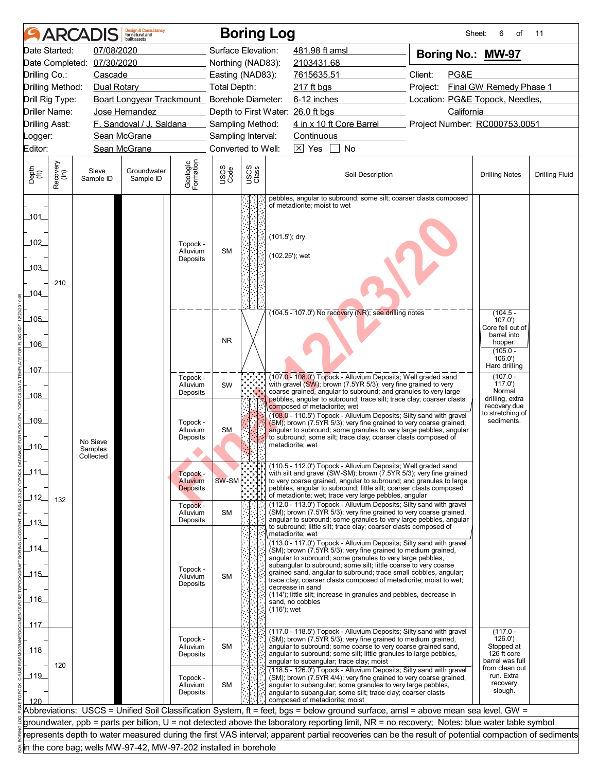|                             |                  | <b>ARCADIS</b>             | <b>Design &amp; Consultancy</b><br>for natural and<br>huilt assets |                                         |                     |               | <b>Boring Log</b>                                                                                                                                                                                                                                                                                          |                                 | 6<br>Sheet:<br>of                                   | 11                    |  |
|-----------------------------|------------------|----------------------------|--------------------------------------------------------------------|-----------------------------------------|---------------------|---------------|------------------------------------------------------------------------------------------------------------------------------------------------------------------------------------------------------------------------------------------------------------------------------------------------------------|---------------------------------|-----------------------------------------------------|-----------------------|--|
| Date Started:               |                  | 07/08/2020                 |                                                                    |                                         | Surface Elevation:  |               | 481.98 ft amsl                                                                                                                                                                                                                                                                                             | Boring No.: MW-97               |                                                     |                       |  |
|                             |                  | Date Completed: 07/30/2020 |                                                                    |                                         | Northing (NAD83):   |               | 2103431.68                                                                                                                                                                                                                                                                                                 |                                 |                                                     |                       |  |
| Drilling Co.:               |                  | Cascade                    |                                                                    |                                         | Easting (NAD83):    |               | 7615635.51                                                                                                                                                                                                                                                                                                 | Client:<br>PG&E                 |                                                     |                       |  |
| Drilling Method:            |                  | Dual Rotary                |                                                                    |                                         | <b>Total Depth:</b> |               | 217 ft bgs                                                                                                                                                                                                                                                                                                 | Project:                        | Final GW Remedy Phase 1                             |                       |  |
| Drill Rig Type:             |                  |                            | Boart Longyear Trackmount_ Borehole Diameter:                      |                                         |                     |               | 6-12 inches                                                                                                                                                                                                                                                                                                | Location: PG&E Topock, Needles, |                                                     |                       |  |
| <b>Driller Name:</b>        |                  |                            | Jose Hernandez                                                     |                                         |                     |               | Depth to First Water: 26.0 ft bgs                                                                                                                                                                                                                                                                          | California                      |                                                     |                       |  |
| <b>Drilling Asst:</b>       |                  |                            | F. Sandoval / J. Saldana                                           |                                         | Sampling Method:    |               | 4 in x 10 ft Core Barrel                                                                                                                                                                                                                                                                                   | Project Number: RC000753.0051   |                                                     |                       |  |
| Logger:                     |                  |                            | Sean McGrane                                                       |                                         | Sampling Interval:  |               | Continuous                                                                                                                                                                                                                                                                                                 |                                 |                                                     |                       |  |
| Editor:                     |                  |                            | Sean McGrane                                                       |                                         | Converted to Well:  |               | $\boxed{\times}$ Yes<br><b>No</b>                                                                                                                                                                                                                                                                          |                                 |                                                     |                       |  |
| Depth<br>$\widetilde{f(t)}$ | Recovery<br>(in) | Sieve<br>Sample ID         | Groundwater<br>Sample ID                                           | Geologic<br>Formation                   | USCS<br>Code        | USCS<br>Class | Soil Description                                                                                                                                                                                                                                                                                           |                                 | <b>Drilling Notes</b>                               | <b>Drilling Fluid</b> |  |
| $-101$                      |                  |                            |                                                                    |                                         |                     |               | pebbles, angular to subround; some silt; coarser clasts composed<br>of metadiorite; moist to wet                                                                                                                                                                                                           |                                 |                                                     |                       |  |
| 102                         |                  |                            |                                                                    | Topock -<br>Alluvium<br>Deposits        | <b>SM</b>           |               | (101.5'); dry<br>(102.25'); wet                                                                                                                                                                                                                                                                            |                                 |                                                     |                       |  |
| 103                         | 210              |                            |                                                                    |                                         |                     |               |                                                                                                                                                                                                                                                                                                            |                                 |                                                     |                       |  |
| 104                         |                  |                            |                                                                    |                                         |                     |               |                                                                                                                                                                                                                                                                                                            |                                 |                                                     |                       |  |
| $-105$                      |                  |                            |                                                                    |                                         |                     |               | $(104.5 - 107.0)$ No recovery (NR); see drilling notes                                                                                                                                                                                                                                                     |                                 | $(104.5 -$<br>107.0                                 |                       |  |
|                             |                  |                            |                                                                    |                                         |                     |               |                                                                                                                                                                                                                                                                                                            |                                 | Core fell out of<br>barrel into                     |                       |  |
| _106_                       |                  |                            |                                                                    |                                         | <b>NR</b>           |               |                                                                                                                                                                                                                                                                                                            |                                 | hopper.<br>$(105.0 -$<br>106.0'                     |                       |  |
| _107_                       |                  |                            |                                                                    | Topock -                                |                     |               | (107.0 - 108.0') Topock - Alluvium Deposits; Well graded sand                                                                                                                                                                                                                                              |                                 | Hard drilling<br>$(107.0 -$                         |                       |  |
| _108_                       |                  |                            |                                                                    | Alluvium<br>Deposits                    | SW                  |               | with gravel (SW); brown (7.5YR 5/3); very fine grained to very<br>coarse grained, angular to subround; and granules to very large<br>pebbles, angular to subround; trace silt; trace clay; coarser clasts<br>composed of metadiorite; wet                                                                  |                                 | 117.0'<br>Normal<br>drilling, extra<br>recovery due |                       |  |
| _109_<br>$-110$             |                  | No Sieve<br>Samples        |                                                                    | Topock -<br>Alluvium<br>Deposits        | <b>SM</b>           |               | (108.0 - 110.5') Topock - Alluvium Deposits; Silty sand with gravel<br>(SM); brown (7.5YR 5/3); very fine grained to very coarse grained,<br>angular to subround; some granules to very large pebbles, angular<br>to subround; some silt; trace clay; coarser clasts composed of<br>metadiorite; wet       |                                 | to stretching of<br>sediments.                      |                       |  |
|                             |                  | Collected                  |                                                                    |                                         |                     |               | (110.5 - 112.0') Topock - Alluvium Deposits; Well graded sand                                                                                                                                                                                                                                              |                                 |                                                     |                       |  |
| 111                         |                  |                            |                                                                    | Topock -<br>Alluvium<br><b>Deposits</b> | SW-SM               |               | with silt and gravel (SW-SM); brown (7.5YR 5/3); very fine grained<br>to very coarse grained, angular to subround; and granules to large<br>pebbles, angular to subround; little silt; coarser clasts composed                                                                                             |                                 |                                                     |                       |  |
| $-112$                      | 132              |                            |                                                                    | Topock -<br>Alluvium                    | <b>SM</b>           |               | of metadiorite; wet; trace very large pebbles, angular<br>(112.0 - 113.0') Topock - Alluvium Deposits; Silty sand with gravel<br>(SM); brown (7.5YR 5/3); very fine grained to very coarse grained,                                                                                                        |                                 |                                                     |                       |  |
| $-113$                      |                  |                            |                                                                    | Deposits                                |                     |               | angular to subround; some granules to very large pebbles, angular<br>to subround; little silt; trace clay; coarser clasts composed of<br>metadiorite; wet                                                                                                                                                  |                                 |                                                     |                       |  |
| _114_                       |                  |                            |                                                                    |                                         |                     |               | (113.0 - 117.0') Topock - Alluvium Deposits; Silty sand with gravel<br>(SM); brown (7.5YR 5/3); very fine grained to medium grained,<br>angular to subround; some granules to very large pebbles,                                                                                                          |                                 |                                                     |                       |  |
|                             |                  |                            |                                                                    | Topock -                                |                     |               | subangular to subround; some silt; little coarse to very coarse<br>grained sand, angular to subround; trace small cobbles, angular;                                                                                                                                                                        |                                 |                                                     |                       |  |
| $-115$                      |                  |                            |                                                                    | Alluvium<br>Deposits                    | <b>SM</b>           |               | trace clay; coarser clasts composed of metadiorite; moist to wet;                                                                                                                                                                                                                                          |                                 |                                                     |                       |  |
|                             |                  |                            |                                                                    |                                         |                     |               | decrease in sand<br>(114'); little silt; increase in granules and pebbles, decrease in                                                                                                                                                                                                                     |                                 |                                                     |                       |  |
| ـ116ـ                       |                  |                            |                                                                    |                                         |                     |               | sand, no cobbles<br>(116'); wet                                                                                                                                                                                                                                                                            |                                 |                                                     |                       |  |
|                             |                  |                            |                                                                    |                                         |                     |               |                                                                                                                                                                                                                                                                                                            |                                 |                                                     |                       |  |
| _117_                       |                  |                            |                                                                    | Topock -                                |                     |               | (117.0 - 118.5') Topock - Alluvium Deposits; Silty sand with gravel<br>(SM); brown (7.5YR 5/3); very fine grained to medium grained,                                                                                                                                                                       |                                 | $(117.0 -$<br>126.0'                                |                       |  |
| _118_                       |                  |                            |                                                                    | Alluvium<br>Deposits                    | <b>SM</b>           |               | angular to subround; some coarse to very coarse grained sand,<br>angular to subround; some silt; little granules to large pebbles,<br>angular to subangular; trace clay; moist                                                                                                                             |                                 | Stopped at<br>126 ft core<br>barrel was full        |                       |  |
| $-119$<br>120               | 120              |                            |                                                                    | Topock -<br>Alluvium<br>Deposits        | <b>SM</b>           |               | (118.5 - 126.0') Topock - Alluvium Deposits; Silty sand with gravel<br>(SM); brown (7.5YR 4/4); very fine grained to very coarse grained,<br>angular to subangular; some granules to very large pebbles,<br>angular to subangular; some silt; trace clay; coarser clasts<br>composed of metadiorite; moist |                                 | from clean out<br>run. Extra<br>recovery<br>slough. |                       |  |
|                             |                  |                            |                                                                    |                                         |                     |               | Abbreviations: USCS = Unified Soil Classification System, ft = feet, bgs = below ground surface, amsl = above mean sea level, GW =                                                                                                                                                                         |                                 |                                                     |                       |  |
|                             |                  |                            |                                                                    |                                         |                     |               | groundwater, ppb = parts per billion, U = not detected above the laboratory reporting limit, NR = no recovery; Notes: blue water table symbol                                                                                                                                                              |                                 |                                                     |                       |  |
|                             |                  |                            |                                                                    |                                         |                     |               | represents depth to water measured during the first VAS interval; apparent partial recoveries can be the result of potential compaction of sediments                                                                                                                                                       |                                 |                                                     |                       |  |
|                             |                  |                            | in the core bag; wells MW-97-42, MW-97-202 installed in borehole   |                                         |                     |               |                                                                                                                                                                                                                                                                                                            |                                 |                                                     |                       |  |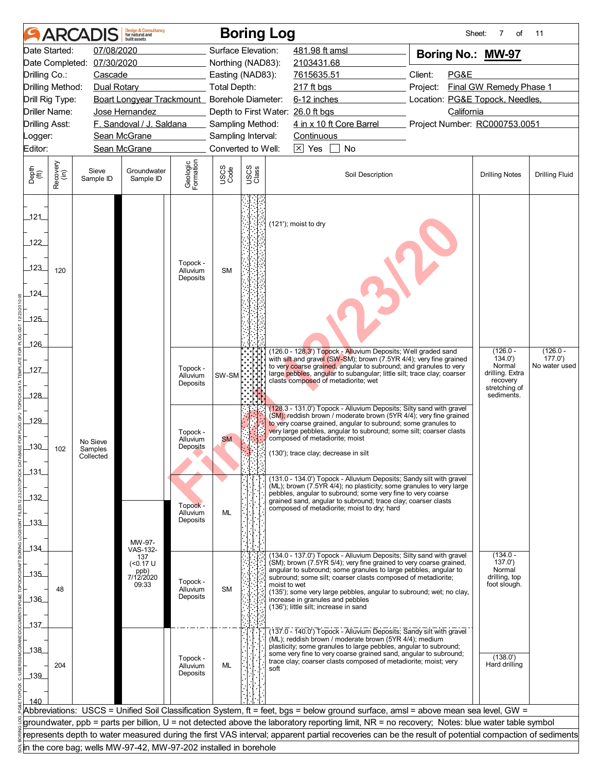|                             |                      | <b>ARCADIS</b>             | <b>Design &amp; Consultancy</b><br>for natural and<br>huilt assets |                       |                     | <b>Boring Log</b>                 |                                                                                                                                                      | Sheet:                              | 7<br>of                     | 11                    |
|-----------------------------|----------------------|----------------------------|--------------------------------------------------------------------|-----------------------|---------------------|-----------------------------------|------------------------------------------------------------------------------------------------------------------------------------------------------|-------------------------------------|-----------------------------|-----------------------|
|                             | Date Started:        | 07/08/2020                 |                                                                    |                       |                     | Surface Elevation:                | 481.98 ft amsl                                                                                                                                       | Boring No.: MW-97                   |                             |                       |
|                             |                      | Date Completed: 07/30/2020 |                                                                    |                       |                     | Northing (NAD83):                 | 2103431.68                                                                                                                                           |                                     |                             |                       |
| Drilling Co.:               |                      | Cascade                    |                                                                    |                       |                     | Easting (NAD83):                  | 7615635.51                                                                                                                                           | Client:<br>PG&E                     |                             |                       |
|                             | Drilling Method:     | Dual Rotary                |                                                                    |                       | <b>Total Depth:</b> |                                   | 217 ft bgs                                                                                                                                           | Final GW Remedy Phase 1<br>Project: |                             |                       |
|                             | Drill Rig Type:      |                            | Boart Longyear Trackmount_ Borehole Diameter:                      |                       |                     |                                   | 6-12 inches                                                                                                                                          | Location: PG&E Topock, Needles,     |                             |                       |
|                             | <b>Driller Name:</b> |                            | Jose Hernandez                                                     |                       |                     | Depth to First Water: 26.0 ft bgs |                                                                                                                                                      | California                          |                             |                       |
| <b>Drilling Asst:</b>       |                      |                            | F. Sandoval / J. Saldana                                           |                       |                     | Sampling Method:                  | 4 in x 10 ft Core Barrel                                                                                                                             | Project Number: RC000753.0051       |                             |                       |
| Logger:                     |                      |                            | Sean McGrane                                                       |                       |                     | Sampling Interval:                | Continuous                                                                                                                                           |                                     |                             |                       |
| Editor:                     |                      |                            | Sean McGrane                                                       |                       |                     | Converted to Well:                | $\boxed{\times}$ Yes<br><b>No</b>                                                                                                                    |                                     |                             |                       |
| Depth<br>$\widetilde{f(t)}$ | Recovery<br>(in)     | Sieve<br>Sample ID         | Groundwater<br>Sample ID                                           | Geologic<br>Formation | USCS<br>Code        | USCS<br>Class                     | Soil Description                                                                                                                                     |                                     | <b>Drilling Notes</b>       | <b>Drilling Fluid</b> |
| 121                         |                      |                            |                                                                    |                       |                     |                                   | (121'); moist to dry                                                                                                                                 |                                     |                             |                       |
| 122<br>123                  | 120                  |                            |                                                                    | Topock -<br>Alluvium  | <b>SM</b>           |                                   |                                                                                                                                                      |                                     |                             |                       |
| 124                         |                      |                            |                                                                    | Deposits              |                     |                                   |                                                                                                                                                      |                                     |                             |                       |
| $-125$                      |                      |                            |                                                                    |                       |                     |                                   |                                                                                                                                                      |                                     |                             |                       |
|                             |                      |                            |                                                                    |                       |                     |                                   |                                                                                                                                                      |                                     |                             |                       |
| 126                         |                      |                            |                                                                    |                       |                     |                                   |                                                                                                                                                      |                                     |                             |                       |
|                             |                      |                            |                                                                    |                       |                     |                                   | (126.0 - 128.3') Topock - Alluvium Deposits; Well graded sand<br>with silt and gravel (SW-SM); brown (7.5YR 4/4); very fine grained                  |                                     | $(126.0 -$<br>134.0'        | $(126.0 -$<br>177.0'  |
| $-127$                      |                      |                            |                                                                    | Topock -              |                     |                                   | to very coarse grained, angular to subround; and granules to very                                                                                    |                                     | Normal                      | No water used         |
|                             |                      |                            |                                                                    | Alluvium<br>Deposits  | SW-SM               |                                   | large pebbles, angular to subangular; little silt; trace clay; coarser<br>clasts composed of metadiorite; wet                                        |                                     | drilling. Extra<br>recovery |                       |
| _128_                       |                      |                            |                                                                    |                       |                     |                                   |                                                                                                                                                      |                                     | stretching of<br>sediments. |                       |
|                             |                      |                            |                                                                    |                       |                     |                                   | (128.3 - 131.0') Topock - Alluvium Deposits; Silty sand with gravel                                                                                  |                                     |                             |                       |
| 129                         |                      |                            |                                                                    |                       |                     |                                   | (SM); reddish brown / moderate brown (5YR 4/4); very fine grained<br>to very coarse grained, angular to subround; some granules to                   |                                     |                             |                       |
|                             |                      |                            |                                                                    | Topock -              |                     |                                   | very large pebbles, angular to subround; some silt; coarser clasts                                                                                   |                                     |                             |                       |
| $\overline{130}$            | 102                  | No Sieve<br>Samples        |                                                                    | Alluvium<br>Deposits  | SM                  |                                   | composed of metadiorite; moist                                                                                                                       |                                     |                             |                       |
|                             |                      | Collected                  |                                                                    |                       |                     |                                   | (130'); trace clay; decrease in silt                                                                                                                 |                                     |                             |                       |
| $131$                       |                      |                            |                                                                    |                       |                     |                                   |                                                                                                                                                      |                                     |                             |                       |
|                             |                      |                            |                                                                    |                       |                     |                                   | (131.0 - 134.0') Topock - Alluvium Deposits; Sandy silt with gravel<br>(ML); brown (7.5YR 4/4); no plasticity; some granules to very large           |                                     |                             |                       |
| 132                         |                      |                            |                                                                    |                       |                     |                                   | pebbles, angular to subround; some very fine to very coarse<br>grained sand, angular to subround; trace clay; coarser clasts                         |                                     |                             |                       |
|                             |                      |                            |                                                                    | Topock -<br>Alluvium  | <b>ML</b>           |                                   | composed of metadiorite; moist to dry; hard                                                                                                          |                                     |                             |                       |
| $-133$                      |                      |                            |                                                                    | Deposits              |                     |                                   |                                                                                                                                                      |                                     |                             |                       |
|                             |                      |                            |                                                                    |                       |                     |                                   |                                                                                                                                                      |                                     |                             |                       |
| _134                        |                      |                            | MW-97-<br>VAS-132-                                                 |                       |                     |                                   |                                                                                                                                                      |                                     | $(134.0 -$                  |                       |
|                             |                      |                            | 137<br>$($ < 0.17 U                                                |                       |                     |                                   | (134.0 - 137.0') Topock - Alluvium Deposits; Silty sand with gravel<br>(SM); brown (7.5YR 5/4); very fine grained to very coarse grained,            |                                     | 137.0'                      |                       |
| $135$                       |                      |                            | ppb)<br>7/12/2020                                                  |                       |                     |                                   | angular to subround; some granules to large pebbles, angular to<br>subround; some silt; coarser clasts composed of metadiorite;                      |                                     | Normal<br>drilling, top     |                       |
|                             | 48                   |                            | 09:33                                                              | Topock -<br>Alluvium  | <b>SM</b>           | moist to wet                      | (135'); some very large pebbles, angular to subround; wet; no clay,                                                                                  |                                     | foot slough.                |                       |
| $-136$                      |                      |                            |                                                                    | Deposits              |                     |                                   | increase in granules and pebbles<br>(136'); little silt; increase in sand                                                                            |                                     |                             |                       |
|                             |                      |                            |                                                                    |                       |                     |                                   |                                                                                                                                                      |                                     |                             |                       |
| 137                         |                      |                            |                                                                    |                       |                     |                                   | (137.0 - 140.0') Topock - Alluvium Deposits; Sandy silt with gravel                                                                                  |                                     |                             |                       |
|                             |                      |                            |                                                                    |                       |                     |                                   | (ML); reddish brown / moderate brown (5YR 4/4); medium<br>plasticity; some granules to large pebbles, angular to subround;                           |                                     |                             |                       |
| 138                         |                      |                            |                                                                    | Topock -              |                     |                                   | some very fine to very coarse grained sand, angular to subround;                                                                                     |                                     | (138.0')                    |                       |
|                             | 204                  |                            |                                                                    | Alluvium              | <b>ML</b>           | soft                              | trace clay; coarser clasts composed of metadiorite; moist; very                                                                                      |                                     | Hard drilling               |                       |
| $-139$                      |                      |                            |                                                                    | Deposits              |                     |                                   |                                                                                                                                                      |                                     |                             |                       |
|                             |                      |                            |                                                                    |                       |                     |                                   |                                                                                                                                                      |                                     |                             |                       |
| 140                         |                      |                            |                                                                    |                       |                     |                                   | Abbreviations: USCS = Unified Soil Classification System, ft = feet, bgs = below ground surface, amsl = above mean sea level, GW =                   |                                     |                             |                       |
|                             |                      |                            |                                                                    |                       |                     |                                   | groundwater, ppb = parts per billion, U = not detected above the laboratory reporting limit, NR = no recovery; Notes: blue water table symbol        |                                     |                             |                       |
|                             |                      |                            |                                                                    |                       |                     |                                   | represents depth to water measured during the first VAS interval; apparent partial recoveries can be the result of potential compaction of sediments |                                     |                             |                       |
|                             |                      |                            | in the core bag; wells MW-97-42, MW-97-202 installed in borehole   |                       |                     |                                   |                                                                                                                                                      |                                     |                             |                       |
|                             |                      |                            |                                                                    |                       |                     |                                   |                                                                                                                                                      |                                     |                             |                       |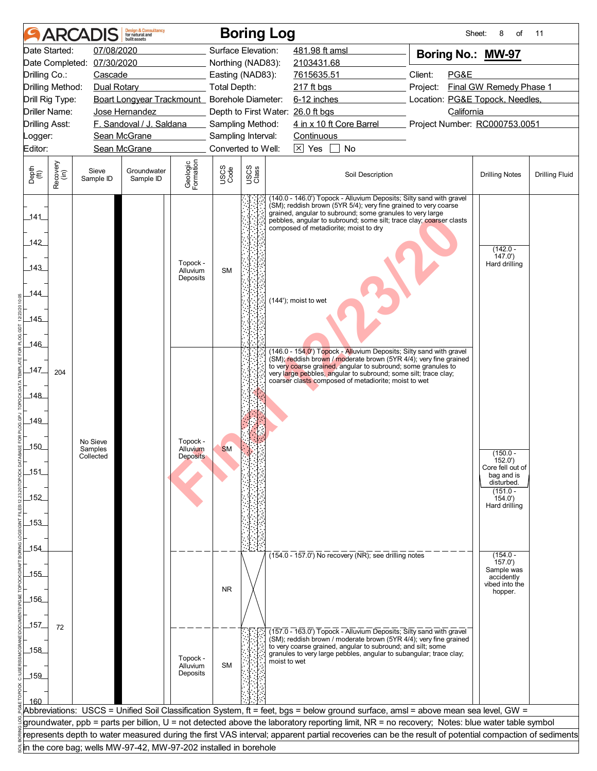|                             |                  | <b>ARCADIS</b>                   | <b>Design &amp; Consultancy</b><br>for natural and<br>huilt assets |                                         |                     | <b>Boring Log</b> |                                                                                                                                                                                                                                                                                                                     | Sheet:                          | 8<br>of                                               | 11                    |
|-----------------------------|------------------|----------------------------------|--------------------------------------------------------------------|-----------------------------------------|---------------------|-------------------|---------------------------------------------------------------------------------------------------------------------------------------------------------------------------------------------------------------------------------------------------------------------------------------------------------------------|---------------------------------|-------------------------------------------------------|-----------------------|
|                             | Date Started:    | 07/08/2020                       |                                                                    |                                         | Surface Elevation:  |                   | 481.98 ft amsl                                                                                                                                                                                                                                                                                                      | Boring No.: MW-97               |                                                       |                       |
|                             |                  | Date Completed: 07/30/2020       |                                                                    |                                         | Northing (NAD83):   |                   | 2103431.68                                                                                                                                                                                                                                                                                                          |                                 |                                                       |                       |
| Drilling Co.:               |                  | Cascade                          |                                                                    |                                         | Easting (NAD83):    |                   | 7615635.51                                                                                                                                                                                                                                                                                                          | Client:<br>PG&E                 |                                                       |                       |
|                             | Drilling Method: | Dual Rotary                      |                                                                    |                                         | <b>Total Depth:</b> |                   | 217 ft bgs                                                                                                                                                                                                                                                                                                          | Project:                        | Final GW Remedy Phase 1                               |                       |
|                             | Drill Rig Type:  |                                  | Boart Longyear Trackmount_ Borehole Diameter:                      |                                         |                     |                   | 6-12 inches                                                                                                                                                                                                                                                                                                         | Location: PG&E Topock, Needles, |                                                       |                       |
|                             | Driller Name:    |                                  | Jose Hernandez                                                     |                                         |                     |                   | Depth to First Water: 26.0 ft bgs                                                                                                                                                                                                                                                                                   | California                      |                                                       |                       |
| <b>Drilling Asst:</b>       |                  |                                  | F. Sandoval / J. Saldana                                           |                                         | Sampling Method:    |                   | 4 in x 10 ft Core Barrel                                                                                                                                                                                                                                                                                            | Project Number: RC000753.0051   |                                                       |                       |
| Logger:                     |                  |                                  | Sean McGrane                                                       |                                         | Sampling Interval:  |                   | Continuous                                                                                                                                                                                                                                                                                                          |                                 |                                                       |                       |
| Editor:                     |                  |                                  | Sean McGrane                                                       |                                         | Converted to Well:  |                   | $ \overline{X} $ Yes<br><b>No</b>                                                                                                                                                                                                                                                                                   |                                 |                                                       |                       |
| Depth<br>$\widetilde{f(t)}$ | Recovery<br>(in) | Sieve<br>Sample ID               | Groundwater<br>Sample ID                                           | Geologic<br>Formation                   | USCS<br>Code        | USCS<br>Class     | Soil Description                                                                                                                                                                                                                                                                                                    |                                 | <b>Drilling Notes</b>                                 | <b>Drilling Fluid</b> |
| 141                         |                  |                                  |                                                                    |                                         |                     |                   | (140.0 - 146.0') Topock - Alluvium Deposits; Silty sand with gravel<br>(SM); reddish brown (5YR 5/4); very fine grained to very coarse<br>grained, angular to subround; some granules to very large<br>pebbles, angular to subround; some silt; trace clay; coarser clasts<br>composed of metadiorite; moist to dry |                                 |                                                       |                       |
| 142                         |                  |                                  |                                                                    |                                         |                     |                   |                                                                                                                                                                                                                                                                                                                     |                                 | $(142.0 -$<br>147.0'                                  |                       |
| 143                         |                  |                                  |                                                                    | Topock -<br>Alluvium<br>Deposits        | <b>SM</b>           |                   |                                                                                                                                                                                                                                                                                                                     |                                 | Hard drilling                                         |                       |
| 144                         |                  |                                  |                                                                    |                                         |                     |                   | (144'); moist to wet                                                                                                                                                                                                                                                                                                |                                 |                                                       |                       |
| _145_                       |                  |                                  |                                                                    |                                         |                     |                   |                                                                                                                                                                                                                                                                                                                     |                                 |                                                       |                       |
| 146                         |                  |                                  |                                                                    |                                         |                     |                   | (146.0 - 154.0') Topock - Alluvium Deposits; Silty sand with gravel                                                                                                                                                                                                                                                 |                                 |                                                       |                       |
| 147                         | 204              |                                  |                                                                    |                                         |                     |                   | (SM); reddish brown / moderate brown (5YR 4/4); very fine grained<br>to very coarse grained, angular to subround; some granules to<br>very large pebbles, angular to subround; some silt; trace clay;<br>coarser clasts composed of metadiorite; moist to wet                                                       |                                 |                                                       |                       |
| 148                         |                  |                                  |                                                                    |                                         |                     |                   |                                                                                                                                                                                                                                                                                                                     |                                 |                                                       |                       |
| 149                         |                  |                                  |                                                                    |                                         |                     |                   |                                                                                                                                                                                                                                                                                                                     |                                 |                                                       |                       |
| 150                         |                  | No Sieve<br>Samples<br>Collected |                                                                    | Topock -<br>Alluvium<br><b>Deposits</b> | <b>SM</b>           |                   |                                                                                                                                                                                                                                                                                                                     |                                 | $(150.0 -$                                            |                       |
| 151                         |                  |                                  |                                                                    |                                         |                     |                   |                                                                                                                                                                                                                                                                                                                     |                                 | 152.0')<br>Core fell out of                           |                       |
| 152                         |                  |                                  |                                                                    |                                         |                     |                   |                                                                                                                                                                                                                                                                                                                     |                                 | bag and is<br>disturbed.<br>$(151.0 -$<br>154.0'      |                       |
| $-153$                      |                  |                                  |                                                                    |                                         |                     |                   |                                                                                                                                                                                                                                                                                                                     |                                 | Hard drilling                                         |                       |
|                             |                  |                                  |                                                                    |                                         |                     |                   |                                                                                                                                                                                                                                                                                                                     |                                 |                                                       |                       |
| 154                         |                  |                                  |                                                                    |                                         |                     |                   | $(154.0 - 157.0)$ No recovery (NR); see drilling notes                                                                                                                                                                                                                                                              |                                 | $(154.0 -$                                            |                       |
| $-155$                      |                  |                                  |                                                                    |                                         |                     |                   |                                                                                                                                                                                                                                                                                                                     |                                 | (157.0)<br>Sample was<br>accidently<br>vibed into the |                       |
| $-156$                      |                  |                                  |                                                                    |                                         | <b>NR</b>           |                   |                                                                                                                                                                                                                                                                                                                     |                                 | hopper.                                               |                       |
|                             |                  |                                  |                                                                    |                                         |                     |                   |                                                                                                                                                                                                                                                                                                                     |                                 |                                                       |                       |
| $-157$<br>$-158$            | 72               |                                  |                                                                    |                                         |                     |                   | (157.0 - 163.0") Topock - Alluvium Deposits; Silty sand with gravel<br>(SM); reddish brown / moderate brown (5YR 4/4); very fine grained<br>to very coarse grained, angular to subround; and silt; some                                                                                                             |                                 |                                                       |                       |
| $159$                       |                  |                                  |                                                                    | Topock -<br>Alluvium<br>Deposits        | <b>SM</b>           |                   | granules to very large pebbles, angular to subangular; trace clay;<br>moist to wet                                                                                                                                                                                                                                  |                                 |                                                       |                       |
| 160                         |                  |                                  |                                                                    |                                         |                     |                   |                                                                                                                                                                                                                                                                                                                     |                                 |                                                       |                       |
|                             |                  |                                  |                                                                    |                                         |                     |                   | Abbreviations: USCS = Unified Soil Classification System, ft = feet, bgs = below ground surface, amsl = above mean sea level, GW =                                                                                                                                                                                  |                                 |                                                       |                       |
|                             |                  |                                  |                                                                    |                                         |                     |                   | groundwater, ppb = parts per billion, U = not detected above the laboratory reporting limit, NR = no recovery; Notes: blue water table symbol                                                                                                                                                                       |                                 |                                                       |                       |
|                             |                  |                                  |                                                                    |                                         |                     |                   | represents depth to water measured during the first VAS interval; apparent partial recoveries can be the result of potential compaction of sediments                                                                                                                                                                |                                 |                                                       |                       |
|                             |                  |                                  | in the core bag; wells MW-97-42, MW-97-202 installed in borehole   |                                         |                     |                   |                                                                                                                                                                                                                                                                                                                     |                                 |                                                       |                       |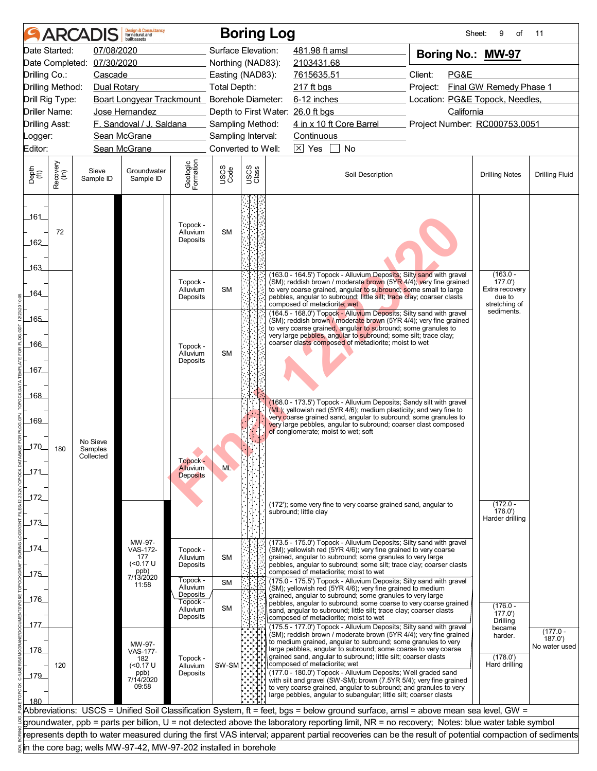|                             |                      | <b>ARCADIS</b>             | <b>Design &amp; Consultancy</b><br>for natural and<br>huilt assets |                                    |                     | <b>Boring Log</b> |                                                                                                                                                      | Sheet:                          | 9<br>of                     | 11                    |
|-----------------------------|----------------------|----------------------------|--------------------------------------------------------------------|------------------------------------|---------------------|-------------------|------------------------------------------------------------------------------------------------------------------------------------------------------|---------------------------------|-----------------------------|-----------------------|
|                             | Date Started:        | 07/08/2020                 |                                                                    |                                    | Surface Elevation:  |                   | 481.98 ft amsl                                                                                                                                       | Boring No.: MW-97               |                             |                       |
|                             |                      | Date Completed: 07/30/2020 |                                                                    |                                    | Northing (NAD83):   |                   | 2103431.68                                                                                                                                           |                                 |                             |                       |
| Drilling Co.:               |                      | Cascade                    |                                                                    |                                    | Easting (NAD83):    |                   | 7615635.51                                                                                                                                           | Client:<br>PG&E                 |                             |                       |
|                             | Drilling Method:     | Dual Rotary                |                                                                    |                                    | <b>Total Depth:</b> |                   | 217 ft bgs                                                                                                                                           | Project:                        | Final GW Remedy Phase 1     |                       |
|                             | Drill Rig Type:      |                            | Boart Longyear Trackmount_ Borehole Diameter:                      |                                    |                     |                   | 6-12 inches                                                                                                                                          | Location: PG&E Topock, Needles, |                             |                       |
|                             | <b>Driller Name:</b> |                            | Jose Hernandez                                                     |                                    |                     |                   | Depth to First Water: 26.0 ft bgs                                                                                                                    | California                      |                             |                       |
| <b>Drilling Asst:</b>       |                      |                            | F. Sandoval / J. Saldana                                           |                                    | Sampling Method:    |                   | 4 in x 10 ft Core Barrel                                                                                                                             | Project Number: RC000753.0051   |                             |                       |
| Logger:                     |                      |                            | Sean McGrane                                                       |                                    | Sampling Interval:  |                   | Continuous                                                                                                                                           |                                 |                             |                       |
| Editor:                     |                      | Sean McGrane               |                                                                    |                                    |                     |                   |                                                                                                                                                      |                                 |                             |                       |
| Depth<br>$\widetilde{f(t)}$ | Recovery<br>(in)     | Sieve<br>Sample ID         | Groundwater<br>Sample ID                                           | Geologic<br>Formation              | USCS<br>Code        | USCS<br>Class     | Soil Description                                                                                                                                     |                                 | <b>Drilling Notes</b>       | <b>Drilling Fluid</b> |
|                             |                      |                            |                                                                    |                                    |                     |                   |                                                                                                                                                      |                                 |                             |                       |
|                             |                      |                            |                                                                    |                                    |                     |                   |                                                                                                                                                      |                                 |                             |                       |
| 161                         |                      |                            |                                                                    |                                    |                     |                   |                                                                                                                                                      |                                 |                             |                       |
|                             | 72                   |                            |                                                                    | Topock -<br>Alluvium               | <b>SM</b>           |                   |                                                                                                                                                      |                                 |                             |                       |
| 162                         |                      |                            |                                                                    | Deposits                           |                     |                   |                                                                                                                                                      |                                 |                             |                       |
|                             |                      |                            |                                                                    |                                    |                     |                   |                                                                                                                                                      |                                 |                             |                       |
| .163                        |                      |                            |                                                                    |                                    |                     |                   |                                                                                                                                                      |                                 | $(163.0 -$                  |                       |
|                             |                      |                            |                                                                    | Topock -                           |                     |                   | (163.0 - 164.5') Topock - Alluvium Deposits; Silty sand with gravel<br>(SM); reddish brown / moderate brown (5YR 4/4); very fine grained             |                                 | (177.0)                     |                       |
| 164                         |                      |                            |                                                                    | Alluvium<br>Deposits               | <b>SM</b>           |                   | to very coarse grained, angular to subround; some small to large<br>pebbles, angular to subround; little silt; trace clay; coarser clasts            |                                 | Extra recovery<br>due to    |                       |
|                             |                      |                            |                                                                    |                                    |                     |                   | composed of metadiorite; wet                                                                                                                         |                                 | stretching of<br>sediments. |                       |
| _165_                       |                      |                            |                                                                    |                                    |                     |                   | (164.5 - 168.0') Topock - Alluvium Deposits; Silty sand with gravel<br>(SM); reddish brown / moderate brown (5YR 4/4); very fine grained             |                                 |                             |                       |
|                             |                      |                            |                                                                    |                                    |                     |                   | to very coarse grained, angular to subround; some granules to<br>very large pebbles, angular to subround; some silt; trace clay;                     |                                 |                             |                       |
| 166                         |                      |                            |                                                                    | Topock -                           |                     |                   | coarser clasts composed of metadiorite; moist to wet                                                                                                 |                                 |                             |                       |
|                             |                      |                            |                                                                    | Alluvium<br>Deposits               | <b>SM</b>           |                   |                                                                                                                                                      |                                 |                             |                       |
| _167_                       |                      |                            |                                                                    |                                    |                     |                   |                                                                                                                                                      |                                 |                             |                       |
|                             |                      |                            |                                                                    |                                    |                     |                   |                                                                                                                                                      |                                 |                             |                       |
| _168_                       |                      |                            |                                                                    |                                    |                     |                   |                                                                                                                                                      |                                 |                             |                       |
|                             |                      |                            |                                                                    |                                    |                     |                   | (168.0 - 173.5') Topock - Alluvium Deposits; Sandy silt with gravel<br>(ML); yellowish red (5YR 4/6); medium plasticity; and very fine to            |                                 |                             |                       |
| 169                         |                      |                            |                                                                    |                                    |                     |                   | very coarse grained sand, angular to subround; some granules to<br>very large pebbles, angular to subround; coarser clast composed                   |                                 |                             |                       |
|                             |                      |                            |                                                                    |                                    |                     |                   | of conglomerate; moist to wet; soft                                                                                                                  |                                 |                             |                       |
| $170$                       | 180                  | No Sieve<br>Samples        |                                                                    |                                    |                     |                   |                                                                                                                                                      |                                 |                             |                       |
|                             |                      | Collected                  |                                                                    | Topock -                           |                     |                   |                                                                                                                                                      |                                 |                             |                       |
| _171_                       |                      |                            |                                                                    | <b>Alluvium</b><br><b>Deposits</b> | ML                  |                   |                                                                                                                                                      |                                 |                             |                       |
|                             |                      |                            |                                                                    |                                    |                     |                   |                                                                                                                                                      |                                 |                             |                       |
| $172$                       |                      |                            |                                                                    |                                    |                     |                   |                                                                                                                                                      |                                 |                             |                       |
|                             |                      |                            |                                                                    |                                    |                     |                   | (172'); some very fine to very coarse grained sand, angular to<br>subround; little clay                                                              |                                 | $(172.0 -$<br>176.0'        |                       |
| $-173$                      |                      |                            |                                                                    |                                    |                     |                   |                                                                                                                                                      |                                 | Harder drilling             |                       |
|                             |                      |                            |                                                                    |                                    |                     |                   |                                                                                                                                                      |                                 |                             |                       |
| _174_                       |                      |                            | MW-97-<br>VAS-172-                                                 | Topock -                           |                     |                   | (173.5 - 175.0') Topock - Alluvium Deposits; Silty sand with gravel<br>(SM); yellowish red (5YR 4/6); very fine grained to very coarse               |                                 |                             |                       |
|                             |                      |                            | 177<br>$(0.17 \text{ U}$                                           | Alluvium                           | <b>SM</b>           |                   | grained, angular to subround; some granules to very large<br>pebbles, angular to subround; some silt; trace clay; coarser clasts                     |                                 |                             |                       |
| $175$                       |                      |                            | ppb)                                                               | Deposits                           |                     |                   | composed of metadiorite: moist to wet                                                                                                                |                                 |                             |                       |
|                             |                      |                            | 7/13/2020<br>11:58                                                 | Topock -<br>Alluvium               | <b>SM</b>           |                   | (175.0 - 175.5') Topock - Alluvium Deposits; Silty sand with gravel<br>(SM); yellowish red (5YR 4/6); very fine grained to medium                    |                                 |                             |                       |
| 176                         |                      |                            |                                                                    | Deposits<br>Topock -               |                     |                   | grained, angular to subround; some granules to very large                                                                                            |                                 |                             |                       |
|                             |                      |                            |                                                                    | Alluvium                           | <b>SM</b>           |                   | pebbles, angular to subround; some coarse to very coarse grained<br>sand, angular to subround; little silt; trace clay; coarser clasts               |                                 | $(176.0 -$<br>177.0'        |                       |
| _177_                       |                      |                            |                                                                    | Deposits                           |                     |                   | composed of metadiorite; moist to wet<br>(175.5 - 177.0') Topock - Alluvium Deposits; Silty sand with gravel                                         |                                 | Drilling                    |                       |
|                             |                      |                            |                                                                    |                                    |                     |                   | (SM); reddish brown / moderate brown (5YR 4/4); very fine grained                                                                                    |                                 | became<br>harder.           | $(177.0 -$<br>187.0'  |
| $178$                       |                      |                            | MW-97-<br>VAS-177-                                                 |                                    |                     |                   | to medium grained, angular to subround; some granules to very<br>large pebbles, angular to subround; some coarse to very coarse                      |                                 |                             | No water used         |
|                             |                      |                            | 182                                                                | Topock -                           |                     |                   | grained sand, angular to subround; little silt; coarser clasts<br>composed of metadiorite; wet                                                       |                                 | (178.0')<br>Hard drilling   |                       |
| $-179$                      | 120                  |                            | (<0.17 U<br>ppb)                                                   | Alluvium<br>Deposits               | SW-SM               |                   | (177.0 - 180.0') Topock - Alluvium Deposits; Well graded sand                                                                                        |                                 |                             |                       |
|                             |                      |                            | 7/14/2020<br>09:58                                                 |                                    |                     |                   | with silt and gravel (SW-SM); brown (7.5YR 5/4); very fine grained<br>to very coarse grained, angular to subround; and granules to very              |                                 |                             |                       |
| 180                         |                      |                            |                                                                    |                                    |                     |                   | large pebbles, angular to subangular; little silt; coarser clasts                                                                                    |                                 |                             |                       |
|                             |                      |                            |                                                                    |                                    |                     |                   | Abbreviations: USCS = Unified Soil Classification System, ft = feet, bgs = below ground surface, amsl = above mean sea level, GW =                   |                                 |                             |                       |
|                             |                      |                            |                                                                    |                                    |                     |                   | groundwater, ppb = parts per billion, U = not detected above the laboratory reporting limit, NR = no recovery; Notes: blue water table symbol        |                                 |                             |                       |
|                             |                      |                            |                                                                    |                                    |                     |                   | represents depth to water measured during the first VAS interval; apparent partial recoveries can be the result of potential compaction of sediments |                                 |                             |                       |
|                             |                      |                            | in the core bag; wells MW-97-42, MW-97-202 installed in borehole   |                                    |                     |                   |                                                                                                                                                      |                                 |                             |                       |
|                             |                      |                            |                                                                    |                                    |                     |                   |                                                                                                                                                      |                                 |                             |                       |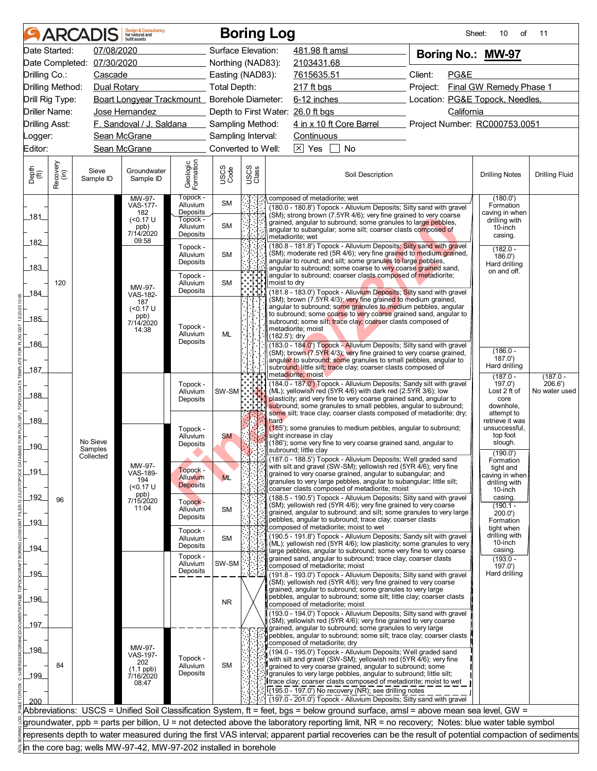|                       |                  | <b>ARCADIS</b>             | <b>Design &amp; Consultancy</b><br>for natural and<br>huilt assets |                                  |                     |               | <b>Boring Log</b>                                                                                                                                                                                                                                                          | Sheet:                          | 10<br>of                                                                          | 11                      |
|-----------------------|------------------|----------------------------|--------------------------------------------------------------------|----------------------------------|---------------------|---------------|----------------------------------------------------------------------------------------------------------------------------------------------------------------------------------------------------------------------------------------------------------------------------|---------------------------------|-----------------------------------------------------------------------------------|-------------------------|
|                       | Date Started:    | 07/08/2020                 |                                                                    |                                  | Surface Elevation:  |               | 481.98 ft amsl                                                                                                                                                                                                                                                             | Boring No.: MW-97               |                                                                                   |                         |
|                       |                  | Date Completed: 07/30/2020 |                                                                    |                                  | Northing (NAD83):   |               | 2103431.68                                                                                                                                                                                                                                                                 |                                 |                                                                                   |                         |
| Drilling Co.:         |                  | Cascade                    |                                                                    | <u> 1999 - Jan Jawa</u>          | Easting (NAD83):    |               | 7615635.51                                                                                                                                                                                                                                                                 | Client:<br>PG&E                 |                                                                                   |                         |
|                       | Drilling Method: | Dual Rotary                |                                                                    |                                  | <b>Total Depth:</b> |               | 217 ft bgs                                                                                                                                                                                                                                                                 | Project:                        | Final GW Remedy Phase 1                                                           |                         |
|                       | Drill Rig Type:  |                            | Boart Longyear Trackmount_ Borehole Diameter:                      |                                  |                     |               | 6-12 inches                                                                                                                                                                                                                                                                | Location: PG&E Topock, Needles, |                                                                                   |                         |
|                       | Driller Name:    |                            | Jose Hernandez                                                     |                                  |                     |               | Depth to First Water: 26.0 ft bgs                                                                                                                                                                                                                                          | California                      |                                                                                   |                         |
| <b>Drilling Asst:</b> |                  |                            | F. Sandoval / J. Saldana                                           |                                  | Sampling Method:    |               | 4 in x 10 ft Core Barrel                                                                                                                                                                                                                                                   | Project Number: RC000753.0051   |                                                                                   |                         |
| _ogger:               |                  |                            | Sean McGrane                                                       |                                  | Sampling Interval:  |               | Continuous                                                                                                                                                                                                                                                                 |                                 |                                                                                   |                         |
| Editor:               |                  |                            | Sean McGrane                                                       |                                  | Converted to Well:  |               | $ \overline{X} $ Yes<br><b>No</b>                                                                                                                                                                                                                                          |                                 |                                                                                   |                         |
| Depth<br>(ft)         | Recovery<br>(in) | Sieve<br>Sample ID         | Groundwater<br>Sample ID                                           | Geologic<br>Formation            | USCS<br>Code        | USCS<br>Class | Soil Description                                                                                                                                                                                                                                                           |                                 | <b>Drilling Notes</b>                                                             | <b>Drilling Fluid</b>   |
|                       |                  |                            | MW-97-<br><b>VAS-177-</b><br>182                                   | Topock -<br>Alluvium<br>Deposits | <b>SM</b>           |               | composed of metadiorite; wet<br>(180.0 - 180.8') Topock - Alluvium Deposits; Silty sand with gravel                                                                                                                                                                        |                                 | (180.0')<br>Formation<br>caving in when                                           |                         |
| _181_                 |                  |                            | (50.17)<br>ppb)<br>7/14/2020                                       | Topock -<br>Alluvium<br>Deposits | <b>SM</b>           |               | (SM); strong brown (7.5YR 4/6); very fine grained to very coarse<br>grained, angular to subround; some granules to large pebbles,<br>angular to subangular; some silt; coarser clasts composed of                                                                          |                                 |                                                                                   |                         |
| 182                   |                  |                            | 09:58                                                              | Topock -<br>Alluvium<br>Deposits | <b>SM</b>           |               | metadiorite; wet<br>(180.8 - 181.8') Topock - Alluvium Deposits; Silty sand with gravel<br>(SM); moderate red (5R 4/6); very fine grained to medium grained,<br>angular to round; and silt; some granules to large pebbles,                                                |                                 | casing.<br>$(182.0 -$<br>186.0'<br>Hard drilling                                  |                         |
| 183                   | 120              |                            | MW-97-                                                             | Topock -<br>Alluvium             | <b>SM</b>           |               | angular to subround; some coarse to very coarse grained sand,<br>angular to subround; coarser clasts composed of metadiorite;<br>moist to dry                                                                                                                              |                                 | on and off.                                                                       |                         |
| 184                   |                  |                            | VAS-182-<br>187                                                    | Deposits                         |                     |               | (181.8 - 183.0') Topock - Alluvium Deposits; Silty sand with gravel<br>(SM); brown (7.5YR 4/3); very fine grained to medium grained,<br>angular to subround; some granules to medium pebbles, angular                                                                      |                                 |                                                                                   |                         |
| $-185$                |                  |                            | $(0.17 \text{ U}$<br>ppb)<br>7/14/2020                             | Topock -                         |                     |               | to subround; some coarse to very coarse grained sand, angular to<br>subround; some silt; trace clay; coarser clasts composed of                                                                                                                                            |                                 |                                                                                   |                         |
| 186                   |                  |                            | 14:38                                                              | Alluvium<br>Deposits             | ML                  |               | metadiorite; moist<br>(182.5'); dry<br>(183.0 - 184.0') Topock - Alluvium Deposits; Silty sand with gravel                                                                                                                                                                 |                                 |                                                                                   |                         |
|                       |                  |                            |                                                                    |                                  |                     |               | (SM); brown (7.5YR 4/3); very fine grained to very coarse grained,<br>angular to subround; some granules to small pebbles, angular to                                                                                                                                      |                                 | $(186.0 -$<br>187.0'<br>Hard drilling                                             |                         |
| 187                   |                  |                            |                                                                    |                                  |                     |               | subround; little silt; trace clay; coarser clasts composed of<br>metadiorite; moist                                                                                                                                                                                        |                                 | $(187.0 -$                                                                        | $(187.0 -$              |
| _188_                 |                  |                            |                                                                    | Topock -<br>Alluvium<br>Deposits | SW-SM               |               | (184.0 - 187.0') Topock - Alluvium Deposits; Sandy silt with gravel<br>(ML); yellowish red (5YR 4/6) with dark red (2.5YR 3/6); low<br>plasticity; and very fine to very coarse grained sand, angular to<br>subround; some granules to small pebbles, angular to subround; |                                 | 197.0'<br>Lost 2 ft of<br>core<br>downhole,                                       | 206.6'<br>No water used |
| 189<br>190            |                  | No Sieve<br>Samples        |                                                                    | Topock -<br>Alluvium<br>Deposits | <b>SM</b>           |               | some silt; trace clay; coarser clasts composed of metadiorite; dry;<br>hard<br>(185'); some granules to medium pebbles, angular to subround;<br>sight increase in clay<br>(186'); some very fine to very coarse grained sand, angular to<br>subround; little clay          |                                 | attempt to<br>retrieve it was<br>unsuccessful,<br>top foot<br>slough.<br>(190.0') |                         |
| 191                   |                  | Collected                  | MW-97-<br>VAS-189-<br>194                                          | Topock -<br>Alluvium             | <b>ML</b>           |               | (187.0 - 188.5') Topock - Alluvium Deposits; Well graded sand<br>with silt and gravel (SW-SM); yellowish red (5YR 4/6); very fine<br>grained to very coarse grained, angular to subangular; and<br>granules to very large pebbles, angular to subangular; little silt;     |                                 | Formation<br>tight and<br>caving in when                                          |                         |
| $-192$                | 96               |                            | $(0.17 \text{ U}$<br>ppb)<br>7/15/2020                             | <b>Deposits</b><br>Topock -      |                     |               | coarser clasts composed of metadiorite; moist<br>(188.5 - 190.5') Topock - Alluvium Deposits; Silty sand with gravel<br>(SM); yellowish red (5YR 4/6); very fine grained to very coarse                                                                                    |                                 | drilling with<br>10-inch<br>casing.                                               |                         |
| $-193$                |                  |                            | 11:04                                                              | Alluvium<br>Deposits             | <b>SM</b>           |               | grained, angular to subround; and silt; some granules to very large<br>pebbles, angular to subround; trace clay; coarser clasts<br>composed of metadiorite; moist to wet                                                                                                   |                                 | $(190.1 -$<br>200.0'<br>Formation<br>tight when                                   |                         |
|                       |                  |                            |                                                                    | Topock -<br>Alluvium             | <b>SM</b>           |               | (190.5 - 191.8') Topock - Alluvium Deposits; Sandy silt with gravel                                                                                                                                                                                                        |                                 | drilling with                                                                     |                         |
| _194_                 |                  |                            |                                                                    | Deposits                         |                     |               | (ML); yellowish red (5YR 4/6); low plasticity; some granules to very<br>arge pebbles, angular to subround; some very fine to very coarse                                                                                                                                   |                                 | 10-inch<br>casing.                                                                |                         |
|                       |                  |                            |                                                                    | Topock -<br>Alluvium             | SW-SM               |               | grained sand, angular to subround; trace clay; coarser clasts<br>composed of metadiorite; moist                                                                                                                                                                            |                                 | $(193.0 -$<br>197.0'                                                              |                         |
| 195                   |                  |                            |                                                                    | Deposits                         |                     |               | (191.8 - 193.0') Topock - Alluvium Deposits; Silty sand with gravel<br>(SM); yellowish red (5YR 4/6); very fine grained to very coarse                                                                                                                                     |                                 | Hard drilling                                                                     |                         |
| _196_                 |                  |                            |                                                                    |                                  | <b>NR</b>           |               | grained, angular to subround; some granules to very large<br>pebbles, angular to subround; some silt; little clay; coarser clasts<br>composed of metadiorite; moist                                                                                                        |                                 |                                                                                   |                         |
|                       |                  |                            |                                                                    |                                  |                     |               | (193.0 - 194.0') Topock - Alluvium Deposits; Silty sand with gravel                                                                                                                                                                                                        |                                 |                                                                                   |                         |
| _197_                 |                  |                            |                                                                    |                                  |                     |               | (SM); yellowish red (5YR 4/6); very fine grained to very coarse<br>grained, angular to subround; some granules to very large                                                                                                                                               |                                 |                                                                                   |                         |
| 198                   |                  |                            | MW-97-                                                             |                                  |                     |               | pebbles, angular to subround; some silt; trace clay; coarser clasts<br>composed of metadiorite; dry<br>(194.0 - 195.0') Topock - Alluvium Deposits; Well graded sand                                                                                                       |                                 |                                                                                   |                         |
|                       |                  |                            | VAS-197-<br>202                                                    | Topock -                         |                     |               | with silt and gravel (SW-SM); yellowish red (5YR 4/6); very fine                                                                                                                                                                                                           |                                 |                                                                                   |                         |
| 199                   | 84               |                            | $(1.1$ ppb)<br>7/16/2020                                           | Alluvium<br>Deposits             | <b>SM</b>           |               | grained to very coarse grained, angular to subround; some<br>granules to very large pebbles, angular to subround; little silt;                                                                                                                                             |                                 |                                                                                   |                         |
|                       |                  |                            | 08:47                                                              |                                  |                     |               | trace clay; coarser clasts composed of metadiorite; moist to wet<br>(195.0 - 197.0') No recovery (NR); see drilling notes<br>(197.0 - 201.0) Topock - Alluvium Deposits; Silty sand with gravel                                                                            |                                 |                                                                                   |                         |
| 200                   |                  |                            |                                                                    |                                  |                     |               | Abbreviations: USCS = Unified Soil Classification System, ft = feet, bgs = below ground surface, amsl = above mean sea level, GW =                                                                                                                                         |                                 |                                                                                   |                         |
|                       |                  |                            |                                                                    |                                  |                     |               | groundwater, ppb = parts per billion, U = not detected above the laboratory reporting limit, NR = no recovery; Notes: blue water table symbol                                                                                                                              |                                 |                                                                                   |                         |
|                       |                  |                            |                                                                    |                                  |                     |               | represents depth to water measured during the first VAS interval; apparent partial recoveries can be the result of potential compaction of sediments                                                                                                                       |                                 |                                                                                   |                         |
|                       |                  |                            | in the core bag; wells MW-97-42, MW-97-202 installed in borehole   |                                  |                     |               |                                                                                                                                                                                                                                                                            |                                 |                                                                                   |                         |
|                       |                  |                            |                                                                    |                                  |                     |               |                                                                                                                                                                                                                                                                            |                                 |                                                                                   |                         |